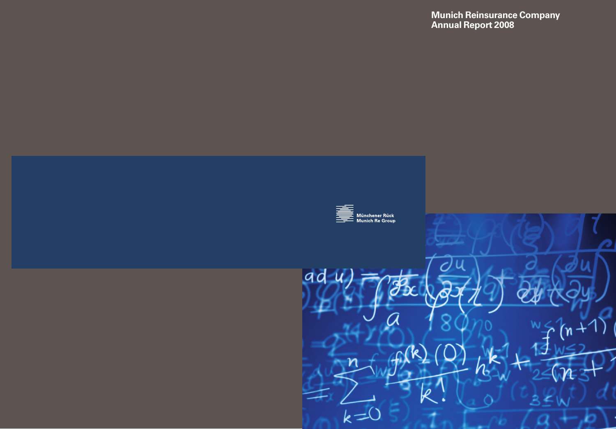**Munich Reinsurance Company Annual Report 2008** 

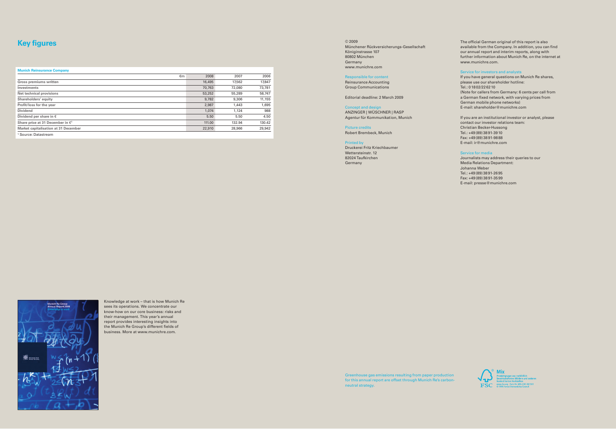# **Key figures**

| <b>Munich Reinsurance Company</b>           |        |        |        |
|---------------------------------------------|--------|--------|--------|
| €m                                          | 2008   | 2007   | 2006   |
| Gross premiums written                      | 16,495 | 17,562 | 17,847 |
| Investments                                 | 70,763 | 72,080 | 73,781 |
| Net technical provisions                    | 53,252 | 55,289 | 58,747 |
| Shareholders' equity                        | 9,782  | 9,306  | 11,155 |
| Profit/loss for the year                    | 2,987  | 1,443  | 1,695  |
| <b>Dividend</b>                             | 1,074  | 1,124  | 988    |
| Dividend per share in $\epsilon$            | 5.50   | 5.50   | 4.50   |
| Share price at 31 December in $\epsilon^1$  | 111.00 | 132.94 | 130.42 |
| <b>Market capitalisation at 31 December</b> | 22,910 | 28,966 | 29,942 |
| Course Detectrons                           |        |        |        |

1 Source: Datastream



Knowledge at work – that is how Munich Re sees its operations. We concentrate our know-how on our core business: risks and their management. This year's annual report provides interesting insights into the Munich Re Group's different fields of business. More at www.munichre.com.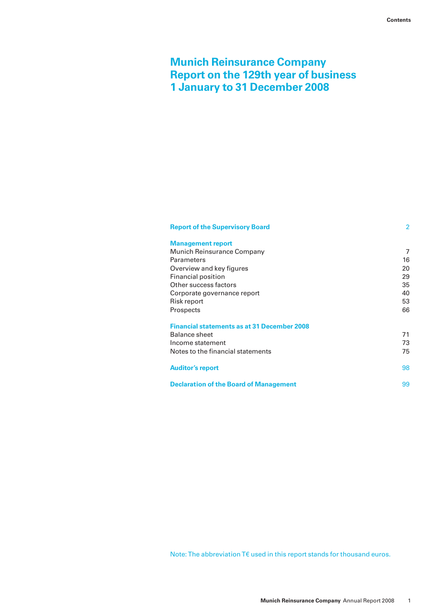## **Munich Reinsurance Company Report on the 129th year of business 1 January to 31 December 2008**

| <b>Report of the Supervisory Board</b>             | $\overline{2}$ |
|----------------------------------------------------|----------------|
| <b>Management report</b>                           |                |
| Munich Reinsurance Company                         | 7              |
| Parameters                                         | 16             |
| Overview and key figures                           | 20             |
| Financial position                                 | 29             |
| Other success factors                              | 35             |
| Corporate governance report                        | 40             |
| Risk report                                        | 53             |
| Prospects                                          | 66             |
| <b>Financial statements as at 31 December 2008</b> |                |
| Balance sheet                                      | 71             |
| Income statement                                   | 73             |
| Notes to the financial statements                  | 75             |
| <b>Auditor's report</b>                            | 98             |
| <b>Declaration of the Board of Management</b>      | 99             |

Note: The abbreviation T€ used in this report stands for thousand euros.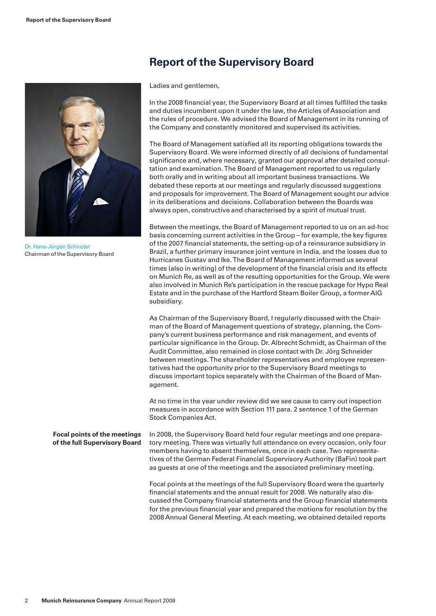

Dr. Hans-Jürgen Schinzler Chairman of the Supervisory Board

## **Report of the Supervisory Board**

Ladies and gentlemen,

In the 2008 financial year, the Supervisory Board at all times fulfilled the tasks and duties incumbent upon it under the law, the Articles of Association and the rules of procedure. We advised the Board of Management in its running of the Company and constantly monitored and supervised its activities.

The Board of Management satisfied all its reporting obligations towards the Supervisory Board. We were informed directly of all decisions of fundamental significance and, where necessary, granted our approval after detailed consultation and examination. The Board of Management reported to us regularly both orally and in writing about all important business transactions. We debated these reports at our meetings and regularly discussed suggestions and proposals for improvement. The Board of Management sought our advice in its deliberations and decisions. Collaboration between the Boards was always open, constructive and characterised by a spirit of mutual trust.

Between the meetings, the Board of Management reported to us on an ad-hoc basis concerning current activities in the Group – for example, the key figures of the 2007 financial statements, the setting-up of a reinsurance subsidiary in Brazil, a further primary insurance joint venture in India, and the losses due to Hurricanes Gustav and Ike. The Board of Management informed us several times (also in writing) of the development of the financial crisis and its effects on Munich Re, as well as of the resulting opportunities for the Group. We were also involved in Munich Re's participation in the rescue package for Hypo Real Estate and in the purchase of the Hartford Steam Boiler Group, a former AIG subsidiary.

As Chairman of the Supervisory Board, I regularly discussed with the Chairman of the Board of Management questions of strategy, planning, the Company's current business performance and risk management, and events of particular significance in the Group. Dr. Albrecht Schmidt, as Chairman of the Audit Committee, also remained in close contact with Dr. Jörg Schneider between meetings. The shareholder representatives and employee representatives had the opportunity prior to the Supervisory Board meetings to discuss important topics separately with the Chairman of the Board of Management.

At no time in the year under review did we see cause to carry out inspection measures in accordance with Section 111 para. 2 sentence 1 of the German Stock Companies Act.

**Focal points of the meetings** In 2008, the Supervisory Board held four regular meetings and one prepara**of the full Supervisory Board** tory meeting. There was virtually full attendance on every occasion, only four members having to absent themselves, once in each case. Two representatives of the German Federal Financial Supervisory Authority (BaFin) took part as guests at one of the meetings and the associated preliminary meeting.

> Focal points at the meetings of the full Supervisory Board were the quarterly financial statements and the annual result for 2008. We naturally also discussed the Company financial statements and the Group financial statements for the previous financial year and prepared the motions for resolution by the 2008 Annual General Meeting. At each meeting, we obtained detailed reports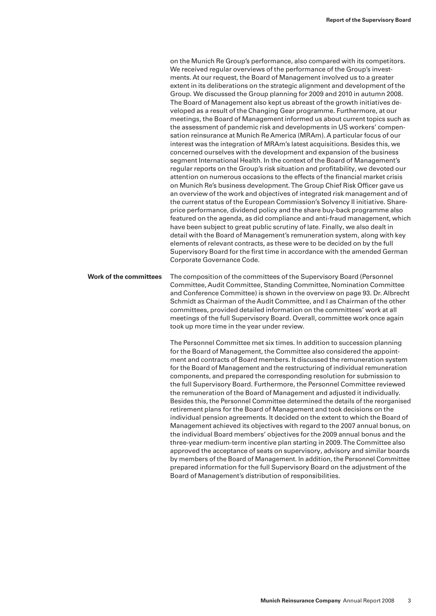on the Munich Re Group's performance, also compared with its competitors. We received regular overviews of the performance of the Group's investments. At our request, the Board of Management involved us to a greater extent in its deliberations on the strategic alignment and development of the Group. We discussed the Group planning for 2009 and 2010 in autumn 2008. The Board of Management also kept us abreast of the growth initiatives de veloped as a result of the Changing Gear programme. Furthermore, at our meetings, the Board of Management informed us about current topics such as the assessment of pandemic risk and developments in US workers' compensation reinsurance at Munich Re America (MRAm). A particular focus of our interest was the integration of MRAm's latest acquisitions. Besides this, we concerned ourselves with the development and expansion of the business segment International Health. In the context of the Board of Management's regular reports on the Group's risk situation and profitability, we devoted our attention on numerous occasions to the effects of the financial market crisis on Munich Re's business development. The Group Chief Risk Officer gave us an overview of the work and objectives of integrated risk management and of the current status of the European Commission's Solvency II initiative. Shareprice performance, dividend policy and the share buy-back programme also featured on the agenda, as did compliance and anti-fraud management, which have been subject to great public scrutiny of late. Finally, we also dealt in detail with the Board of Management's remuneration system, along with key elements of relevant contracts, as these were to be decided on by the full Supervisory Board for the first time in accordance with the amended German Corporate Governance Code.

**Work of the committees** The composition of the committees of the Supervisory Board (Personnel Committee, Audit Committee, Standing Committee, Nomination Committee and Conference Committee) is shown in the overview on page 93. Dr. Albrecht Schmidt as Chairman of the Audit Committee, and I as Chairman of the other committees, provided detailed information on the committees' work at all meetings of the full Supervisory Board. Overall, committee work once again took up more time in the year under review.

> The Personnel Committee met six times. In addition to succession planning for the Board of Management, the Committee also considered the appointment and contracts of Board members. It discussed the remuneration system for the Board of Management and the restructuring of individual remuneration components, and prepared the corresponding resolution for submission to the full Supervisory Board. Furthermore, the Personnel Committee reviewed the remuneration of the Board of Management and adjusted it individually. Besides this, the Personnel Committee determined the details of the reorganised retirement plans for the Board of Management and took decisions on the individual pension agreements. It decided on the extent to which the Board of Management achieved its objectives with regard to the 2007 annual bonus, on the individual Board members' objectives for the 2009 annual bonus and the three-year medium-term incentive plan starting in 2009. The Committee also approved the acceptance of seats on supervisory, advisory and similar boards by members of the Board of Management. In addition, the Personnel Committee prepared information for the full Supervisory Board on the adjustment of the Board of Management's distribution of responsibilities.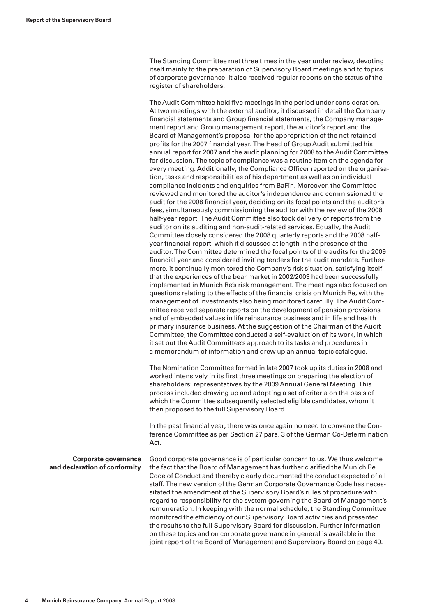The Standing Committee met three times in the year under review, devoting itself mainly to the preparation of Supervisory Board meetings and to topics of corporate governance. It also received regular reports on the status of the register of shareholders.

The Audit Committee held five meetings in the period under consideration. At two meetings with the external auditor, it discussed in detail the Company financial statements and Group financial statements, the Company management report and Group management report, the auditor's report and the Board of Management's proposal for the appropriation of the net retained profits for the 2007 financial year. The Head of Group Audit submitted his annual report for 2007 and the audit planning for 2008 to the Audit Committee for discussion. The topic of compliance was a routine item on the agenda for every meeting. Additionally, the Compliance Officer reported on the organisation, tasks and responsibilities of his department as well as on individual compliance incidents and enquiries from BaFin. Moreover, the Committee reviewed and monitored the auditor's independence and commissioned the audit for the 2008 financial year, deciding on its focal points and the auditor's fees, simultaneously commissioning the auditor with the review of the 2008 half-year report. The Audit Committee also took delivery of reports from the auditor on its auditing and non-audit-related services. Equally, the Audit Committee closely considered the 2008 quarterly reports and the 2008 halfyear financial report, which it discussed at length in the presence of the auditor. The Committee determined the focal points of the audits for the 2009 financial year and considered inviting tenders for the audit mandate. Furthermore, it continually monitored the Company's risk situation, satisfying itself that the experiences of the bear market in 2002/2003 had been successfully implemented in Munich Re's risk management. The meetings also focused on questions relating to the effects of the financial crisis on Munich Re, with the management of investments also being monitored carefully. The Audit Committee received separate reports on the development of pension provisions and of embedded values in life reinsurance business and in life and health primary insurance business. At the suggestion of the Chairman of the Audit Committee, the Committee conducted a self-evaluation of its work, in which it set out the Audit Committee's approach to its tasks and procedures in a memorandum of information and drew up an annual topic catalogue.

 The Nomination Committee formed in late 2007 took up its duties in 2008 and worked intensively in its first three meetings on preparing the election of shareholders' representatives by the 2009 Annual General Meeting. This process included drawing up and adopting a set of criteria on the basis of which the Committee subsequently selected eligible candidates, whom it then proposed to the full Supervisory Board.

In the past financial year, there was once again no need to convene the Conference Committee as per Section 27 para. 3 of the German Co-Determination Act.

**Corporate governance** Good corporate governance is of particular concern to us. We thus welcome **and declaration of conformity** the fact that the Board of Management has further clarified the Munich Re Code of Conduct and thereby clearly documented the conduct expected of all staff. The new version of the German Corporate Governance Code has necessitated the amendment of the Supervisory Board's rules of procedure with regard to responsibility for the system governing the Board of Management's remuneration. In keeping with the normal schedule, the Standing Committee monitored the efficiency of our Supervisory Board activities and presented the results to the full Supervisory Board for discussion. Further information on these topics and on corporate governance in general is available in the joint report of the Board of Management and Supervisory Board on page 40.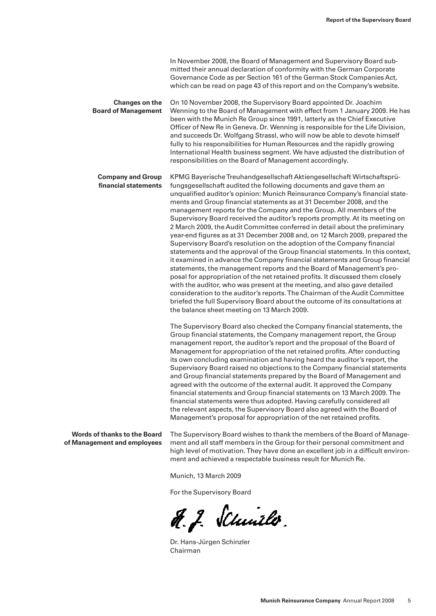|                                                                    | In November 2008, the Board of Management and Supervisory Board sub-<br>mitted their annual declaration of conformity with the German Corporate<br>Governance Code as per Section 161 of the German Stock Companies Act,<br>which can be read on page 43 of this report and on the Company's website.                                                                                                                                                                                                                                                                                                                                                                                                                                                                                                                                                                                                                                                                                                                                                                                                                                                                                                                                                                                                                         |
|--------------------------------------------------------------------|-------------------------------------------------------------------------------------------------------------------------------------------------------------------------------------------------------------------------------------------------------------------------------------------------------------------------------------------------------------------------------------------------------------------------------------------------------------------------------------------------------------------------------------------------------------------------------------------------------------------------------------------------------------------------------------------------------------------------------------------------------------------------------------------------------------------------------------------------------------------------------------------------------------------------------------------------------------------------------------------------------------------------------------------------------------------------------------------------------------------------------------------------------------------------------------------------------------------------------------------------------------------------------------------------------------------------------|
| <b>Changes on the</b><br><b>Board of Management</b>                | On 10 November 2008, the Supervisory Board appointed Dr. Joachim<br>Wenning to the Board of Management with effect from 1 January 2009. He has<br>been with the Munich Re Group since 1991, latterly as the Chief Executive<br>Officer of New Re in Geneva. Dr. Wenning is responsible for the Life Division,<br>and succeeds Dr. Wolfgang Strassl, who will now be able to devote himself<br>fully to his responsibilities for Human Resources and the rapidly growing<br>International Health business segment. We have adjusted the distribution of<br>responsibilities on the Board of Management accordingly.                                                                                                                                                                                                                                                                                                                                                                                                                                                                                                                                                                                                                                                                                                            |
| <b>Company and Group</b><br>financial statements                   | KPMG Bayerische Treuhandgesellschaft Aktiengesellschaft Wirtschaftsprü-<br>fungsgesellschaft audited the following documents and gave them an<br>unqualified auditor's opinion: Munich Reinsurance Company's financial state-<br>ments and Group financial statements as at 31 December 2008, and the<br>management reports for the Company and the Group. All members of the<br>Supervisory Board received the auditor's reports promptly. At its meeting on<br>2 March 2009, the Audit Committee conferred in detail about the preliminary<br>year-end figures as at 31 December 2008 and, on 12 March 2009, prepared the<br>Supervisory Board's resolution on the adoption of the Company financial<br>statements and the approval of the Group financial statements. In this context,<br>it examined in advance the Company financial statements and Group financial<br>statements, the management reports and the Board of Management's pro-<br>posal for appropriation of the net retained profits. It discussed them closely<br>with the auditor, who was present at the meeting, and also gave detailed<br>consideration to the auditor's reports. The Chairman of the Audit Committee<br>briefed the full Supervisory Board about the outcome of its consultations at<br>the balance sheet meeting on 13 March 2009. |
|                                                                    | The Supervisory Board also checked the Company financial statements, the<br>Group financial statements, the Company management report, the Group<br>management report, the auditor's report and the proposal of the Board of<br>Management for appropriation of the net retained profits. After conducting<br>its own concluding examination and having heard the auditor's report, the<br>Supervisory Board raised no objections to the Company financial statements<br>and Group financial statements prepared by the Board of Management and<br>agreed with the outcome of the external audit. It approved the Company<br>financial statements and Group financial statements on 13 March 2009. The<br>financial statements were thus adopted. Having carefully considered all<br>the relevant aspects, the Supervisory Board also agreed with the Board of<br>Management's proposal for appropriation of the net retained profits.                                                                                                                                                                                                                                                                                                                                                                                        |
| <b>Words of thanks to the Board</b><br>of Management and employees | The Supervisory Board wishes to thank the members of the Board of Manage-<br>ment and all staff members in the Group for their personal commitment and<br>high level of motivation. They have done an excellent job in a difficult environ-<br>ment and achieved a respectable business result for Munich Re.                                                                                                                                                                                                                                                                                                                                                                                                                                                                                                                                                                                                                                                                                                                                                                                                                                                                                                                                                                                                                 |
|                                                                    | Munich, 13 March 2009                                                                                                                                                                                                                                                                                                                                                                                                                                                                                                                                                                                                                                                                                                                                                                                                                                                                                                                                                                                                                                                                                                                                                                                                                                                                                                         |

For the Supervisory Board

F. J. Schwile.

Dr. Hans-Jürgen Schinzler Chairman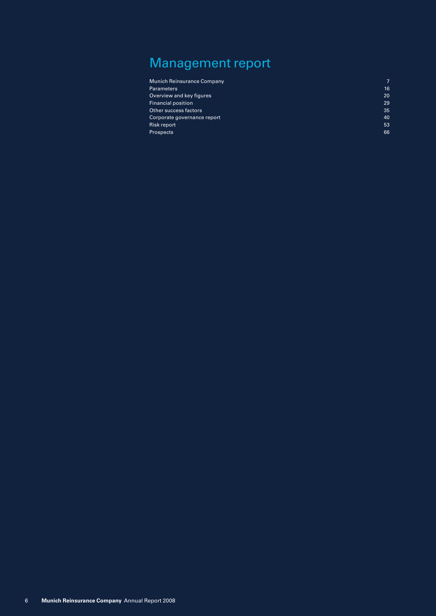# Management report

| <b>Munich Reinsurance Company</b> |    |
|-----------------------------------|----|
| <b>Parameters</b>                 | 16 |
| Overview and key figures          | 20 |
| <b>Financial position</b>         | 29 |
| Other success factors             | 35 |
| Corporate governance report       | 40 |
| Risk report                       | 53 |
| <b>Prospects</b>                  | 66 |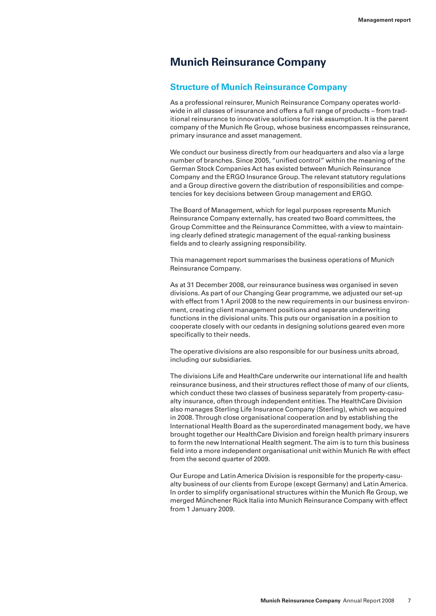## **Munich Reinsurance Company**

#### **Structure of Munich Reinsurance Company**

As a professional reinsurer, Munich Reinsurance Company operates worldwide in all classes of insurance and offers a full range of products – from traditional reinsurance to innovative solutions for risk assumption. It is the parent company of the Munich Re Group, whose business encompasses reinsurance, primary insurance and asset management.

We conduct our business directly from our headquarters and also via a large number of branches. Since 2005, "unified control" within the meaning of the German Stock Companies Act has existed between Munich Reinsurance Company and the ERGO Insurance Group. The relevant statutory regulations and a Group directive govern the distribution of responsibilities and competencies for key decisions between Group management and ERGO.

The Board of Management, which for legal purposes represents Munich Reinsurance Company externally, has created two Board committees, the Group Committee and the Reinsurance Committee, with a view to maintaining clearly defined strategic management of the equal-ranking business fields and to clearly assigning responsibility.

This management report summarises the business operations of Munich Reinsurance Company.

As at 31 December 2008, our reinsurance business was organised in seven divisions. As part of our Changing Gear programme, we adjusted our set-up with effect from 1 April 2008 to the new requirements in our business environment, creating client management positions and separate underwriting functions in the divisional units. This puts our organisation in a position to cooperate closely with our cedants in designing solutions geared even more specifically to their needs.

The operative divisions are also responsible for our business units abroad, including our subsidiaries.

The divisions Life and HealthCare underwrite our international life and health reinsurance business, and their structures reflect those of many of our clients, which conduct these two classes of business separately from property-casualty insurance, often through independent entities. The HealthCare Division also manages Sterling Life Insurance Company (Sterling), which we acquired in 2008. Through close organisational cooperation and by establishing the International Health Board as the superordinated management body, we have brought together our HealthCare Division and foreign health primary insurers to form the new International Health segment. The aim is to turn this business field into a more independent organisational unit within Munich Re with effect from the second quarter of 2009.

Our Europe and Latin America Division is responsible for the property-casualty business of our clients from Europe (except Germany) and Latin America. In order to simplify organisational structures within the Munich Re Group, we merged Münchener Rück Italia into Munich Reinsurance Company with effect from 1 January 2009.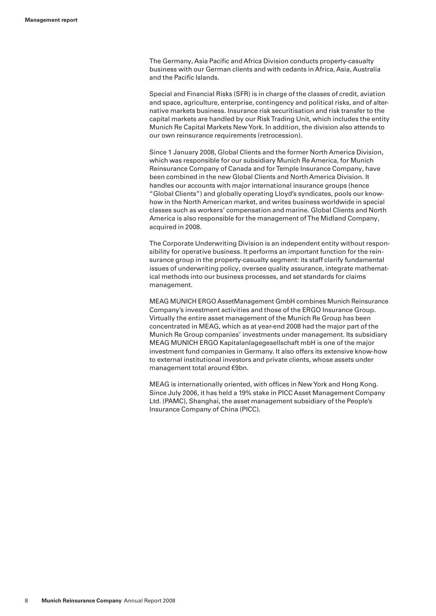The Germany, Asia Pacific and Africa Division conducts property-casualty business with our German clients and with cedants in Africa, Asia, Australia and the Pacific Islands.

Special and Financial Risks (SFR) is in charge of the classes of credit, aviation and space, agriculture, enterprise, contingency and political risks, and of alternative markets business. Insurance risk securitisation and risk transfer to the capital markets are handled by our Risk Trading Unit, which includes the entity Munich Re Capital Markets New York. In addition, the division also attends to our own reinsurance requirements (retrocession).

Since 1 January 2008, Global Clients and the former North America Division, which was responsible for our subsidiary Munich Re America, for Munich Reinsurance Company of Canada and for Temple Insurance Company, have been combined in the new Global Clients and North America Division. It handles our accounts with major international insurance groups (hence "Global Clients") and globally operating Lloyd's syndicates, pools our knowhow in the North American market, and writes business worldwide in special classes such as workers' compensation and marine. Global Clients and North America is also responsible for the management of The Midland Company, acquired in 2008.

The Corporate Underwriting Division is an independent entity without responsibility for operative business. It performs an important function for the reinsurance group in the property-casualty segment: its staff clarify fundamental issues of underwriting policy, oversee quality assurance, integrate mathematical methods into our business processes, and set standards for claims management.

MEAG MUNICH ERGO AssetManagement GmbH combines Munich Reinsurance Company's investment activities and those of the ERGO Insurance Group. Virtually the entire asset management of the Munich Re Group has been concentrated in MEAG, which as at year-end 2008 had the major part of the Munich Re Group companies' investments under management. Its subsidiary MEAG MUNICH ERGO Kapitalanlagegesellschaft mbH is one of the major investment fund companies in Germany. It also offers its extensive know-how to external institutional investors and private clients, whose assets under management total around €9bn.

MEAG is internationally oriented, with offices in New York and Hong Kong. Since July 2006, it has held a 19% stake in PICC Asset Management Company Ltd. (PAMC), Shanghai, the asset management subsidiary of the People's Insurance Company of China (PICC).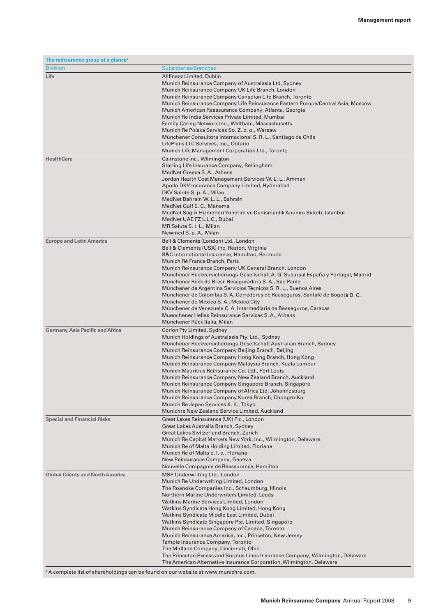| The reinsurance group at a glance <sup>1</sup> |                                                                                                                                                                                                                                                                                                                                                                                                                                                                                                                                                                                                                                                                                                                                                                                                                                      |
|------------------------------------------------|--------------------------------------------------------------------------------------------------------------------------------------------------------------------------------------------------------------------------------------------------------------------------------------------------------------------------------------------------------------------------------------------------------------------------------------------------------------------------------------------------------------------------------------------------------------------------------------------------------------------------------------------------------------------------------------------------------------------------------------------------------------------------------------------------------------------------------------|
| <b>Division</b>                                | <b>Subsidiaries/Branches</b>                                                                                                                                                                                                                                                                                                                                                                                                                                                                                                                                                                                                                                                                                                                                                                                                         |
| Life                                           | Allfinanz Limited, Dublin<br>Munich Reinsurance Company of Australasia Ltd, Sydney<br>Munich Reinsurance Company UK Life Branch, London<br>Munich Reinsurance Company Canadian Life Branch, Toronto<br>Munich Reinsurance Company Life Reinsurance Eastern Europe/Central Asia, Moscow<br>Munich American Reassurance Company, Atlanta, Georgia<br>Munich Re India Services Private Limited, Mumbai<br>Family Caring Network Inc., Waltham, Massachusetts<br>Munich Re Polska Services So. Z. o. o., Warsaw<br>Münchener Consultora Internacional S. R. L., Santiago de Chile<br>LifePlans LTC Services, Inc., Ontario<br>Munich Life Management Corporation Ltd., Toronto                                                                                                                                                           |
| <b>HealthCare</b>                              | Cairnstone Inc., Wilmington<br>Sterling Life Insurance Company, Bellingham<br>MedNet Greece S.A., Athens<br>Jordan Health Cost Management Services W. L. L., Amman<br>Apollo DKV Insurance Company Limited, Hyderabad<br>DKV Salute S. p. A., Milan<br>MedNet Bahrain W. L. L., Bahrain<br>MedNet Gulf E. C., Manama<br>MedNet Sağlik Hizmetleri Yönetim ve Danismanlik Anonim Sirketi, Istanbul<br>MedNet UAE FZ L.L.C., Dubai<br>MR Salute S. r. L., Milan<br>Newmed S. p. A., Milan                                                                                                                                                                                                                                                                                                                                               |
| <b>Europe and Latin America</b>                | Bell & Clements (London) Ltd., London<br>Bell & Clements (USA) Inc, Reston, Virginia<br>B&C International Insurance, Hamilton, Bermuda<br>Munich Ré France Branch, Paris<br>Munich Reinsurance Company UK General Branch, London<br>Münchener Rückversicherungs-Gesellschaft A. G. Sucursal España y Portugal, Madrid<br>Münchener Rück do Brasil Reseguradora S. A., São Paulo<br>Münchener de Argentina Servicios Técnicos S. R. L., Buenos Aires<br>Münchener de Colombia S. A. Corredores de Reaseguros, Santafé de Bogotá D. C.<br>Münchener de México S.A., Mexico City<br>Münchener de Venezuela C. A. Intermediaria de Reaseguros, Caracas<br>Muenchener Hellas Reinsurance Services S. A., Athens<br>Münchener Rück Italia, Milan                                                                                           |
| Germany, Asia Pacific and Africa               | Corion Pty Limited, Sydney<br>Munich Holdings of Australasia Pty. Ltd., Sydney<br>Münchener Rückversicherungs-Gesellschaft Australian Branch, Sydney<br>Munich Reinsurance Company Beijing Branch, Beijing<br>Munich Reinsurance Company Hong Kong Branch, Hong Kong<br>Munich Reinsurance Company Malaysia Branch, Kuala Lumpur<br>Munich Mauritius Reinsurance Co. Ltd., Port Louis<br>Munich Reinsurance Company New Zealand Branch, Auckland<br>Munich Reinsurance Company Singapore Branch, Singapore<br>Munich Reinsurance Company of Africa Ltd, Johannesburg<br>Munich Reinsurance Company Korea Branch, Chongro-Ku<br>Munich Re Japan Services K. K., Tokyo<br>Munichre New Zealand Service Limited, Auckland                                                                                                               |
| <b>Special and Financial Risks</b>             | Great Lakes Reinsurance (UK) Plc., London<br>Great Lakes Australia Branch, Sydney<br>Great Lakes Switzerland Branch, Zurich<br>Munich Re Capital Markets New York, Inc., Wilmington, Delaware<br>Munich Re of Malta Holding Limited, Floriana<br>Munich Re of Malta p. I. c., Floriana<br>New Reinsurance Company, Geneva<br>Nouvelle Compagnie de Réassurance, Hamilton                                                                                                                                                                                                                                                                                                                                                                                                                                                             |
| <b>Global Clients and North America</b>        | MSP Underwriting Ltd., London<br>Munich Re Underwriting Limited, London<br>The Roanoke Companies Inc., Schaumburg, Illinois<br>Northern Marine Underwriters Limited, Leeds<br>Watkins Marine Services Limited, London<br>Watkins Syndicate Hong Kong Limited, Hong Kong<br>Watkins Syndicate Middle East Limited, Dubai<br>Watkins Syndicate Singapore Pte. Limited, Singapore<br>Munich Reinsurance Company of Canada, Toronto<br>Munich Reinsurance America, Inc., Princeton, New Jersey<br>Temple Insurance Company, Toronto<br>The Midland Company, Cincinnati, Ohio<br>The Princeton Excess and Surplus Lines Insurance Company, Wilmington, Delaware<br>The American Alternative Insurance Corporation, Wilmington, Delaware<br><sup>1</sup> A complete list of shareholdings can be found on our website at www.munichre.com. |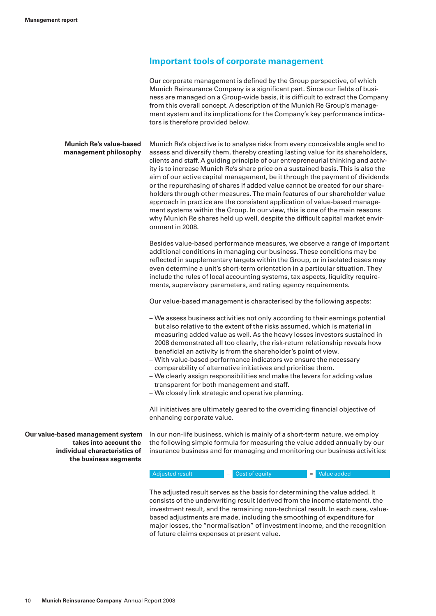### **Important tools of corporate management**

Our corporate management is defined by the Group perspective, of which Munich Reinsurance Company is a significant part. Since our fields of business are managed on a Group-wide basis, it is difficult to extract the Company from this overall concept. A description of the Munich Re Group's management system and its implications for the Company's key performance indicators is therefore provided below.

**Munich Re's value-based** Munich Re's objective is to analyse risks from every conceivable angle and to **management philosophy** assess and diversify them, thereby creating lasting value for its shareholders, clients and staff. A guiding principle of our entrepreneurial thinking and activity is to increase Munich Re's share price on a sustained basis. This is also the aim of our active capital management, be it through the payment of dividends or the repurchasing of shares if added value cannot be created for our shareholders through other measures. The main features of our shareholder value approach in practice are the consistent application of value-based management systems within the Group. In our view, this is one of the main reasons why Munich Re shares held up well, despite the difficult capital market environment in 2008.

> Besides value-based performance measures, we observe a range of important additional conditions in managing our business. These conditions may be reflected in supplementary targets within the Group, or in isolated cases may even determine a unit's short-term orientation in a particular situation. They include the rules of local accounting systems, tax aspects, liquidity requirements, supervisory parameters, and rating agency requirements.

Our value-based management is characterised by the following aspects:

- We assess business activities not only according to their earnings potential but also relative to the extent of the risks assumed, which is material in measuring added value as well. As the heavy losses investors sustained in 2008 demonstrated all too clearly, the risk-return relationship reveals how beneficial an activity is from the shareholder's point of view.
- With value-based performance indicators we ensure the necessary comparability of alternative initiatives and prioritise them.
- We clearly assign responsibilities and make the levers for adding value transparent for both management and staff.
- We closely link strategic and operative planning.

All initiatives are ultimately geared to the overriding financial objective of enhancing corporate value.

**the business segments**

**Our value-based management system** In our non-life business, which is mainly of a short-term nature, we employ **takes into account the** the following simple formula for measuring the value added annually by our **individual characteristics of** insurance business and for managing and monitoring our business activities:

Adjusted result – Cost of equity = Value added

The adjusted result serves as the basis for determining the value added. It consists of the underwriting result (derived from the income statement), the investment result, and the remaining non-technical result. In each case, valuebased adjustments are made, including the smoothing of expenditure for major losses, the "normalisation" of investment income, and the recognition of future claims expenses at present value.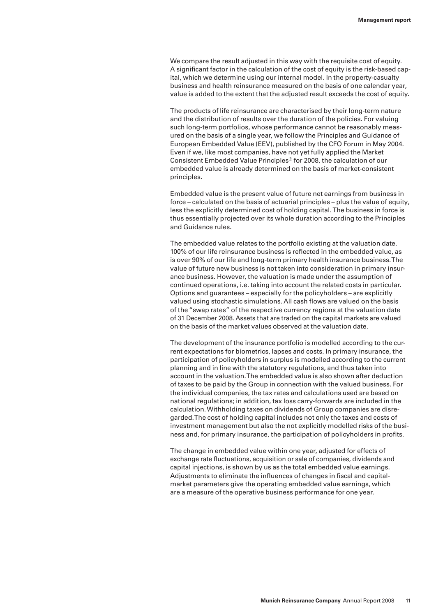We compare the result adjusted in this way with the requisite cost of equity. A significant factor in the calculation of the cost of equity is the risk-based capital, which we determine using our internal model. In the property-casualty business and health reinsurance measured on the basis of one calendar year, value is added to the extent that the adjusted result exceeds the cost of equity.

The products of life reinsurance are characterised by their long-term nature and the distribution of results over the duration of the policies. For valuing such long-term portfolios, whose performance cannot be reasonably measured on the basis of a single year, we follow the Principles and Guidance of European Embedded Value (EEV), published by the CFO Forum in May 2004. Even if we, like most companies, have not yet fully applied the Market Consistent Embedded Value Principles© for 2008, the calculation of our embedded value is already determined on the basis of market-consistent principles.

Embedded value is the present value of future net earnings from business in force – calculated on the basis of actuarial principles – plus the value of equity, less the explicitly determined cost of holding capital. The business in force is thus essentially projected over its whole duration according to the Principles and Guidance rules.

The embedded value relates to the portfolio existing at the valuation date. 100% of our life reinsurance business is reflected in the embedded value, as is over 90% of our life and long-term primary health insurance business. The value of future new business is not taken into consideration in primary insurance business. However, the valuation is made under the assumption of continued operations, i.e. taking into account the related costs in particular. Options and guarantees – especially for the policyholders – are explicitly valued using stochastic simulations. All cash flows are valued on the basis of the "swap rates" of the respective currency regions at the valuation date of 31 December 2008. Assets that are traded on the capital markets are valued on the basis of the market values observed at the valuation date.

The development of the insurance portfolio is modelled according to the current expectations for biometrics, lapses and costs. In primary insurance, the participation of policyholders in surplus is modelled according to the current planning and in line with the statutory regulations, and thus taken into account in the valuation. The embedded value is also shown after deduction of taxes to be paid by the Group in connection with the valued business. For the individual companies, the tax rates and calculations used are based on national regulations; in addition, tax loss carry-forwards are included in the calculation. Withholding taxes on dividends of Group companies are disregarded. The cost of holding capital includes not only the taxes and costs of investment management but also the not explicitly modelled risks of the business and, for primary insurance, the participation of policyholders in profits.

The change in embedded value within one year, adjusted for effects of exchange rate fluctuations, acquisition or sale of companies, dividends and capital injections, is shown by us as the total embedded value earnings. Adjustments to eliminate the influences of changes in fiscal and capitalmarket parameters give the operating embedded value earnings, which are a measure of the operative business performance for one year.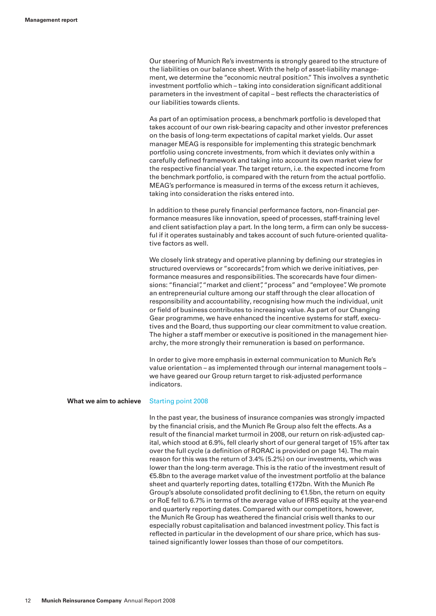Our steering of Munich Re's investments is strongly geared to the structure of the liabilities on our balance sheet. With the help of asset-liability management, we determine the "economic neutral position." This involves a synthetic investment portfolio which – taking into consideration significant additional parameters in the investment of capital – best reflects the characteristics of our liabilities towards clients.

As part of an optimisation process, a benchmark portfolio is developed that takes account of our own risk-bearing capacity and other investor preferences on the basis of long-term expectations of capital market yields. Our asset manager MEAG is responsible for implementing this strategic benchmark portfolio using concrete investments, from which it deviates only within a carefully defined framework and taking into account its own market view for the respective financial year. The target return, i.e. the expected income from the benchmark portfolio, is compared with the return from the actual portfolio. MEAG's performance is measured in terms of the excess return it achieves, taking into consideration the risks entered into.

In addition to these purely financial performance factors, non-financial performance measures like innovation, speed of processes, staff-training level and client satisfaction play a part. In the long term, a firm can only be successful if it operates sustainably and takes account of such future-oriented qualitative factors as well.

We closely link strategy and operative planning by defining our strategies in structured overviews or "scorecards", from which we derive initiatives, performance measures and responsibilities. The scorecards have four dimensions: "financial", "market and client", "process" and "employee". We promote an entrepreneurial culture among our staff through the clear allocation of responsibility and accountability, recognising how much the individual, unit or field of business contributes to increasing value. As part of our Changing Gear programme, we have enhanced the incentive systems for staff, executives and the Board, thus supporting our clear commitment to value creation. The higher a staff member or executive is positioned in the management hierarchy, the more strongly their remuneration is based on performance.

In order to give more emphasis in external communication to Munich Re's value orientation – as implemented through our internal management tools – we have geared our Group return target to risk-adjusted performance indicators.

#### **What we aim to achieve** Starting point 2008

In the past year, the business of insurance companies was strongly impacted by the financial crisis, and the Munich Re Group also felt the effects. As a result of the financial market turmoil in 2008, our return on risk-adjusted capital, which stood at 6.9%, fell clearly short of our general target of 15% after tax over the full cycle (a definition of RORAC is provided on page 14). The main reason for this was the return of 3.4% (5.2%) on our investments, which was lower than the long-term average. This is the ratio of the investment result of €5.8bn to the average market value of the investment portfolio at the balance sheet and quarterly reporting dates, totalling €172bn. With the Munich Re Group's absolute consolidated profit declining to €1.5bn, the return on equity or RoE fell to 6.7% in terms of the average value of IFRS equity at the year-end and quarterly reporting dates. Compared with our competitors, however, the Munich Re Group has weathered the financial crisis well thanks to our especially robust capitalisation and balanced investment policy. This fact is reflected in particular in the development of our share price, which has sustained significantly lower losses than those of our competitors.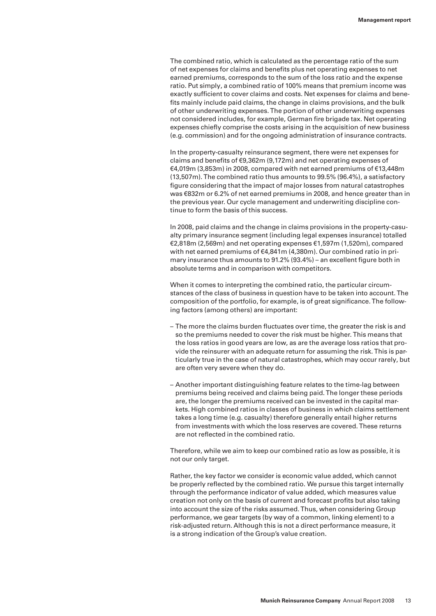The combined ratio, which is calculated as the percentage ratio of the sum of net expenses for claims and benefits plus net operating expenses to net earned premiums, corresponds to the sum of the loss ratio and the expense ratio. Put simply, a combined ratio of 100% means that premium income was exactly sufficient to cover claims and costs. Net expenses for claims and benefits mainly include paid claims, the change in claims provisions, and the bulk of other underwriting expenses. The portion of other underwriting expenses not considered includes, for example, German fire brigade tax. Net operating expenses chiefly comprise the costs arising in the acquisition of new business (e.g. commission) and for the ongoing administration of insurance contracts.

In the property-casualty reinsurance segment, there were net expenses for claims and benefits of €9,362m (9,172m) and net operating expenses of €4,019m (3,853m) in 2008, compared with net earned premiums of €13,448m (13,507m). The combined ratio thus amounts to 99.5% (96.4%), a satisfactory figure considering that the impact of major losses from natural catastrophes was €832m or 6.2% of net earned premiums in 2008, and hence greater than in the previous year. Our cycle management and underwriting discipline continue to form the basis of this success.

In 2008, paid claims and the change in claims provisions in the property-casualty primary insurance segment (including legal expenses insurance) totalled €2,818m (2,569m) and net operating expenses €1,597m (1,520m), compared with net earned premiums of €4,841m (4,380m). Our combined ratio in primary insurance thus amounts to 91.2% (93.4%) – an excellent figure both in absolute terms and in comparison with competitors.

When it comes to interpreting the combined ratio, the particular circumstances of the class of business in question have to be taken into account. The composition of the portfolio, for example, is of great significance. The following factors (among others) are important:

- The more the claims burden fluctuates over time, the greater the risk is and so the premiums needed to cover the risk must be higher. This means that the loss ratios in good years are low, as are the average loss ratios that provide the reinsurer with an adequate return for assuming the risk. This is particularly true in the case of natural catastrophes, which may occur rarely, but are often very severe when they do.
- Another important distinguishing feature relates to the time-lag between premiums being received and claims being paid. The longer these periods are, the longer the premiums received can be invested in the capital markets. High combined ratios in classes of business in which claims settlement takes a long time (e.g. casualty) therefore generally entail higher returns from investments with which the loss reserves are covered. These returns are not reflected in the combined ratio.

Therefore, while we aim to keep our combined ratio as low as possible, it is not our only target.

Rather, the key factor we consider is economic value added, which cannot be properly reflected by the combined ratio. We pursue this target internally through the performance indicator of value added, which measures value creation not only on the basis of current and forecast profits but also taking into account the size of the risks assumed. Thus, when considering Group performance, we gear targets (by way of a common, linking element) to a risk-adjusted return. Although this is not a direct performance measure, it is a strong indication of the Group's value creation.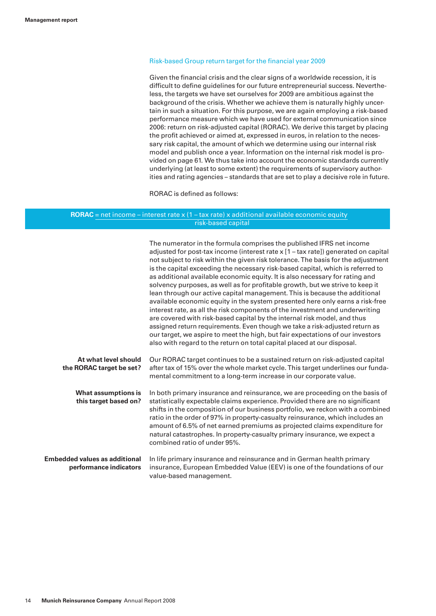#### Risk-based Group return target for the financial year 2009

Given the financial crisis and the clear signs of a worldwide recession, it is difficult to define guidelines for our future entrepreneurial success. Nevertheless, the targets we have set ourselves for 2009 are ambitious against the background of the crisis. Whether we achieve them is naturally highly uncertain in such a situation. For this purpose, we are again employing a risk-based performance measure which we have used for external communication since 2006: return on risk-adjusted capital (RORAC). We derive this target by placing the profit achieved or aimed at, expressed in euros, in relation to the necessary risk capital, the amount of which we determine using our internal risk model and publish once a year. Information on the internal risk model is provided on page 61. We thus take into account the economic standards currently underlying (at least to some extent) the requirements of supervisory authorities and rating agencies – standards that are set to play a decisive role in future.

RORAC is defined as follows:

#### **RORAC** = net income – interest rate x (1 – tax rate) x additional available economic equity risk-based capital

|                                                                | The numerator in the formula comprises the published IFRS net income<br>adjusted for post-tax income (interest rate $x$ [1 – tax rate]) generated on capital<br>not subject to risk within the given risk tolerance. The basis for the adjustment<br>is the capital exceeding the necessary risk-based capital, which is referred to<br>as additional available economic equity. It is also necessary for rating and<br>solvency purposes, as well as for profitable growth, but we strive to keep it<br>lean through our active capital management. This is because the additional<br>available economic equity in the system presented here only earns a risk-free<br>interest rate, as all the risk components of the investment and underwriting<br>are covered with risk-based capital by the internal risk model, and thus<br>assigned return requirements. Even though we take a risk-adjusted return as<br>our target, we aspire to meet the high, but fair expectations of our investors<br>also with regard to the return on total capital placed at our disposal. |
|----------------------------------------------------------------|------------------------------------------------------------------------------------------------------------------------------------------------------------------------------------------------------------------------------------------------------------------------------------------------------------------------------------------------------------------------------------------------------------------------------------------------------------------------------------------------------------------------------------------------------------------------------------------------------------------------------------------------------------------------------------------------------------------------------------------------------------------------------------------------------------------------------------------------------------------------------------------------------------------------------------------------------------------------------------------------------------------------------------------------------------------------------|
| At what level should<br>the RORAC target be set?               | Our RORAC target continues to be a sustained return on risk-adjusted capital<br>after tax of 15% over the whole market cycle. This target underlines our funda-<br>mental commitment to a long-term increase in our corporate value.                                                                                                                                                                                                                                                                                                                                                                                                                                                                                                                                                                                                                                                                                                                                                                                                                                         |
| What assumptions is<br>this target based on?                   | In both primary insurance and reinsurance, we are proceeding on the basis of<br>statistically expectable claims experience. Provided there are no significant<br>shifts in the composition of our business portfolio, we reckon with a combined<br>ratio in the order of 97% in property-casualty reinsurance, which includes an<br>amount of 6.5% of net earned premiums as projected claims expenditure for<br>natural catastrophes. In property-casualty primary insurance, we expect a<br>combined ratio of under 95%.                                                                                                                                                                                                                                                                                                                                                                                                                                                                                                                                                   |
| <b>Embedded values as additional</b><br>performance indicators | In life primary insurance and reinsurance and in German health primary<br>insurance, European Embedded Value (EEV) is one of the foundations of our<br>value-based management.                                                                                                                                                                                                                                                                                                                                                                                                                                                                                                                                                                                                                                                                                                                                                                                                                                                                                               |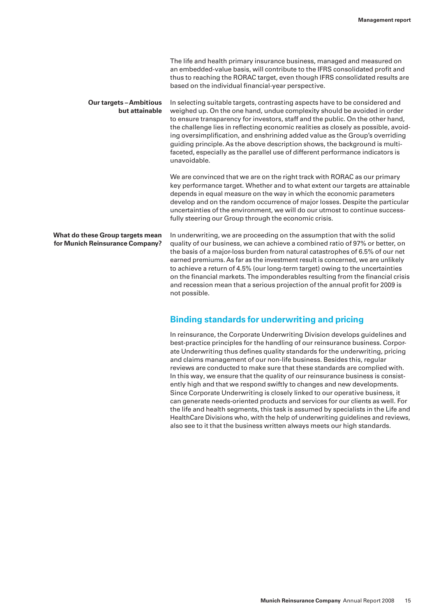|                                                                     | The life and health primary insurance business, managed and measured on<br>an embedded-value basis, will contribute to the IFRS consolidated profit and<br>thus to reaching the RORAC target, even though IFRS consolidated results are<br>based on the individual financial-year perspective.                                                                                                                                                                                                                                                                                                    |
|---------------------------------------------------------------------|---------------------------------------------------------------------------------------------------------------------------------------------------------------------------------------------------------------------------------------------------------------------------------------------------------------------------------------------------------------------------------------------------------------------------------------------------------------------------------------------------------------------------------------------------------------------------------------------------|
| <b>Our targets-Ambitious</b><br>but attainable                      | In selecting suitable targets, contrasting aspects have to be considered and<br>weighed up. On the one hand, undue complexity should be avoided in order<br>to ensure transparency for investors, staff and the public. On the other hand,<br>the challenge lies in reflecting economic realities as closely as possible, avoid-<br>ing oversimplification, and enshrining added value as the Group's overriding<br>guiding principle. As the above description shows, the background is multi-<br>faceted, especially as the parallel use of different performance indicators is<br>unavoidable. |
|                                                                     | We are convinced that we are on the right track with RORAC as our primary<br>key performance target. Whether and to what extent our targets are attainable<br>depends in equal measure on the way in which the economic parameters<br>develop and on the random occurrence of major losses. Despite the particular<br>uncertainties of the environment, we will do our utmost to continue success-<br>fully steering our Group through the economic crisis.                                                                                                                                       |
| What do these Group targets mean<br>for Munich Reinsurance Company? | In underwriting, we are proceeding on the assumption that with the solid<br>quality of our business, we can achieve a combined ratio of 97% or better, on<br>the basis of a major-loss burden from natural catastrophes of 6.5% of our net<br>earned premiums. As far as the investment result is concerned, we are unlikely<br>to achieve a return of 4.5% (our long-term target) owing to the uncertainties<br>on the financial markets. The imponderables resulting from the financial crisis                                                                                                  |

not possible.

#### **Binding standards for underwriting and pricing**

In reinsurance, the Corporate Underwriting Division develops guidelines and best-practice principles for the handling of our reinsurance business. Corporate Underwriting thus defines quality standards for the underwriting, pricing and claims management of our non-life business. Besides this, regular reviews are conducted to make sure that these standards are complied with. In this way, we ensure that the quality of our reinsurance business is consistently high and that we respond swiftly to changes and new developments. Since Corporate Underwriting is closely linked to our operative business, it can generate needs-oriented products and services for our clients as well. For the life and health segments, this task is assumed by specialists in the Life and HealthCare Divisions who, with the help of underwriting guidelines and reviews, also see to it that the business written always meets our high standards.

and recession mean that a serious projection of the annual profit for 2009 is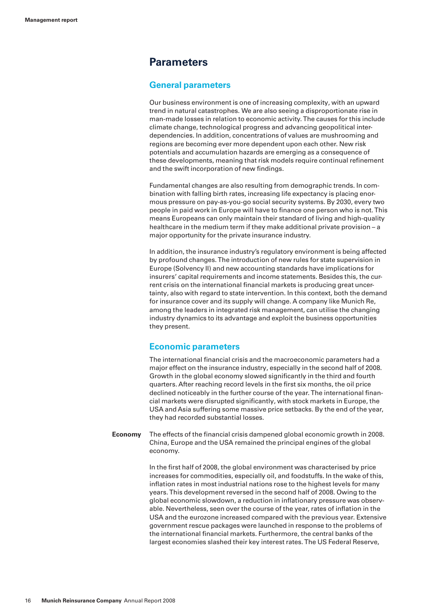## **Parameters**

#### **General parameters**

Our business environment is one of increasing complexity, with an upward trend in natural catastrophes. We are also seeing a disproportionate rise in man-made losses in relation to economic activity. The causes for this include climate change, technological progress and advancing geopolitical interdependencies. In addition, concentrations of values are mushrooming and regions are becoming ever more dependent upon each other. New risk potentials and accumulation hazards are emerging as a consequence of these developments, meaning that risk models require continual refinement and the swift incorporation of new findings.

Fundamental changes are also resulting from demographic trends. In combination with falling birth rates, increasing life expectancy is placing enormous pressure on pay-as-you-go social security systems. By 2030, every two people in paid work in Europe will have to finance one person who is not. This means Europeans can only maintain their standard of living and high-quality healthcare in the medium term if they make additional private provision – a major opportunity for the private insurance industry.

In addition, the insurance industry's regulatory environment is being affected by profound changes. The introduction of new rules for state supervision in Europe (Solvency II) and new accounting standards have implications for insurers' capital requirements and income statements. Besides this, the current crisis on the international financial markets is producing great uncertainty, also with regard to state intervention. In this context, both the demand for insurance cover and its supply will change. A company like Munich Re, among the leaders in integrated risk management, can utilise the changing industry dynamics to its advantage and exploit the business opportunities they present.

### **Economic parameters**

The international financial crisis and the macroeconomic parameters had a major effect on the insurance industry, especially in the second half of 2008. Growth in the global economy slowed significantly in the third and fourth quarters. After reaching record levels in the first six months, the oil price declined noticeably in the further course of the year. The international financial markets were disrupted significantly, with stock markets in Europe, the USA and Asia suffering some massive price setbacks. By the end of the year, they had recorded substantial losses.

**Economy** The effects of the financial crisis dampened global economic growth in 2008. China, Europe and the USA remained the principal engines of the global economy.

> In the first half of 2008, the global environment was characterised by price increases for commodities, especially oil, and foodstuffs. In the wake of this, inflation rates in most industrial nations rose to the highest levels for many years. This development reversed in the second half of 2008. Owing to the global economic slowdown, a reduction in inflationary pressure was observable. Nevertheless, seen over the course of the year, rates of inflation in the USA and the eurozone increased compared with the previous year. Extensive government rescue packages were launched in response to the problems of the international financial markets. Furthermore, the central banks of the largest economies slashed their key interest rates. The US Federal Reserve,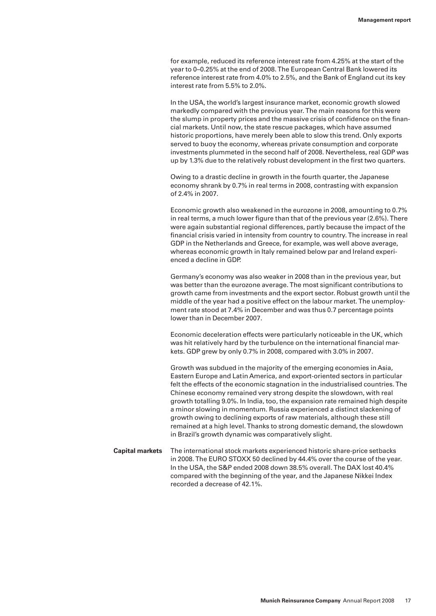for example, reduced its reference interest rate from 4.25% at the start of the year to 0–0.25% at the end of 2008. The European Central Bank lowered its reference interest rate from 4.0% to 2.5%, and the Bank of England cut its key interest rate from 5.5% to 2.0%.

In the USA, the world's largest insurance market, economic growth slowed markedly compared with the previous year. The main reasons for this were the slump in property prices and the massive crisis of confidence on the financial markets. Until now, the state rescue packages, which have assumed historic proportions, have merely been able to slow this trend. Only exports served to buoy the economy, whereas private consumption and corporate investments plummeted in the second half of 2008. Nevertheless, real GDP was up by 1.3% due to the relatively robust development in the first two quarters.

Owing to a drastic decline in growth in the fourth quarter, the Japanese economy shrank by 0.7% in real terms in 2008, contrasting with expansion of 2.4% in 2007.

Economic growth also weakened in the eurozone in 2008, amounting to 0.7% in real terms, a much lower figure than that of the previous year (2.6%). There were again substantial regional differences, partly because the impact of the financial crisis varied in intensity from country to country. The increase in real GDP in the Netherlands and Greece, for example, was well above average, whereas economic growth in Italy remained below par and Ireland experienced a decline in GDP.

Germany's economy was also weaker in 2008 than in the previous year, but was better than the eurozone average. The most significant contributions to growth came from investments and the export sector. Robust growth until the middle of the year had a positive effect on the labour market. The unemployment rate stood at 7.4% in December and was thus 0.7 percentage points lower than in December 2007.

Economic deceleration effects were particularly noticeable in the UK, which was hit relatively hard by the turbulence on the international financial markets. GDP grew by only 0.7% in 2008, compared with 3.0% in 2007.

Growth was subdued in the majority of the emerging economies in Asia, Eastern Europe and Latin America, and export-oriented sectors in particular felt the effects of the economic stagnation in the industrialised countries. The Chinese economy remained very strong despite the slowdown, with real growth totalling 9.0%. In India, too, the expansion rate remained high despite a minor slowing in momentum. Russia experienced a distinct slackening of growth owing to declining exports of raw materials, although these still remained at a high level. Thanks to strong domestic demand, the slowdown in Brazil's growth dynamic was comparatively slight.

**Capital markets** The international stock markets experienced historic share-price setbacks in 2008. The EURO STOXX 50 declined by 44.4% over the course of the year. In the USA, the S&P ended 2008 down 38.5% overall. The DAX lost 40.4% compared with the beginning of the year, and the Japanese Nikkei Index recorded a decrease of 42.1%.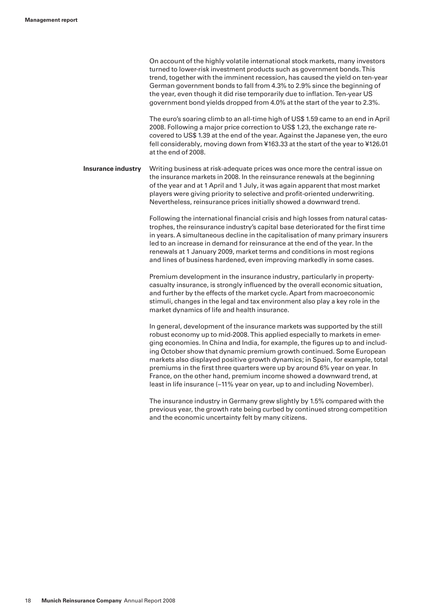|                           | On account of the highly volatile international stock markets, many investors<br>turned to lower-risk investment products such as government bonds. This<br>trend, together with the imminent recession, has caused the yield on ten-year<br>German government bonds to fall from 4.3% to 2.9% since the beginning of<br>the year, even though it did rise temporarily due to inflation. Ten-year US<br>government bond yields dropped from 4.0% at the start of the year to 2.3%.                                                                                                                                                         |
|---------------------------|--------------------------------------------------------------------------------------------------------------------------------------------------------------------------------------------------------------------------------------------------------------------------------------------------------------------------------------------------------------------------------------------------------------------------------------------------------------------------------------------------------------------------------------------------------------------------------------------------------------------------------------------|
|                           | The euro's soaring climb to an all-time high of US\$ 1.59 came to an end in April<br>2008. Following a major price correction to US\$ 1.23, the exchange rate re-<br>covered to US\$ 1.39 at the end of the year. Against the Japanese yen, the euro<br>fell considerably, moving down from ¥163.33 at the start of the year to ¥126.01<br>at the end of 2008.                                                                                                                                                                                                                                                                             |
| <b>Insurance industry</b> | Writing business at risk-adequate prices was once more the central issue on<br>the insurance markets in 2008. In the reinsurance renewals at the beginning<br>of the year and at 1 April and 1 July, it was again apparent that most market<br>players were giving priority to selective and profit-oriented underwriting.<br>Nevertheless, reinsurance prices initially showed a downward trend.                                                                                                                                                                                                                                          |
|                           | Following the international financial crisis and high losses from natural catas-<br>trophes, the reinsurance industry's capital base deteriorated for the first time<br>in years. A simultaneous decline in the capitalisation of many primary insurers<br>led to an increase in demand for reinsurance at the end of the year. In the<br>renewals at 1 January 2009, market terms and conditions in most regions<br>and lines of business hardened, even improving markedly in some cases.                                                                                                                                                |
|                           | Premium development in the insurance industry, particularly in property-<br>casualty insurance, is strongly influenced by the overall economic situation,<br>and further by the effects of the market cycle. Apart from macroeconomic<br>stimuli, changes in the legal and tax environment also play a key role in the<br>market dynamics of life and health insurance.                                                                                                                                                                                                                                                                    |
|                           | In general, development of the insurance markets was supported by the still<br>robust economy up to mid-2008. This applied especially to markets in emer-<br>ging economies. In China and India, for example, the figures up to and includ-<br>ing October show that dynamic premium growth continued. Some European<br>markets also displayed positive growth dynamics; in Spain, for example, total<br>premiums in the first three quarters were up by around 6% year on year. In<br>France, on the other hand, premium income showed a downward trend, at<br>least in life insurance (-11% year on year, up to and including November). |
|                           | The insurance industry in Germany grew slightly by 1.5% compared with the<br>previous year, the growth rate being curbed by continued strong competition<br>and the economic uncertainty felt by many citizens.                                                                                                                                                                                                                                                                                                                                                                                                                            |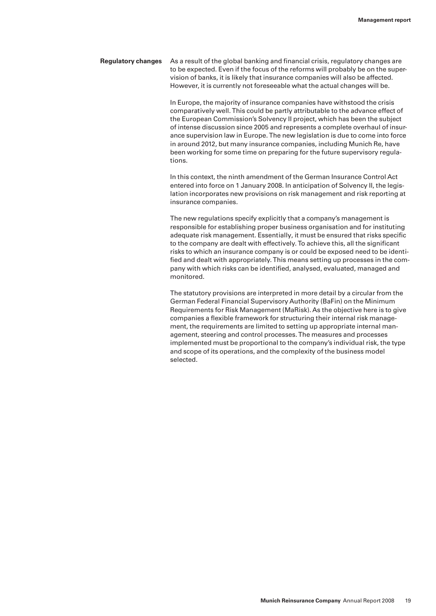**Regulatory changes** As a result of the global banking and financial crisis, regulatory changes are to be expected. Even if the focus of the reforms will probably be on the supervision of banks, it is likely that insurance companies will also be affected. However, it is currently not foreseeable what the actual changes will be.

> In Europe, the majority of insurance companies have withstood the crisis comparatively well. This could be partly attributable to the advance effect of the European Commission's Solvency II project, which has been the subject of intense discussion since 2005 and represents a complete overhaul of insurance supervision law in Europe. The new legislation is due to come into force in around 2012, but many insurance companies, including Munich Re, have been working for some time on preparing for the future supervisory regulations.

> In this context, the ninth amendment of the German Insurance Control Act entered into force on 1 January 2008. In anticipation of Solvency II, the legislation incorporates new provisions on risk management and risk reporting at insurance companies.

The new regulations specify explicitly that a company's management is responsible for establishing proper business organisation and for instituting adequate risk management. Essentially, it must be ensured that risks specific to the company are dealt with effectively. To achieve this, all the significant risks to which an insurance company is or could be exposed need to be identified and dealt with appropriately. This means setting up processes in the company with which risks can be identified, analysed, evaluated, managed and monitored.

The statutory provisions are interpreted in more detail by a circular from the German Federal Financial Supervisory Authority (BaFin) on the Minimum Requirements for Risk Management (MaRisk). As the objective here is to give companies a flexible framework for structuring their internal risk management, the requirements are limited to setting up appropriate internal management, steering and control processes. The measures and processes implemented must be proportional to the company's individual risk, the type and scope of its operations, and the complexity of the business model selected.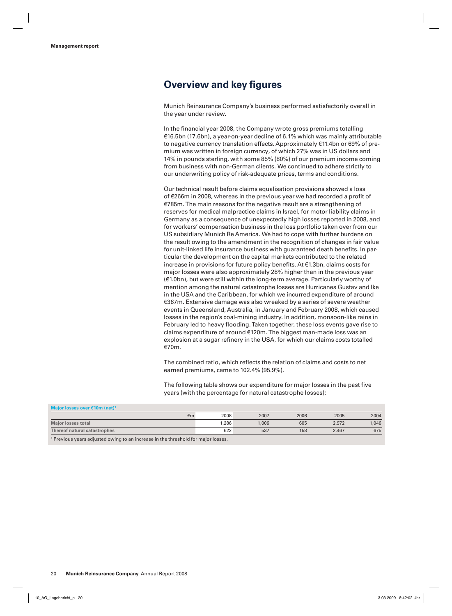## **Overview and key figures**

 Munich Reinsurance Company's business performed satisfactorily overall in the year under review.

 In the financial year 2008, the Company wrote gross premiums totalling €16.5bn (17.6bn), a year-on-year decline of 6.1% which was mainly attributable to negative currency translation effects. Approximately €11.4bn or 69% of premium was written in foreign currency, of which 27% was in US dollars and 14% in pounds sterling, with some 85% (80%) of our premium income coming from business with non-German clients. We continued to adhere strictly to our underwriting policy of risk-adequate prices, terms and conditions.

 Our technical result before claims equalisation provisions showed a loss of €266m in 2008, whereas in the previous year we had recorded a profit of €785m. The main reasons for the negative result are a strengthening of reserves for medical malpractice claims in Israel, for motor liability claims in Germany as a consequence of unexpectedly high losses reported in 2008, and for workers' compensation business in the loss portfolio taken over from our US subsidiary Munich Re America. We had to cope with further burdens on the result owing to the amendment in the recognition of changes in fair value for unit-linked life insurance business with guaranteed death benefits. In particular the development on the capital markets contributed to the related increase in provisions for future policy benefits. At €1.3bn, claims costs for major losses were also approximately 28% higher than in the previous year (€1.0bn), but were still within the long-term average. Particularly worthy of mention among the natural catastrophe losses are Hurricanes Gustav and Ike in the USA and the Caribbean, for which we incurred expenditure of around €367m. Extensive damage was also wreaked by a series of severe weather events in Queensland, Australia, in January and February 2008, which caused losses in the region's coal-mining industry. In addition, monsoon-like rains in February led to heavy flooding. Taken together, these loss events gave rise to claims expenditure of around €120m. The biggest man-made loss was an explosion at a sugar refinery in the USA, for which our claims costs totalled €70m.

 The combined ratio, which reflects the relation of claims and costs to net earned premiums, came to 102.4% (95.9%).

 The following table shows our expenditure for major losses in the past five years (with the percentage for natural catastrophe losses):

| Major losses over $\epsilon$ 10m (net) <sup>1</sup> |    |       |       |      |       |       |
|-----------------------------------------------------|----|-------|-------|------|-------|-------|
|                                                     | €m | 2008  | 2007  | 2006 | 2005  | 2004  |
| <b>Major losses total</b>                           |    | 1,286 | 1,006 | 605  | 2,972 | 1.046 |
| Thereof natural catastrophes                        |    | 622   | 537   | 158  | 2.467 | 675   |
|                                                     |    |       |       |      |       |       |

<sup>1</sup> Previous years adjusted owing to an increase in the threshold for major losses.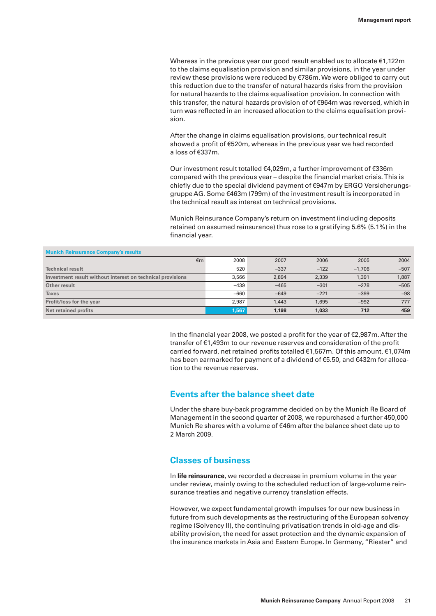Whereas in the previous year our good result enabled us to allocate €1,122m to the claims equalisation provision and similar provisions, in the year under review these provisions were reduced by €786m. We were obliged to carry out this reduction due to the transfer of natural hazards risks from the provision for natural hazards to the claims equalisation provision. In connection with this transfer, the natural hazards provision of of  $\epsilon$ 964m was reversed, which in turn was reflected in an increased allocation to the claims equalisation provision.

After the change in claims equalisation provisions, our technical result showed a profit of €520m, whereas in the previous year we had recorded a loss of €337m.

Our investment result totalled €4,029m, a further improvement of €336m compared with the previous year – despite the financial market crisis. This is chiefly due to the special dividend payment of €947m by ERGO Versicherungsgruppe AG. Some €463m (799m) of the investment result is incorporated in the technical result as interest on technical provisions.

Munich Reinsurance Company's return on investment (including deposits retained on assumed reinsurance) thus rose to a gratifying 5.6% (5.1%) in the financial year.

| <b>Munich Reinsurance Company's results</b>                |        |        |        |          |        |
|------------------------------------------------------------|--------|--------|--------|----------|--------|
| €m                                                         | 2008   | 2007   | 2006   | 2005     | 2004   |
| <b>Technical result</b>                                    | 520    | $-337$ | $-122$ | $-1.706$ | $-507$ |
| Investment result without interest on technical provisions | 3,566  | 2.894  | 2,339  | 1,391    | 1,887  |
| <b>Other result</b>                                        | $-439$ | $-465$ | $-301$ | $-278$   | $-505$ |
| <b>Taxes</b>                                               | $-660$ | $-649$ | $-221$ | $-399$   | $-98$  |
| Profit/loss for the year                                   | 2.987  | 1,443  | 1,695  | $-992$   | 777    |
| Net retained profits                                       | 1,567  | 1,198  | 1,033  | 712      | 459    |
|                                                            |        |        |        |          |        |

In the financial year 2008, we posted a profit for the year of €2,987m. After the transfer of €1,493m to our revenue reserves and consideration of the profit carried forward, net retained profits totalled €1,567m. Of this amount, €1,074m has been earmarked for payment of a dividend of €5.50, and €432m for allocation to the revenue reserves.

#### **Events after the balance sheet date**

Under the share buy-back programme decided on by the Munich Re Board of Management in the second quarter of 2008, we repurchased a further 450,000 Munich Re shares with a volume of €46m after the balance sheet date up to 2 March 2009.

### **Classes of business**

In **life reinsurance**, we recorded a decrease in premium volume in the year under review, mainly owing to the scheduled reduction of large-volume reinsurance treaties and negative currency translation effects.

However, we expect fundamental growth impulses for our new business in future from such developments as the restructuring of the European solvency regime (Solvency II), the continuing privatisation trends in old-age and disability provision, the need for asset protection and the dynamic expansion of the insurance markets in Asia and Eastern Europe. In Germany, "Riester" and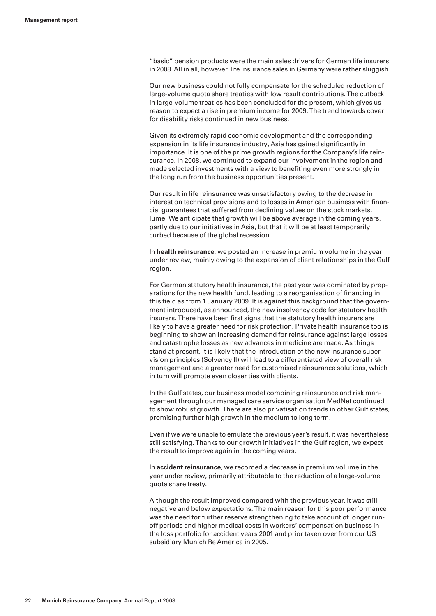"basic" pension products were the main sales drivers for German life insurers in 2008. All in all, however, life insurance sales in Germany were rather sluggish.

Our new business could not fully compensate for the scheduled reduction of large-volume quota share treaties with low result contributions. The cutback in large-volume treaties has been concluded for the present, which gives us reason to expect a rise in premium income for 2009. The trend towards cover for disability risks continued in new business.

Given its extremely rapid economic development and the corresponding expansion in its life insurance industry, Asia has gained significantly in importance. It is one of the prime growth regions for the Company's life reinsurance. In 2008, we continued to expand our involvement in the region and made selected investments with a view to benefiting even more strongly in the long run from the business opportunities present.

Our result in life reinsurance was unsatisfactory owing to the decrease in interest on technical provisions and to losses in American business with financial guarantees that suffered from declining values on the stock markets. lume. We anticipate that growth will be above average in the coming years, partly due to our initiatives in Asia, but that it will be at least temporarily curbed because of the global recession.

In **health reinsurance**, we posted an increase in premium volume in the year under review, mainly owing to the expansion of client relationships in the Gulf region.

For German statutory health insurance, the past year was dominated by preparations for the new health fund, leading to a reorganisation of financing in this field as from 1 January 2009. It is against this background that the government introduced, as announced, the new insolvency code for statutory health insurers. There have been first signs that the statutory health insurers are likely to have a greater need for risk protection. Private health insurance too is beginning to show an increasing demand for reinsurance against large losses and catastrophe losses as new advances in medicine are made. As things stand at present, it is likely that the introduction of the new insurance supervision principles (Solvency II) will lead to a differentiated view of overall risk management and a greater need for customised reinsurance solutions, which in turn will promote even closer ties with clients.

In the Gulf states, our business model combining reinsurance and risk management through our managed care service organisation MedNet continued to show robust growth. There are also privatisation trends in other Gulf states, promising further high growth in the medium to long term.

 Even if we were unable to emulate the previous year's result, it was nevertheless still satisfying. Thanks to our growth initiatives in the Gulf region, we expect the result to improve again in the coming years.

In **accident reinsurance**, we recorded a decrease in premium volume in the year under review, primarily attributable to the reduction of a large-volume quota share treaty.

Although the result improved compared with the previous year, it was still negative and below expectations. The main reason for this poor performance was the need for further reserve strengthening to take account of longer runoff periods and higher medical costs in workers' compensation business in the loss portfolio for accident years 2001 and prior taken over from our US subsidiary Munich Re America in 2005.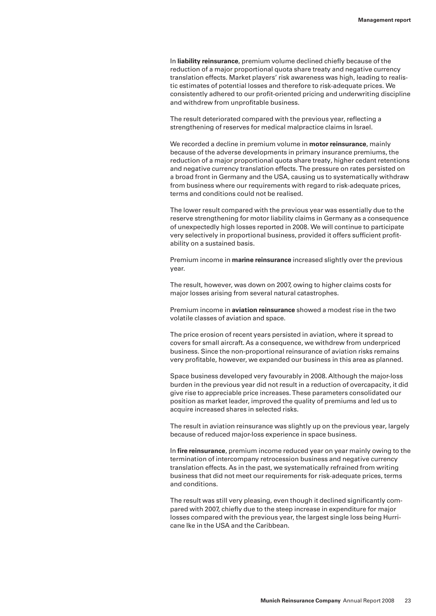In **liability reinsurance**, premium volume declined chiefly because of the reduction of a major proportional quota share treaty and negative currency translation effects. Market players' risk awareness was high, leading to realistic estimates of potential losses and therefore to risk-adequate prices. We consistently adhered to our profit-oriented pricing and underwriting discipline and withdrew from unprofitable business.

The result deteriorated compared with the previous year, reflecting a strengthening of reserves for medical malpractice claims in Israel.

We recorded a decline in premium volume in **motor reinsurance**, mainly because of the adverse developments in primary insurance premiums, the reduction of a major proportional quota share treaty, higher cedant retentions and negative currency translation effects. The pressure on rates persisted on a broad front in Germany and the USA, causing us to systematically withdraw from business where our requirements with regard to risk-adequate prices, terms and conditions could not be realised.

The lower result compared with the previous year was essentially due to the reserve strengthening for motor liability claims in Germany as a consequence of unexpectedly high losses reported in 2008. We will continue to participate very selectively in proportional business, provided it offers sufficient profitability on a sustained basis.

Premium income in **marine reinsurance** increased slightly over the previous year.

The result, however, was down on 2007, owing to higher claims costs for major losses arising from several natural catastrophes.

Premium income in **aviation reinsurance** showed a modest rise in the two volatile classes of aviation and space.

The price erosion of recent years persisted in aviation, where it spread to covers for small aircraft. As a consequence, we withdrew from underpriced business. Since the non-proportional reinsurance of aviation risks remains very profitable, however, we expanded our business in this area as planned.

Space business developed very favourably in 2008. Although the major-loss burden in the previous year did not result in a reduction of overcapacity, it did give rise to appreciable price increases. These parameters consolidated our position as market leader, improved the quality of premiums and led us to acquire increased shares in selected risks.

The result in aviation reinsurance was slightly up on the previous year, largely because of reduced major-loss experience in space business.

In **fire reinsurance**, premium income reduced year on year mainly owing to the termination of intercompany retrocession business and negative currency translation effects. As in the past, we systematically refrained from writing business that did not meet our requirements for risk-adequate prices, terms and conditions.

The result was still very pleasing, even though it declined significantly compared with 2007, chiefly due to the steep increase in expenditure for major losses compared with the previous year, the largest single loss being Hurricane Ike in the USA and the Caribbean.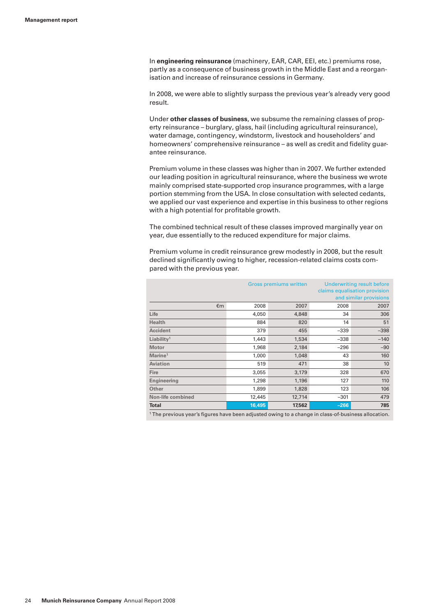In **engineering reinsurance** (machinery, EAR, CAR, EEI, etc.) premiums rose, partly as a consequence of business growth in the Middle East and a reorganisation and increase of reinsurance cessions in Germany.

In 2008, we were able to slightly surpass the previous year's already very good result.

Under **other classes of business**, we subsume the remaining classes of property reinsurance – burglary, glass, hail (including agricultural reinsurance), water damage, contingency, windstorm, livestock and householders' and homeowners' comprehensive reinsurance – as well as credit and fidelity guarantee reinsurance.

 Premium volume in these classes was higher than in 2007. We further extended our leading position in agricultural reinsurance, where the business we wrote mainly comprised state-supported crop insurance programmes, with a large portion stemming from the USA. In close consultation with selected cedants, we applied our vast experience and expertise in this business to other regions with a high potential for profitable growth.

The combined technical result of these classes improved marginally year on year, due essentially to the reduced expenditure for major claims.

Premium volume in credit reinsurance grew modestly in 2008, but the result declined significantly owing to higher, recession-related claims costs compared with the previous year.

|                                                                                                                |                  | <b>Gross premiums written</b> | <b>Underwriting result before</b><br>claims equalisation provision<br>and similar provisions |        |  |
|----------------------------------------------------------------------------------------------------------------|------------------|-------------------------------|----------------------------------------------------------------------------------------------|--------|--|
| €m                                                                                                             | 2008             | 2007                          | 2008                                                                                         | 2007   |  |
| Life                                                                                                           | 4,050            | 4,848                         | 34                                                                                           | 306    |  |
| <b>Health</b>                                                                                                  | 884              | 820                           | 14                                                                                           | 51     |  |
| <b>Accident</b>                                                                                                | 379              | 455                           | $-339$                                                                                       | $-398$ |  |
| Liability <sup>1</sup>                                                                                         | 1,443            | 1,534                         | $-338$                                                                                       | $-140$ |  |
| <b>Motor</b>                                                                                                   | 1,968            | 2,184                         | $-296$                                                                                       | $-90$  |  |
| Marine <sup>1</sup>                                                                                            | 1,000            | 1,048                         | 43                                                                                           | 160    |  |
| <b>Aviation</b>                                                                                                | 519              | 471                           | 38                                                                                           | 10     |  |
| Fire                                                                                                           | 3,055            | 3,179                         | 328                                                                                          | 670    |  |
| Engineering                                                                                                    | 1,298            | 1,196                         | 127                                                                                          | 110    |  |
| Other                                                                                                          | 1,899            | 1,828                         | 123                                                                                          | 106    |  |
| Non-life combined                                                                                              | 12,445<br>12,714 |                               | $-301$                                                                                       | 479    |  |
| <b>Total</b>                                                                                                   | 16,495           | 17,562                        | $-266$                                                                                       | 785    |  |
| <sup>1</sup> The previous year's figures have been adjusted owing to a change in class-of-business allocation. |                  |                               |                                                                                              |        |  |

24 **Munich Reinsurance Company** Annual Report 2008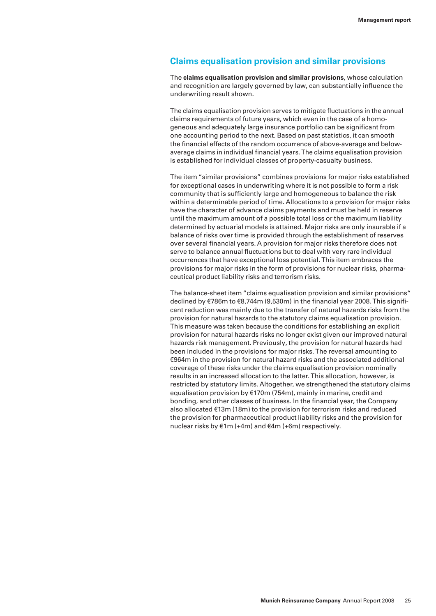#### **Claims equalisation provision and similar provisions**

The **claims equalisation provision and similar provisions**, whose calculation and recognition are largely governed by law, can substantially influence the underwriting result shown.

 The claims equalisation provision serves to mitigate fluctuations in the annual claims requirements of future years, which even in the case of a homogeneous and adequately large insurance portfolio can be significant from one accounting period to the next. Based on past statistics, it can smooth the financial effects of the random occurrence of above-average and belowaverage claims in individual financial years. The claims equalisation provision is established for individual classes of property-casualty business.

The item "similar provisions" combines provisions for major risks established for exceptional cases in underwriting where it is not possible to form a risk community that is sufficiently large and homogeneous to balance the risk within a determinable period of time. Allocations to a provision for major risks have the character of advance claims payments and must be held in reserve until the maximum amount of a possible total loss or the maximum liability determined by actuarial models is attained. Major risks are only insurable if a balance of risks over time is provided through the establishment of reserves over several financial years. A provision for major risks therefore does not serve to balance annual fluctuations but to deal with very rare individual occurrences that have exceptional loss potential. This item embraces the provisions for major risks in the form of provisions for nuclear risks, pharmaceutical product liability risks and terrorism risks.

The balance-sheet item "claims equalisation provision and similar provisions" declined by €786m to €8,744m (9,530m) in the financial year 2008. This significant reduction was mainly due to the transfer of natural hazards risks from the provision for natural hazards to the statutory claims equalisation provision. This measure was taken because the conditions for establishing an explicit provision for natural hazards risks no longer exist given our improved natural hazards risk management. Previously, the provision for natural hazards had been included in the provisions for major risks. The reversal amounting to €964m in the provision for natural hazard risks and the associated additional coverage of these risks under the claims equalisation provision nominally results in an increased allocation to the latter. This allocation, however, is restricted by statutory limits. Altogether, we strengthened the statutory claims equalisation provision by €170m (754m), mainly in marine, credit and bonding, and other classes of business. In the financial year, the Company also allocated €13m (18m) to the provision for terrorism risks and reduced the provision for pharmaceutical product liability risks and the provision for nuclear risks by €1m (+4m) and €4m (+6m) respectively.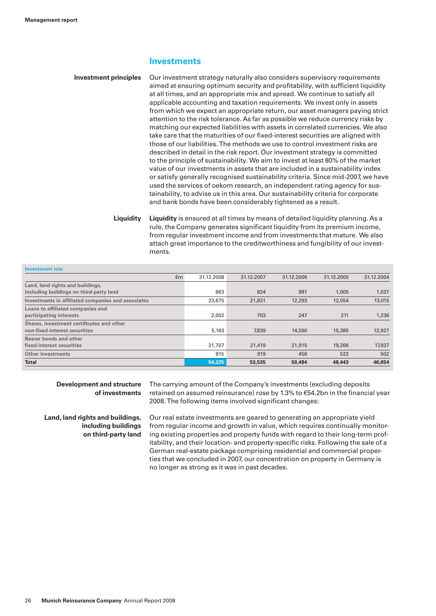#### **Investments**

**Investment principles** Our investment strategy naturally also considers supervisory requirements aimed at ensuring optimum security and profitability, with sufficient liquidity at all times, and an appropriate mix and spread. We continue to satisfy all applicable accounting and taxation requirements. We invest only in assets from which we expect an appropriate return, our asset managers paying strict attention to the risk tolerance. As far as possible we reduce currency risks by matching our expected liabilities with assets in correlated currencies. We also take care that the maturities of our fixed-interest securities are aligned with those of our liabilities. The methods we use to control investment risks are described in detail in the risk report. Our investment strategy is committed to the principle of sustainability. We aim to invest at least 80% of the market value of our investments in assets that are included in a sustainability index or satisfy generally recognised sustainability criteria. Since mid-2007, we have used the services of oekom research, an independent rating agency for sustainability, to advise us in this area. Our sustainability criteria for corporate and bank bonds have been considerably tightened as a result.

> **Liquidity Liquidity** is ensured at all times by means of detailed liquidity planning. As a rule, the Company generates significant liquidity from its premium income, from regular investment income and from investments that mature. We also attach great importance to the creditworthiness and fungibility of our investments.

| <b>Investment mix</b>                              |              |            |            |            |            |            |
|----------------------------------------------------|--------------|------------|------------|------------|------------|------------|
|                                                    | $\epsilon$ m | 31.12.2008 | 31.12.2007 | 31.12.2006 | 31.12.2005 | 31.12.2004 |
| Land, land rights and buildings,                   |              |            |            |            |            |            |
| including buildings on third-party land            |              | 863        | 824        | 981        | 1,005      | 1,037      |
| Investments in affiliated companies and associates |              | 23,675     | 21,831     | 12,293     | 12,054     | 13,015     |
| Loans to affiliated companies and                  |              |            |            |            |            |            |
| participating interests                            |              | 2.002      | 703        | 247        | 211        | 1,236      |
| Shares, investment certificates and other          |              |            |            |            |            |            |
| non-fixed-interest securities                      |              | 5,163      | 7,839      | 14,590     | 15,385     | 12,927     |
| Bearer bonds and other                             |              |            |            |            |            |            |
| fixed-interest securities                          |              | 21,707     | 21,419     | 21,915     | 19,266     | 17,937     |
| <b>Other investments</b>                           |              | 815        | 919        | 458        | 522        | 502        |
| <b>Total</b>                                       |              | 54,225     | 53,535     | 50,484     | 48,443     | 46,654     |

**Development and structure** The carrying amount of the Company's investments (excluding deposits **of investments** retained on assumed reinsurance) rose by 1.3% to €54.2bn in the financial year 2008. The following items involved significant changes:

**Land, land rights and buildings,** Our real estate investments are geared to generating an appropriate yield **including buildings** from regular income and growth in value, which requires continually monitor**on third-party land** ing existing properties and property funds with regard to their long-term profitability, and their location- and property-specific risks. Following the sale of a German real-estate package comprising residential and commercial properties that we concluded in 2007, our concentration on property in Germany is no longer as strong as it was in past decades.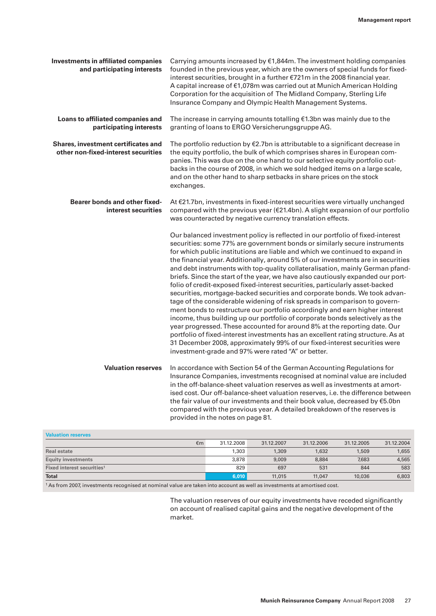| <b>Investments in affiliated companies</b><br>and participating interests  | Carrying amounts increased by $\epsilon$ 1,844m. The investment holding companies<br>founded in the previous year, which are the owners of special funds for fixed-<br>interest securities, brought in a further €721m in the 2008 financial year.<br>A capital increase of €1,078m was carried out at Munich American Holding<br>Corporation for the acquisition of The Midland Company, Sterling Life<br>Insurance Company and Olympic Health Management Systems.                                                                                                                                                                                                                                                                                                                                                                                                                                                                                                                                                                                                                                                                                                                                                 |
|----------------------------------------------------------------------------|---------------------------------------------------------------------------------------------------------------------------------------------------------------------------------------------------------------------------------------------------------------------------------------------------------------------------------------------------------------------------------------------------------------------------------------------------------------------------------------------------------------------------------------------------------------------------------------------------------------------------------------------------------------------------------------------------------------------------------------------------------------------------------------------------------------------------------------------------------------------------------------------------------------------------------------------------------------------------------------------------------------------------------------------------------------------------------------------------------------------------------------------------------------------------------------------------------------------|
| Loans to affiliated companies and<br>participating interests               | The increase in carrying amounts totalling $€1.3$ bn was mainly due to the<br>granting of loans to ERGO Versicherungsgruppe AG.                                                                                                                                                                                                                                                                                                                                                                                                                                                                                                                                                                                                                                                                                                                                                                                                                                                                                                                                                                                                                                                                                     |
| Shares, investment certificates and<br>other non-fixed-interest securities | The portfolio reduction by $E2.7$ bn is attributable to a significant decrease in<br>the equity portfolio, the bulk of which comprises shares in European com-<br>panies. This was due on the one hand to our selective equity portfolio cut-<br>backs in the course of 2008, in which we sold hedged items on a large scale,<br>and on the other hand to sharp setbacks in share prices on the stock<br>exchanges.                                                                                                                                                                                                                                                                                                                                                                                                                                                                                                                                                                                                                                                                                                                                                                                                 |
| <b>Bearer bonds and other fixed-</b><br>interest securities                | At €21.7bn, investments in fixed-interest securities were virtually unchanged<br>compared with the previous year (€21.4bn). A slight expansion of our portfolio<br>was counteracted by negative currency translation effects.                                                                                                                                                                                                                                                                                                                                                                                                                                                                                                                                                                                                                                                                                                                                                                                                                                                                                                                                                                                       |
|                                                                            | Our balanced investment policy is reflected in our portfolio of fixed-interest<br>securities: some 77% are government bonds or similarly secure instruments<br>for which public institutions are liable and which we continued to expand in<br>the financial year. Additionally, around 5% of our investments are in securities<br>and debt instruments with top-quality collateralisation, mainly German pfand-<br>briefs. Since the start of the year, we have also cautiously expanded our port-<br>folio of credit-exposed fixed-interest securities, particularly asset-backed<br>securities, mortgage-backed securities and corporate bonds. We took advan-<br>tage of the considerable widening of risk spreads in comparison to govern-<br>ment bonds to restructure our portfolio accordingly and earn higher interest<br>income, thus building up our portfolio of corporate bonds selectively as the<br>year progressed. These accounted for around 8% at the reporting date. Our<br>portfolio of fixed-interest investments has an excellent rating structure. As at<br>31 December 2008, approximately 99% of our fixed-interest securities were<br>investment-grade and 97% were rated "A" or better. |
| <b>Valuation reserves</b>                                                  | In accordance with Section 54 of the German Accounting Regulations for<br>Insurance Companies, investments recognised at nominal value are included<br>in the off-balance-sheet valuation reserves as well as investments at amort-<br>ised cost. Our off-balance-sheet valuation reserves, i.e. the difference between<br>the fair value of our investments and their book value, decreased by €5.0bn<br>compared with the previous year. A detailed breakdown of the reserves is                                                                                                                                                                                                                                                                                                                                                                                                                                                                                                                                                                                                                                                                                                                                  |

| <b>Valuation reserves</b>                                                                                                           |    |            |            |            |            |            |
|-------------------------------------------------------------------------------------------------------------------------------------|----|------------|------------|------------|------------|------------|
|                                                                                                                                     | €m | 31.12.2008 | 31.12.2007 | 31.12.2006 | 31.12.2005 | 31.12.2004 |
| <b>Real estate</b>                                                                                                                  |    | .303       | 1,309      | 1.632      | 1,509      | 1,655      |
| <b>Equity investments</b>                                                                                                           |    | 3,878      | 9,009      | 8,884      | 7,683      | 4,565      |
| Fixed interest securities <sup>1</sup>                                                                                              |    | 829        | 697        | 531        | 844        | 583        |
| <b>Total</b>                                                                                                                        |    | 6.010      | 11,015     | 11.047     | 10,036     | 6,803      |
| <sup>1</sup> As from 2007, investments recognised at nominal value are taken into account as well as investments at amortised cost. |    |            |            |            |            |            |

provided in the notes on page 81.

The valuation reserves of our equity investments have receded significantly on account of realised capital gains and the negative development of the market.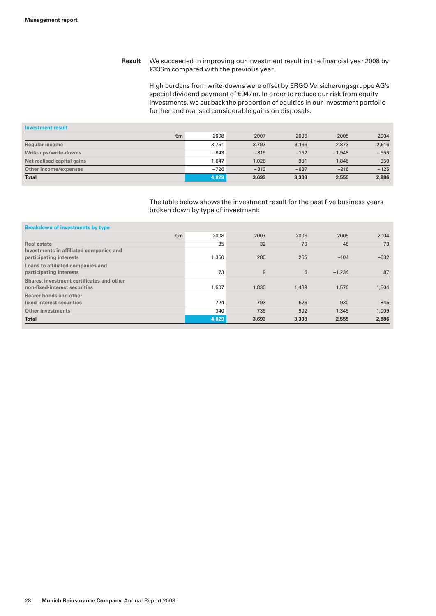#### **Result** We succeeded in improving our investment result in the financial year 2008 by €336m compared with the previous year.

 High burdens from write-downs were offset by ERGO Versicherungsgruppe AG's special dividend payment of €947m. In order to reduce our risk from equity investments, we cut back the proportion of equities in our investment portfolio further and realised considerable gains on disposals.

| <b>Investment result</b>   |        |        |        |          |        |
|----------------------------|--------|--------|--------|----------|--------|
| €m                         | 2008   | 2007   | 2006   | 2005     | 2004   |
| <b>Regular income</b>      | 3,751  | 3.797  | 3,166  | 2,873    | 2,616  |
| Write-ups/write-downs      | $-643$ | $-319$ | $-152$ | $-1.948$ | $-555$ |
| Net realised capital gains | 1,647  | 1,028  | 981    | 1,846    | 950    |
| Other income/expenses      | $-726$ | $-813$ | $-687$ | $-216$   | $-125$ |
| <b>Total</b>               | 4,029  | 3,693  | 3,308  | 2,555    | 2,886  |

The table below shows the investment result for the past five business years broken down by type of investment:

#### **Breakdown of investments by type**

| €m                                                                 | 2008  | 2007  | 2006  | 2005     | 2004   |
|--------------------------------------------------------------------|-------|-------|-------|----------|--------|
| <b>Real estate</b>                                                 | 35    | 32    | 70    | 48       | 73     |
| Investments in affiliated companies and<br>participating interests | 1,350 | 285   | 265   | $-104$   | $-632$ |
| Loans to affiliated companies and                                  |       |       |       |          |        |
| participating interests                                            | 73    | 9     | 6     | $-1.234$ | 87     |
| Shares, investment certificates and other                          |       |       |       |          |        |
| non-fixed-interest securities                                      | 1,507 | 1,835 | 1,489 | 1,570    | 1,504  |
| Bearer bonds and other                                             |       |       |       |          |        |
| fixed-interest securities                                          | 724   | 793   | 576   | 930      | 845    |
| <b>Other investments</b>                                           | 340   | 739   | 902   | 1,345    | 1,009  |
| <b>Total</b>                                                       | 4,029 | 3,693 | 3,308 | 2,555    | 2,886  |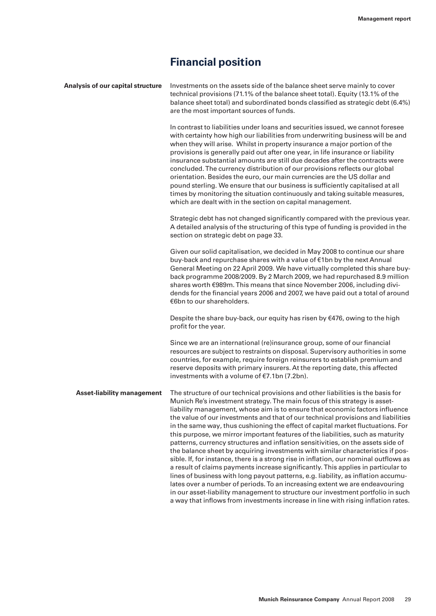# **Financial position**

| Analysis of our capital structure | Investments on the assets side of the balance sheet serve mainly to cover<br>technical provisions (71.1% of the balance sheet total). Equity (13.1% of the<br>balance sheet total) and subordinated bonds classified as strategic debt (6.4%)<br>are the most important sources of funds.                                                                                                                                                                                                                                                                                                                                                                                                                                                                                                                                                                                                                                                                                                                                                                                                                                                                                                                  |
|-----------------------------------|------------------------------------------------------------------------------------------------------------------------------------------------------------------------------------------------------------------------------------------------------------------------------------------------------------------------------------------------------------------------------------------------------------------------------------------------------------------------------------------------------------------------------------------------------------------------------------------------------------------------------------------------------------------------------------------------------------------------------------------------------------------------------------------------------------------------------------------------------------------------------------------------------------------------------------------------------------------------------------------------------------------------------------------------------------------------------------------------------------------------------------------------------------------------------------------------------------|
|                                   | In contrast to liabilities under loans and securities issued, we cannot foresee<br>with certainty how high our liabilities from underwriting business will be and<br>when they will arise. Whilst in property insurance a major portion of the<br>provisions is generally paid out after one year, in life insurance or liability<br>insurance substantial amounts are still due decades after the contracts were<br>concluded. The currency distribution of our provisions reflects our global<br>orientation. Besides the euro, our main currencies are the US dollar and<br>pound sterling. We ensure that our business is sufficiently capitalised at all<br>times by monitoring the situation continuously and taking suitable measures,<br>which are dealt with in the section on capital management.                                                                                                                                                                                                                                                                                                                                                                                                |
|                                   | Strategic debt has not changed significantly compared with the previous year.<br>A detailed analysis of the structuring of this type of funding is provided in the<br>section on strategic debt on page 33.                                                                                                                                                                                                                                                                                                                                                                                                                                                                                                                                                                                                                                                                                                                                                                                                                                                                                                                                                                                                |
|                                   | Given our solid capitalisation, we decided in May 2008 to continue our share<br>buy-back and repurchase shares with a value of €1bn by the next Annual<br>General Meeting on 22 April 2009. We have virtually completed this share buy-<br>back programme 2008/2009. By 2 March 2009, we had repurchased 8.9 million<br>shares worth €989m. This means that since November 2006, including divi-<br>dends for the financial years 2006 and 2007, we have paid out a total of around<br>€6bn to our shareholders.                                                                                                                                                                                                                                                                                                                                                                                                                                                                                                                                                                                                                                                                                           |
|                                   | Despite the share buy-back, our equity has risen by €476, owing to the high<br>profit for the year.                                                                                                                                                                                                                                                                                                                                                                                                                                                                                                                                                                                                                                                                                                                                                                                                                                                                                                                                                                                                                                                                                                        |
|                                   | Since we are an international (re)insurance group, some of our financial<br>resources are subject to restraints on disposal. Supervisory authorities in some<br>countries, for example, require foreign reinsurers to establish premium and<br>reserve deposits with primary insurers. At the reporting date, this affected<br>investments with a volume of €7.1bn (7.2bn).                                                                                                                                                                                                                                                                                                                                                                                                                                                                                                                                                                                                                                                                                                                                                                                                                                |
| <b>Asset-liability management</b> | The structure of our technical provisions and other liabilities is the basis for<br>Munich Re's investment strategy. The main focus of this strategy is asset-<br>liability management, whose aim is to ensure that economic factors influence<br>the value of our investments and that of our technical provisions and liabilities<br>in the same way, thus cushioning the effect of capital market fluctuations. For<br>this purpose, we mirror important features of the liabilities, such as maturity<br>patterns, currency structures and inflation sensitivities, on the assets side of<br>the balance sheet by acquiring investments with similar characteristics if pos-<br>sible. If, for instance, there is a strong rise in inflation, our nominal outflows as<br>a result of claims payments increase significantly. This applies in particular to<br>lines of business with long payout patterns, e.g. liability, as inflation accumu-<br>lates over a number of periods. To an increasing extent we are endeavouring<br>in our asset-liability management to structure our investment portfolio in such<br>a way that inflows from investments increase in line with rising inflation rates. |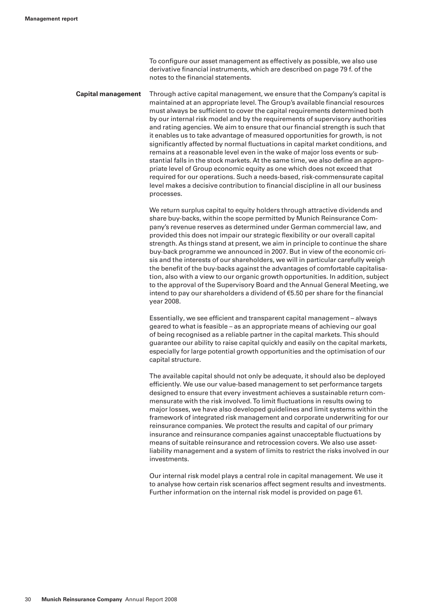To configure our asset management as effectively as possible, we also use derivative financial instruments, which are described on page 79 f. of the notes to the financial statements.

**Capital management** Through active capital management, we ensure that the Company's capital is maintained at an appropriate level. The Group's available financial resources must always be sufficient to cover the capital requirements determined both by our internal risk model and by the requirements of supervisory authorities and rating agencies. We aim to ensure that our financial strength is such that it enables us to take advantage of measured opportunities for growth, is not significantly affected by normal fluctuations in capital market conditions, and remains at a reasonable level even in the wake of major loss events or substantial falls in the stock markets. At the same time, we also define an appropriate level of Group economic equity as one which does not exceed that required for our operations. Such a needs-based, risk-commensurate capital level makes a decisive contribution to financial discipline in all our business processes.

> We return surplus capital to equity holders through attractive dividends and share buy-backs, within the scope permitted by Munich Reinsurance Company's revenue reserves as determined under German commercial law, and provided this does not impair our strategic flexibility or our overall capital strength. As things stand at present, we aim in principle to continue the share buy-back programme we announced in 2007. But in view of the economic crisis and the interests of our shareholders, we will in particular carefully weigh the benefit of the buy-backs against the advantages of comfortable capitalisation, also with a view to our organic growth opportunities. In addition, subject to the approval of the Supervisory Board and the Annual General Meeting, we intend to pay our shareholders a dividend of €5.50 per share for the financial year 2008.

> Essentially, we see efficient and transparent capital management – always geared to what is feasible – as an appropriate means of achieving our goal of being recognised as a reliable partner in the capital markets. This should guarantee our ability to raise capital quickly and easily on the capital markets, especially for large potential growth opportunities and the optimisation of our capital structure.

> The available capital should not only be adequate, it should also be deployed efficiently. We use our value-based management to set performance targets designed to ensure that every investment achieves a sustainable return commensurate with the risk involved. To limit fluctuations in results owing to major losses, we have also developed guidelines and limit systems within the framework of integrated risk management and corporate underwriting for our reinsurance companies. We protect the results and capital of our primary insurance and reinsurance companies against unacceptable fluctuations by means of suitable reinsurance and retrocession covers. We also use assetliability management and a system of limits to restrict the risks involved in our investments.

Our internal risk model plays a central role in capital management. We use it to analyse how certain risk scenarios affect segment results and investments. Further information on the internal risk model is provided on page 61.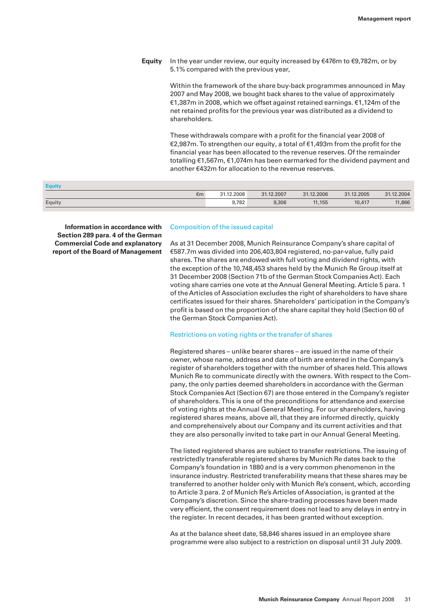**Equity** In the year under review, our equity increased by €476m to €9,782m, or by 5.1% compared with the previous year,

> Within the framework of the share buy-back programmes announced in May 2007 and May 2008, we bought back shares to the value of approximately €1,387m in 2008, which we offset against retained earnings. €1,124m of the net retained profits for the previous year was distributed as a dividend to shareholders.

These withdrawals compare with a profit for the financial year 2008 of €2,987m. To strengthen our equity, a total of €1,493m from the profit for the financial year has been allocated to the revenue reserves. Of the remainder totalling €1,567m, €1,074m has been earmarked for the dividend payment and another €432m for allocation to the revenue reserves.

| Equity |              |            |            |            |            |            |
|--------|--------------|------------|------------|------------|------------|------------|
|        | $\epsilon$ m | 31.12.2008 | 31.12.2007 | 31.12.2006 | 31.12.2005 | 31.12.2004 |
| Equity |              | 9,782      | 9,306      | 11,155     | 10,417     | 11,866     |

**Section 289 para. 4 of the German** 

#### **Information in accordance with** Composition of the issued capital

**Commercial Code and explanatory** As at 31 December 2008, Munich Reinsurance Company's share capital of **report of the Board of Management** €587.7m was divided into 206,403,804 registered, no-par-value, fully paid shares. The shares are endowed with full voting and dividend rights, with the exception of the 10,748,453 shares held by the Munich Re Group itself at 31 December 2008 (Section 71b of the German Stock Companies Act). Each voting share carries one vote at the Annual General Meeting. Article 5 para. 1 of the Articles of Association excludes the right of shareholders to have share certificates issued for their shares. Shareholders' participation in the Company's profit is based on the proportion of the share capital they hold (Section 60 of the German Stock Companies Act).

#### Restrictions on voting rights or the transfer of shares

Registered shares – unlike bearer shares – are issued in the name of their owner, whose name, address and date of birth are entered in the Company's register of shareholders together with the number of shares held. This allows Munich Re to communicate directly with the owners. With respect to the Company, the only parties deemed shareholders in accordance with the German Stock Companies Act (Section 67) are those entered in the Company's register of shareholders. This is one of the preconditions for attendance and exercise of voting rights at the Annual General Meeting. For our shareholders, having registered shares means, above all, that they are informed directly, quickly and comprehensively about our Company and its current activities and that they are also personally invited to take part in our Annual General Meeting.

The listed registered shares are subject to transfer restrictions. The issuing of restrictedly transferable registered shares by Munich Re dates back to the Company's foundation in 1880 and is a very common phenomenon in the insurance industry. Restricted transferability means that these shares may be transferred to another holder only with Munich Re's consent, which, according to Article 3 para. 2 of Munich Re's Articles of Association, is granted at the Company's discretion. Since the share-trading processes have been made very efficient, the consent requirement does not lead to any delays in entry in the register. In recent decades, it has been granted without exception.

As at the balance sheet date, 58,846 shares issued in an employee share programme were also subject to a restriction on disposal until 31 July 2009.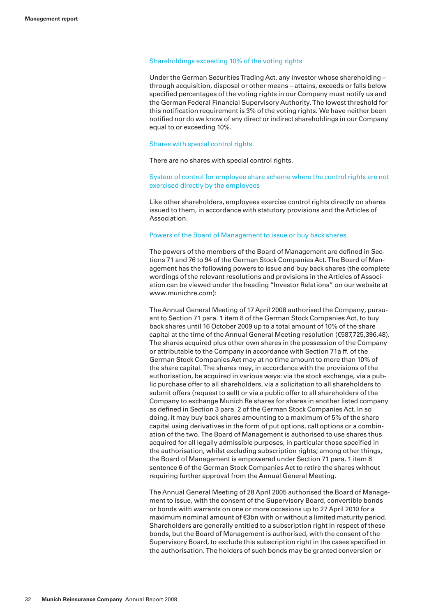#### Shareholdings exceeding 10% of the voting rights

Under the German Securities Trading Act, any investor whose shareholding – through acquisition, disposal or other means – attains, exceeds or falls below specified percentages of the voting rights in our Company must notify us and the German Federal Financial Supervisory Authority. The lowest threshold for this notification requirement is 3% of the voting rights. We have neither been notified nor do we know of any direct or indirect shareholdings in our Company equal to or exceeding 10%.

#### Shares with special control rights

There are no shares with special control rights.

System of control for employee share scheme where the control rights are not exercised directly by the employees

Like other shareholders, employees exercise control rights directly on shares issued to them, in accordance with statutory provisions and the Articles of Association.

#### Powers of the Board of Management to issue or buy back shares

The powers of the members of the Board of Management are defined in Sections 71 and 76 to 94 of the German Stock Companies Act. The Board of Management has the following powers to issue and buy back shares (the complete wordings of the relevant resolutions and provisions in the Articles of Association can be viewed under the heading "Investor Relations" on our website at www.munichre.com):

The Annual General Meeting of 17 April 2008 authorised the Company, pursuant to Section 71 para. 1 item 8 of the German Stock Companies Act, to buy back shares until 16 October 2009 up to a total amount of 10% of the share capital at the time of the Annual General Meeting resolution (€587,725,396.48). The shares acquired plus other own shares in the possession of the Company or attributable to the Company in accordance with Section 71a ff. of the German Stock Companies Act may at no time amount to more than 10% of the share capital. The shares may, in accordance with the provisions of the authorisation, be acquired in various ways: via the stock exchange, via a public purchase offer to all shareholders, via a solicitation to all shareholders to submit offers (request to sell) or via a public offer to all shareholders of the Company to exchange Munich Re shares for shares in another listed company as defined in Section 3 para. 2 of the German Stock Companies Act. In so doing, it may buy back shares amounting to a maximum of 5% of the share capital using derivatives in the form of put options, call options or a combination of the two. The Board of Management is authorised to use shares thus acquired for all legally admissible purposes, in particular those specified in the authorisation, whilst excluding subscription rights; among other things, the Board of Management is empowered under Section 71 para. 1 item 8 sentence 6 of the German Stock Companies Act to retire the shares without requiring further approval from the Annual General Meeting.

The Annual General Meeting of 28 April 2005 authorised the Board of Management to issue, with the consent of the Supervisory Board, convertible bonds or bonds with warrants on one or more occasions up to 27 April 2010 for a maximum nominal amount of €3bn with or without a limited maturity period. Shareholders are generally entitled to a subscription right in respect of these bonds, but the Board of Management is authorised, with the consent of the Supervisory Board, to exclude this subscription right in the cases specified in the authorisation. The holders of such bonds may be granted conversion or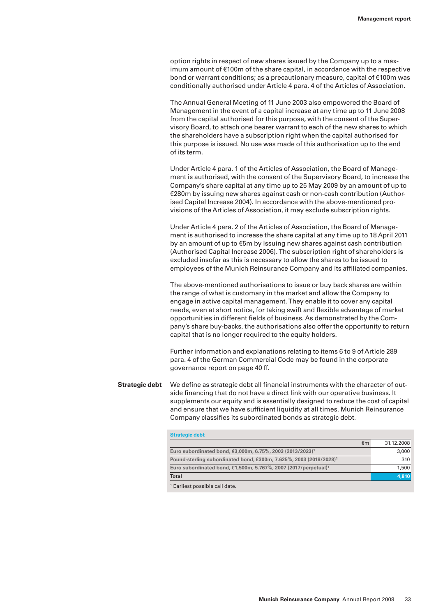option rights in respect of new shares issued by the Company up to a maximum amount of €100m of the share capital, in accordance with the respective bond or warrant conditions; as a precautionary measure, capital of €100m was conditionally authorised under Article 4 para. 4 of the Articles of Association.

The Annual General Meeting of 11 June 2003 also empowered the Board of Management in the event of a capital increase at any time up to 11 June 2008 from the capital authorised for this purpose, with the consent of the Supervisory Board, to attach one bearer warrant to each of the new shares to which the shareholders have a subscription right when the capital authorised for this purpose is issued. No use was made of this authorisation up to the end of its term.

Under Article 4 para. 1 of the Articles of Association, the Board of Management is authorised, with the consent of the Supervisory Board, to increase the Company's share capital at any time up to 25 May 2009 by an amount of up to €280m by issuing new shares against cash or non-cash contribution (Authorised Capital Increase 2004). In accordance with the above-mentioned provisions of the Articles of Association, it may exclude subscription rights.

Under Article 4 para. 2 of the Articles of Association, the Board of Management is authorised to increase the share capital at any time up to 18 April 2011 by an amount of up to €5m by issuing new shares against cash contribution (Authorised Capital Increase 2006). The subscription right of shareholders is excluded insofar as this is necessary to allow the shares to be issued to employees of the Munich Reinsurance Company and its affiliated companies.

The above-mentioned authorisations to issue or buy back shares are within the range of what is customary in the market and allow the Company to engage in active capital management. They enable it to cover any capital needs, even at short notice, for taking swift and flexible advantage of market opportunities in different fields of business. As demonstrated by the Company's share buy-backs, the authorisations also offer the opportunity to return capital that is no longer required to the equity holders.

Further information and explanations relating to items 6 to 9 of Article 289 para. 4 of the German Commercial Code may be found in the corporate governance report on page 40 ff.

**Strategic debt** We define as strategic debt all financial instruments with the character of outside financing that do not have a direct link with our operative business. It supplements our equity and is essentially designed to reduce the cost of capital and ensure that we have sufficient liquidity at all times. Munich Reinsurance Company classifies its subordinated bonds as strategic debt.

| <b>Strategic debt</b>                                                          |              |            |
|--------------------------------------------------------------------------------|--------------|------------|
|                                                                                | $\epsilon$ m | 31.12.2008 |
| Euro subordinated bond, €3,000m, 6.75%, 2003 (2013/2023) <sup>1</sup>          |              | 3,000      |
| Pound-sterling subordinated bond, £300m, 7.625%, 2003 (2018/2028) <sup>1</sup> |              | 310        |
| Euro subordinated bond, €1,500m, 5.767%, 2007 (2017/perpetual) <sup>1</sup>    |              | 1,500      |
| <b>Total</b>                                                                   |              | 4,810      |
|                                                                                |              |            |

<sup>1</sup> Earliest possible call date.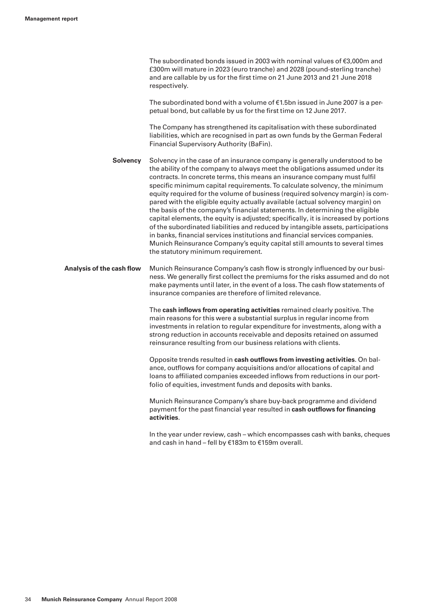|                           | The subordinated bonds issued in 2003 with nominal values of €3,000m and<br>£300m will mature in 2023 (euro tranche) and 2028 (pound-sterling tranche)<br>and are callable by us for the first time on 21 June 2013 and 21 June 2018<br>respectively.                                                                                                                                                                                                                                                                                                                                                                                                                                                                                                                                                                                                                                                                                               |
|---------------------------|-----------------------------------------------------------------------------------------------------------------------------------------------------------------------------------------------------------------------------------------------------------------------------------------------------------------------------------------------------------------------------------------------------------------------------------------------------------------------------------------------------------------------------------------------------------------------------------------------------------------------------------------------------------------------------------------------------------------------------------------------------------------------------------------------------------------------------------------------------------------------------------------------------------------------------------------------------|
|                           | The subordinated bond with a volume of €1.5bn issued in June 2007 is a per-<br>petual bond, but callable by us for the first time on 12 June 2017.                                                                                                                                                                                                                                                                                                                                                                                                                                                                                                                                                                                                                                                                                                                                                                                                  |
|                           | The Company has strengthened its capitalisation with these subordinated<br>liabilities, which are recognised in part as own funds by the German Federal<br>Financial Supervisory Authority (BaFin).                                                                                                                                                                                                                                                                                                                                                                                                                                                                                                                                                                                                                                                                                                                                                 |
| <b>Solvency</b>           | Solvency in the case of an insurance company is generally understood to be<br>the ability of the company to always meet the obligations assumed under its<br>contracts. In concrete terms, this means an insurance company must fulfil<br>specific minimum capital requirements. To calculate solvency, the minimum<br>equity required for the volume of business (required solvency margin) is com-<br>pared with the eligible equity actually available (actual solvency margin) on<br>the basis of the company's financial statements. In determining the eligible<br>capital elements, the equity is adjusted; specifically, it is increased by portions<br>of the subordinated liabilities and reduced by intangible assets, participations<br>in banks, financial services institutions and financial services companies.<br>Munich Reinsurance Company's equity capital still amounts to several times<br>the statutory minimum requirement. |
| Analysis of the cash flow | Munich Reinsurance Company's cash flow is strongly influenced by our busi-<br>ness. We generally first collect the premiums for the risks assumed and do not<br>make payments until later, in the event of a loss. The cash flow statements of<br>insurance companies are therefore of limited relevance.                                                                                                                                                                                                                                                                                                                                                                                                                                                                                                                                                                                                                                           |
|                           | The cash inflows from operating activities remained clearly positive. The<br>main reasons for this were a substantial surplus in regular income from<br>investments in relation to regular expenditure for investments, along with a<br>strong reduction in accounts receivable and deposits retained on assumed<br>reinsurance resulting from our business relations with clients.                                                                                                                                                                                                                                                                                                                                                                                                                                                                                                                                                                 |
|                           | Opposite trends resulted in cash outflows from investing activities. On bal-<br>ance, outflows for company acquisitions and/or allocations of capital and<br>loans to affiliated companies exceeded inflows from reductions in our port-<br>folio of equities, investment funds and deposits with banks.                                                                                                                                                                                                                                                                                                                                                                                                                                                                                                                                                                                                                                            |
|                           | Munich Reinsurance Company's share buy-back programme and dividend<br>payment for the past financial year resulted in cash outflows for financing<br>activities.                                                                                                                                                                                                                                                                                                                                                                                                                                                                                                                                                                                                                                                                                                                                                                                    |
|                           | In the year under review, cash - which encompasses cash with banks, cheques<br>and cash in hand - fell by €183m to €159m overall.                                                                                                                                                                                                                                                                                                                                                                                                                                                                                                                                                                                                                                                                                                                                                                                                                   |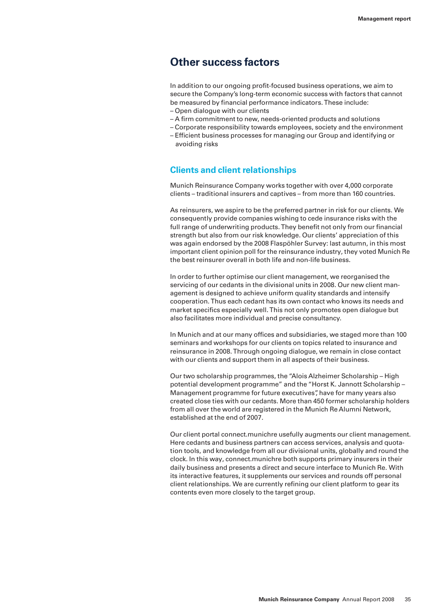# **Other success factors**

In addition to our ongoing profit-focused business operations, we aim to secure the Company's long-term economic success with factors that cannot be measured by financial performance indicators. These include: – Open dialogue with our clients

- A firm commitment to new, needs-oriented products and solutions
- 
- Corporate responsibility towards employees, society and the environment – Efficient business processes for managing our Group and identifying or avoiding risks

### **Clients and client relationships**

Munich Reinsurance Company works together with over 4,000 corporate clients – traditional insurers and captives – from more than 160 countries.

As reinsurers, we aspire to be the preferred partner in risk for our clients. We consequently provide companies wishing to cede insurance risks with the full range of underwriting products. They benefit not only from our financial strength but also from our risk knowledge. Our clients' appreciation of this was again endorsed by the 2008 Flaspöhler Survey: last autumn, in this most important client opinion poll for the reinsurance industry, they voted Munich Re the best reinsurer overall in both life and non-life business.

In order to further optimise our client management, we reorganised the servicing of our cedants in the divisional units in 2008. Our new client management is designed to achieve uniform quality standards and intensify cooperation. Thus each cedant has its own contact who knows its needs and market specifics especially well. This not only promotes open dialogue but also facilitates more individual and precise consultancy.

In Munich and at our many offices and subsidiaries, we staged more than 100 seminars and workshops for our clients on topics related to insurance and reinsurance in 2008. Through ongoing dialogue, we remain in close contact with our clients and support them in all aspects of their business.

Our two scholarship programmes, the "Alois Alzheimer Scholarship – High potential development programme" and the "Horst K. Jannott Scholarship – Management programme for future executives", have for many years also created close ties with our cedants. More than 450 former scholarship holders from all over the world are registered in the Munich Re Alumni Network, established at the end of 2007.

Our client portal connect.munichre usefully augments our client management. Here cedants and business partners can access services, analysis and quotation tools, and knowledge from all our divisional units, globally and round the clock. In this way, connect.munichre both supports primary insurers in their daily business and presents a direct and secure interface to Munich Re. With its interactive features, it supplements our services and rounds off personal client relationships. We are currently refining our client platform to gear its contents even more closely to the target group.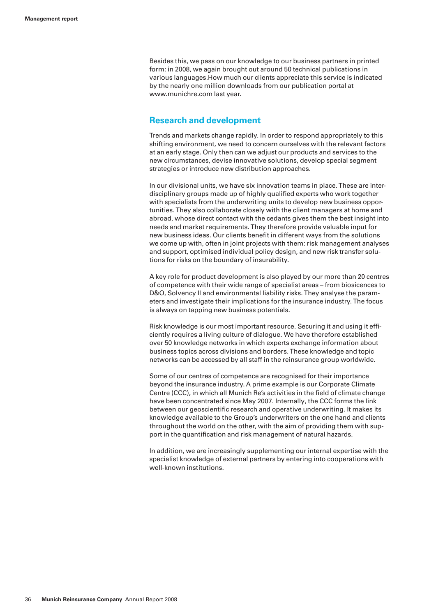Besides this, we pass on our knowledge to our business partners in printed form: in 2008, we again brought out around 50 technical publications in various languages.How much our clients appreciate this service is indicated by the nearly one million downloads from our publication portal at www.munichre.com last year.

# **Research and development**

Trends and markets change rapidly. In order to respond appropriately to this shifting environment, we need to concern ourselves with the relevant factors at an early stage. Only then can we adjust our products and services to the new circumstances, devise innovative solutions, develop special segment strategies or introduce new distribution approaches.

In our divisional units, we have six innovation teams in place. These are interdisciplinary groups made up of highly qualified experts who work together with specialists from the underwriting units to develop new business opportunities. They also collaborate closely with the client managers at home and abroad, whose direct contact with the cedants gives them the best insight into needs and market requirements. They therefore provide valuable input for new business ideas. Our clients benefit in different ways from the solutions we come up with, often in joint projects with them: risk management analyses and support, optimised individual policy design, and new risk transfer solutions for risks on the boundary of insurability.

A key role for product development is also played by our more than 20 centres of competence with their wide range of specialist areas – from biosicences to D&O, Solvency II and environmental liability risks. They analyse the parameters and investigate their implications for the insurance industry. The focus is always on tapping new business potentials.

Risk knowledge is our most important resource. Securing it and using it efficiently requires a living culture of dialogue. We have therefore established over 50 knowledge networks in which experts exchange information about business topics across divisions and borders. These knowledge and topic networks can be accessed by all staff in the reinsurance group worldwide.

Some of our centres of competence are recognised for their importance beyond the insurance industry. A prime example is our Corporate Climate Centre (CCC), in which all Munich Re's activities in the field of climate change have been concentrated since May 2007. Internally, the CCC forms the link between our geoscientific research and operative underwriting. It makes its knowledge available to the Group's underwriters on the one hand and clients throughout the world on the other, with the aim of providing them with support in the quantification and risk management of natural hazards.

In addition, we are increasingly supplementing our internal expertise with the specialist knowledge of external partners by entering into cooperations with well-known institutions.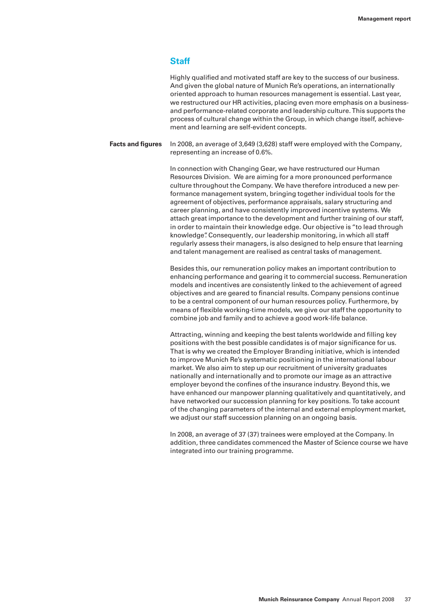# **Staff**

Highly qualified and motivated staff are key to the success of our business. And given the global nature of Munich Re's operations, an internationally oriented approach to human resources management is essential. Last year, we restructured our HR activities, placing even more emphasis on a businessand performance-related corporate and leadership culture. This supports the process of cultural change within the Group, in which change itself, achievement and learning are self-evident concepts.

**Facts and figures** In 2008, an average of 3,649 (3,628) staff were employed with the Company, representing an increase of 0.6%.

> In connection with Changing Gear, we have restructured our Human Resources Division. We are aiming for a more pronounced performance culture throughout the Company. We have therefore introduced a new performance management system, bringing together individual tools for the agreement of objectives, performance appraisals, salary structuring and career planning, and have consistently improved incentive systems. We attach great importance to the development and further training of our staff, in order to maintain their knowledge edge. Our objective is "to lead through knowledge". Consequently, our leadership monitoring, in which all staff regularly assess their managers, is also designed to help ensure that learning and talent management are realised as central tasks of management.

Besides this, our remuneration policy makes an important contribution to enhancing performance and gearing it to commercial success. Remuneration models and incentives are consistently linked to the achievement of agreed objectives and are geared to financial results. Company pensions continue to be a central component of our human resources policy. Furthermore, by means of flexible working-time models, we give our staff the opportunity to combine job and family and to achieve a good work-life balance.

Attracting, winning and keeping the best talents worldwide and filling key positions with the best possible candidates is of major significance for us. That is why we created the Employer Branding initiative, which is intended to improve Munich Re's systematic positioning in the international labour market. We also aim to step up our recruitment of university graduates nationally and internationally and to promote our image as an attractive employer beyond the confines of the insurance industry. Beyond this, we have enhanced our manpower planning qualitatively and quantitatively, and have networked our succession planning for key positions. To take account of the changing parameters of the internal and external employment market, we adjust our staff succession planning on an ongoing basis.

In 2008, an average of 37 (37) trainees were employed at the Company. In addition, three candidates commenced the Master of Science course we have integrated into our training programme.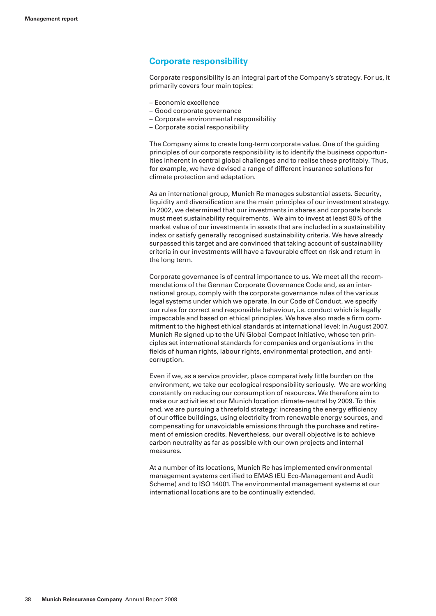# **Corporate responsibility**

Corporate responsibility is an integral part of the Company's strategy. For us, it primarily covers four main topics:

- Economic excellence
- Good corporate governance
- Corporate environmental responsibility
- Corporate social responsibility

The Company aims to create long-term corporate value. One of the guiding principles of our corporate responsibility is to identify the business opportunities inherent in central global challenges and to realise these profitably. Thus, for example, we have devised a range of different insurance solutions for climate protection and adaptation.

As an international group, Munich Re manages substantial assets. Security, liquidity and diversification are the main principles of our investment strategy. In 2002, we determined that our investments in shares and corporate bonds must meet sustainability requirements. We aim to invest at least 80% of the market value of our investments in assets that are included in a sustainability index or satisfy generally recognised sustainability criteria. We have already surpassed this target and are convinced that taking account of sustainability criteria in our investments will have a favourable effect on risk and return in the long term.

Corporate governance is of central importance to us. We meet all the recommendations of the German Corporate Governance Code and, as an international group, comply with the corporate governance rules of the various legal systems under which we operate. In our Code of Conduct, we specify our rules for correct and responsible behaviour, i.e. conduct which is legally impeccable and based on ethical principles. We have also made a firm commitment to the highest ethical standards at international level: in August 2007, Munich Re signed up to the UN Global Compact Initiative, whose ten principles set international standards for companies and organisations in the fields of human rights, labour rights, environmental protection, and anticorruption.

Even if we, as a service provider, place comparatively little burden on the environment, we take our ecological responsibility seriously. We are working constantly on reducing our consumption of resources. We therefore aim to make our activities at our Munich location climate-neutral by 2009. To this end, we are pursuing a threefold strategy: increasing the energy efficiency of our office buildings, using electricity from renewable energy sources, and compensating for unavoidable emissions through the purchase and retirement of emission credits. Nevertheless, our overall objective is to achieve carbon neutrality as far as possible with our own projects and internal measures.

At a number of its locations, Munich Re has implemented environmental management systems certified to EMAS (EU Eco-Management and Audit Scheme) and to ISO 14001. The environmental management systems at our international locations are to be continually extended.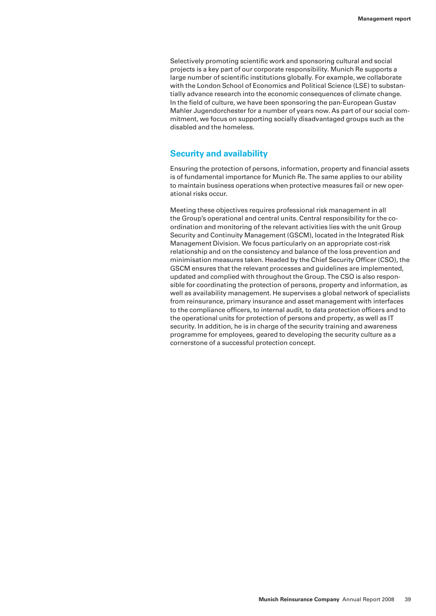Selectively promoting scientific work and sponsoring cultural and social projects is a key part of our corporate responsibility. Munich Re supports a large number of scientific institutions globally. For example, we collaborate with the London School of Economics and Political Science (LSE) to substantially advance research into the economic consequences of climate change. In the field of culture, we have been sponsoring the pan-European Gustav Mahler Jugendorchester for a number of years now. As part of our social commitment, we focus on supporting socially disadvantaged groups such as the disabled and the homeless.

# **Security and availability**

Ensuring the protection of persons, information, property and financial assets is of fundamental importance for Munich Re. The same applies to our ability to maintain business operations when protective measures fail or new operational risks occur.

Meeting these objectives requires professional risk management in all the Group's operational and central units. Central responsibility for the coordination and monitoring of the relevant activities lies with the unit Group Security and Continuity Management (GSCM), located in the Integrated Risk Management Division. We focus particularly on an appropriate cost-risk relationship and on the consistency and balance of the loss prevention and minimisation measures taken. Headed by the Chief Security Officer (CSO), the GSCM ensures that the relevant processes and guidelines are implemented, updated and complied with throughout the Group. The CSO is also responsible for coordinating the protection of persons, property and information, as well as availability management. He supervises a global network of specialists from reinsurance, primary insurance and asset management with interfaces to the compliance officers, to internal audit, to data protection officers and to the operational units for protection of persons and property, as well as IT security. In addition, he is in charge of the security training and awareness programme for employees, geared to developing the security culture as a cornerstone of a successful protection concept.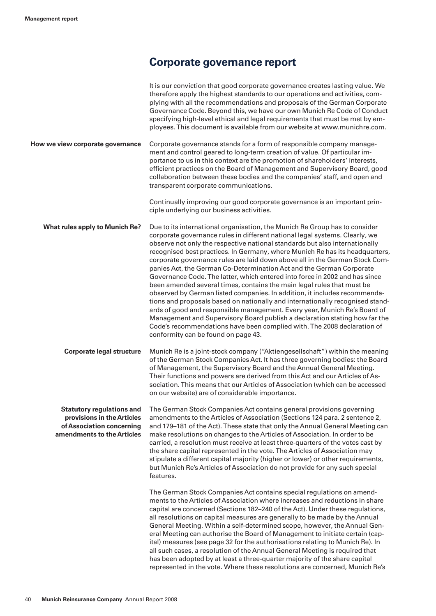# **Corporate governance report**

|                                                                                                                           | It is our conviction that good corporate governance creates lasting value. We<br>therefore apply the highest standards to our operations and activities, com-<br>plying with all the recommendations and proposals of the German Corporate<br>Governance Code. Beyond this, we have our own Munich Re Code of Conduct<br>specifying high-level ethical and legal requirements that must be met by em-<br>ployees. This document is available from our website at www.munichre.com.                                                                                                                                                                                                                                                                                                                                                                                                                                                                                                                                                                                                  |
|---------------------------------------------------------------------------------------------------------------------------|-------------------------------------------------------------------------------------------------------------------------------------------------------------------------------------------------------------------------------------------------------------------------------------------------------------------------------------------------------------------------------------------------------------------------------------------------------------------------------------------------------------------------------------------------------------------------------------------------------------------------------------------------------------------------------------------------------------------------------------------------------------------------------------------------------------------------------------------------------------------------------------------------------------------------------------------------------------------------------------------------------------------------------------------------------------------------------------|
| How we view corporate governance                                                                                          | Corporate governance stands for a form of responsible company manage-<br>ment and control geared to long-term creation of value. Of particular im-<br>portance to us in this context are the promotion of shareholders' interests,<br>efficient practices on the Board of Management and Supervisory Board, good<br>collaboration between these bodies and the companies' staff, and open and<br>transparent corporate communications.                                                                                                                                                                                                                                                                                                                                                                                                                                                                                                                                                                                                                                              |
|                                                                                                                           | Continually improving our good corporate governance is an important prin-<br>ciple underlying our business activities.                                                                                                                                                                                                                                                                                                                                                                                                                                                                                                                                                                                                                                                                                                                                                                                                                                                                                                                                                              |
| What rules apply to Munich Re?                                                                                            | Due to its international organisation, the Munich Re Group has to consider<br>corporate governance rules in different national legal systems. Clearly, we<br>observe not only the respective national standards but also internationally<br>recognised best practices. In Germany, where Munich Re has its headquarters,<br>corporate governance rules are laid down above all in the German Stock Com-<br>panies Act, the German Co-Determination Act and the German Corporate<br>Governance Code. The latter, which entered into force in 2002 and has since<br>been amended several times, contains the main legal rules that must be<br>observed by German listed companies. In addition, it includes recommenda-<br>tions and proposals based on nationally and internationally recognised stand-<br>ards of good and responsible management. Every year, Munich Re's Board of<br>Management and Supervisory Board publish a declaration stating how far the<br>Code's recommendations have been complied with. The 2008 declaration of<br>conformity can be found on page 43. |
| <b>Corporate legal structure</b>                                                                                          | Munich Re is a joint-stock company ("Aktiengesellschaft") within the meaning<br>of the German Stock Companies Act. It has three governing bodies: the Board<br>of Management, the Supervisory Board and the Annual General Meeting.<br>Their functions and powers are derived from this Act and our Articles of As-<br>sociation. This means that our Articles of Association (which can be accessed<br>on our website) are of considerable importance.                                                                                                                                                                                                                                                                                                                                                                                                                                                                                                                                                                                                                             |
| <b>Statutory regulations and</b><br>provisions in the Articles<br>of Association concerning<br>amendments to the Articles | The German Stock Companies Act contains general provisions governing<br>amendments to the Articles of Association (Sections 124 para. 2 sentence 2,<br>and 179-181 of the Act). These state that only the Annual General Meeting can<br>make resolutions on changes to the Articles of Association. In order to be<br>carried, a resolution must receive at least three-quarters of the votes cast by<br>the share capital represented in the vote. The Articles of Association may<br>stipulate a different capital majority (higher or lower) or other requirements,<br>but Munich Re's Articles of Association do not provide for any such special<br>features.                                                                                                                                                                                                                                                                                                                                                                                                                  |
|                                                                                                                           | The German Stock Companies Act contains special regulations on amend-<br>ments to the Articles of Association where increases and reductions in share<br>capital are concerned (Sections 182-240 of the Act). Under these regulations,<br>all resolutions on capital measures are generally to be made by the Annual<br>General Meeting. Within a self-determined scope, however, the Annual Gen-<br>eral Meeting can authorise the Board of Management to initiate certain (cap-<br>ital) measures (see page 32 for the authorisations relating to Munich Re). In<br>all such cases, a resolution of the Annual General Meeting is required that<br>has been adopted by at least a three-quarter majority of the share capital<br>represented in the vote. Where these resolutions are concerned, Munich Re's                                                                                                                                                                                                                                                                      |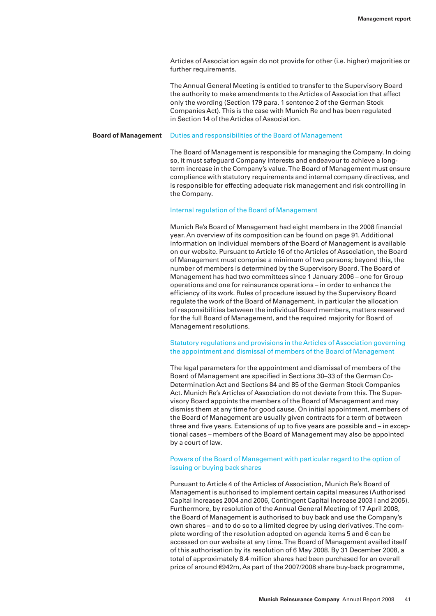Articles of Association again do not provide for other (i.e. higher) majorities or further requirements.

The Annual General Meeting is entitled to transfer to the Supervisory Board the authority to make amendments to the Articles of Association that affect only the wording (Section 179 para. 1 sentence 2 of the German Stock Companies Act). This is the case with Munich Re and has been regulated in Section 14 of the Articles of Association.

#### **Board of Management** Duties and responsibilities of the Board of Management

The Board of Management is responsible for managing the Company. In doing so, it must safeguard Company interests and endeavour to achieve a longterm increase in the Company's value. The Board of Management must ensure compliance with statutory requirements and internal company directives, and is responsible for effecting adequate risk management and risk controlling in the Company.

#### Internal regulation of the Board of Management

Munich Re's Board of Management had eight members in the 2008 financial year. An overview of its composition can be found on page 91. Additional information on individual members of the Board of Management is available on our website. Pursuant to Article 16 of the Articles of Association, the Board of Management must comprise a minimum of two persons; beyond this, the number of members is determined by the Supervisory Board. The Board of Management has had two committees since 1 January 2006 – one for Group operations and one for reinsurance operations – in order to enhance the efficiency of its work. Rules of procedure issued by the Supervisory Board regulate the work of the Board of Management, in particular the allocation of responsibilities between the individual Board members, matters reserved for the full Board of Management, and the required majority for Board of Management resolutions.

Statutory regulations and provisions in the Articles of Association governing the appointment and dismissal of members of the Board of Management

The legal parameters for the appointment and dismissal of members of the Board of Management are specified in Sections 30–33 of the German Co-Determination Act and Sections 84 and 85 of the German Stock Companies Act. Munich Re's Articles of Association do not deviate from this. The Supervisory Board appoints the members of the Board of Management and may dismiss them at any time for good cause. On initial appointment, members of the Board of Management are usually given contracts for a term of between three and five years. Extensions of up to five years are possible and – in exceptional cases – members of the Board of Management may also be appointed by a court of law.

### Powers of the Board of Management with particular regard to the option of issuing or buying back shares

Pursuant to Article 4 of the Articles of Association, Munich Re's Board of Management is authorised to implement certain capital measures (Authorised Capital Increases 2004 and 2006, Contingent Capital Increase 2003 I and 2005). Furthermore, by resolution of the Annual General Meeting of 17 April 2008, the Board of Management is authorised to buy back and use the Company's own shares – and to do so to a limited degree by using derivatives. The complete wording of the resolution adopted on agenda items 5 and 6 can be accessed on our website at any time. The Board of Management availed itself of this authorisation by its resolution of 6 May 2008. By 31 December 2008, a total of approximately 8.4 million shares had been purchased for an overall price of around €942m, As part of the 2007/2008 share buy-back programme,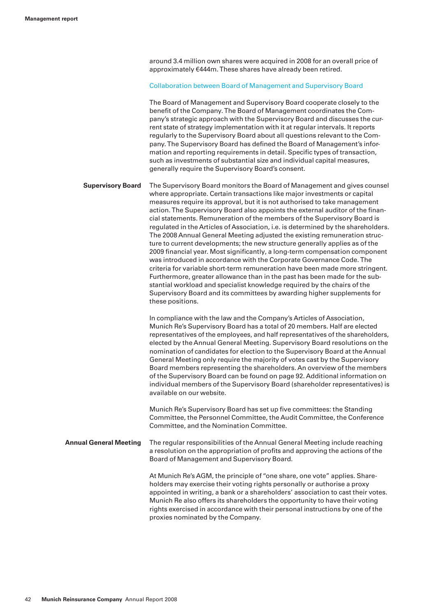around 3.4 million own shares were acquired in 2008 for an overall price of approximately €444m. These shares have already been retired.

#### Collaboration between Board of Management and Supervisory Board

The Board of Management and Supervisory Board cooperate closely to the benefit of the Company. The Board of Management coordinates the Company's strategic approach with the Supervisory Board and discusses the current state of strategy implementation with it at regular intervals. It reports regularly to the Supervisory Board about all questions relevant to the Company. The Supervisory Board has defined the Board of Management's information and reporting requirements in detail. Specific types of transaction, such as investments of substantial size and individual capital measures, generally require the Supervisory Board's consent.

**Supervisory Board** The Supervisory Board monitors the Board of Management and gives counsel where appropriate. Certain transactions like major investments or capital measures require its approval, but it is not authorised to take management action. The Supervisory Board also appoints the external auditor of the financial statements. Remuneration of the members of the Supervisory Board is regulated in the Articles of Association, i.e. is determined by the shareholders. The 2008 Annual General Meeting adjusted the existing remuneration structure to current developments; the new structure generally applies as of the 2009 financial year. Most significantly, a long-term compensation component was introduced in accordance with the Corporate Governance Code. The criteria for variable short-term remuneration have been made more stringent. Furthermore, greater allowance than in the past has been made for the substantial workload and specialist knowledge required by the chairs of the Supervisory Board and its committees by awarding higher supplements for these positions.

> In compliance with the law and the Company's Articles of Association, Munich Re's Supervisory Board has a total of 20 members. Half are elected representatives of the employees, and half representatives of the shareholders, elected by the Annual General Meeting. Supervisory Board resolutions on the nomination of candidates for election to the Supervisory Board at the Annual General Meeting only require the majority of votes cast by the Supervisory Board members representing the shareholders. An overview of the members of the Supervisory Board can be found on page 92. Additional information on individual members of the Supervisory Board (shareholder representatives) is available on our website.

Munich Re's Supervisory Board has set up five committees: the Standing Committee, the Personnel Committee, the Audit Committee, the Conference Committee, and the Nomination Committee.

**Annual General Meeting** The regular responsibilities of the Annual General Meeting include reaching a resolution on the appropriation of profits and approving the actions of the Board of Management and Supervisory Board.

> At Munich Re's AGM, the principle of "one share, one vote" applies. Shareholders may exercise their voting rights personally or authorise a proxy appointed in writing, a bank or a shareholders' association to cast their votes. Munich Re also offers its shareholders the opportunity to have their voting rights exercised in accordance with their personal instructions by one of the proxies nominated by the Company.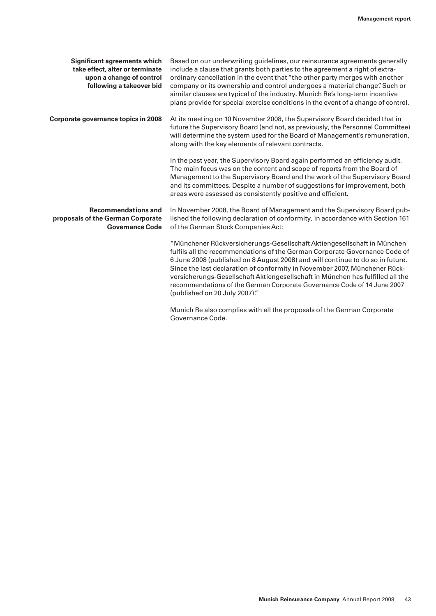| <b>Significant agreements which</b><br>take effect, alter or terminate<br>upon a change of control<br>following a takeover bid | Based on our underwriting guidelines, our reinsurance agreements generally<br>include a clause that grants both parties to the agreement a right of extra-<br>ordinary cancellation in the event that "the other party merges with another<br>company or its ownership and control undergoes a material change". Such or<br>similar clauses are typical of the industry. Munich Re's long-term incentive<br>plans provide for special exercise conditions in the event of a change of control.                      |
|--------------------------------------------------------------------------------------------------------------------------------|---------------------------------------------------------------------------------------------------------------------------------------------------------------------------------------------------------------------------------------------------------------------------------------------------------------------------------------------------------------------------------------------------------------------------------------------------------------------------------------------------------------------|
| Corporate governance topics in 2008                                                                                            | At its meeting on 10 November 2008, the Supervisory Board decided that in<br>future the Supervisory Board (and not, as previously, the Personnel Committee)<br>will determine the system used for the Board of Management's remuneration,<br>along with the key elements of relevant contracts.                                                                                                                                                                                                                     |
|                                                                                                                                | In the past year, the Supervisory Board again performed an efficiency audit.<br>The main focus was on the content and scope of reports from the Board of<br>Management to the Supervisory Board and the work of the Supervisory Board<br>and its committees. Despite a number of suggestions for improvement, both<br>areas were assessed as consistently positive and efficient.                                                                                                                                   |
| <b>Recommendations and</b><br>proposals of the German Corporate<br><b>Governance Code</b>                                      | In November 2008, the Board of Management and the Supervisory Board pub-<br>lished the following declaration of conformity, in accordance with Section 161<br>of the German Stock Companies Act:                                                                                                                                                                                                                                                                                                                    |
|                                                                                                                                | "Münchener Rückversicherungs-Gesellschaft Aktiengesellschaft in München<br>fulfils all the recommendations of the German Corporate Governance Code of<br>6 June 2008 (published on 8 August 2008) and will continue to do so in future.<br>Since the last declaration of conformity in November 2007, Münchener Rück-<br>versicherungs-Gesellschaft Aktiengesellschaft in München has fulfilled all the<br>recommendations of the German Corporate Governance Code of 14 June 2007<br>(published on 20 July 2007)." |

Munich Re also complies with all the proposals of the German Corporate Governance Code.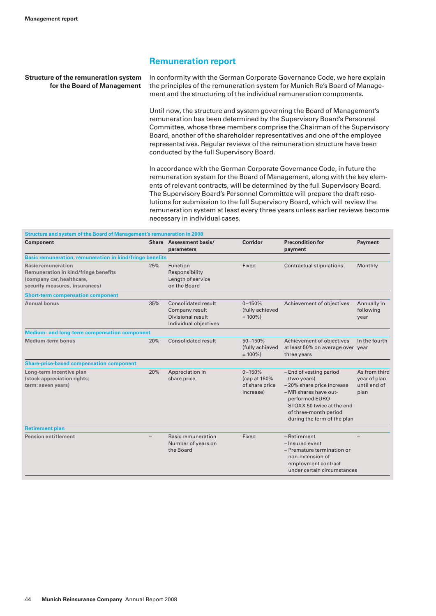# **Remuneration report**

**Structure of the remuneration system** In conformity with the German Corporate Governance Code, we here explain **for the Board of Management** the principles of the remuneration system for Munich Re's Board of Management and the structuring of the individual remuneration components.

> Until now, the structure and system governing the Board of Management's remuneration has been determined by the Supervisory Board's Personnel Committee, whose three members comprise the Chairman of the Supervisory Board, another of the shareholder representatives and one of the employee representatives. Regular reviews of the remuneration structure have been conducted by the full Supervisory Board.

> In accordance with the German Corporate Governance Code, in future the remuneration system for the Board of Management, along with the key elements of relevant contracts, will be determined by the full Supervisory Board. The Supervisory Board's Personnel Committee will prepare the draft resolutions for submission to the full Supervisory Board, which will review the remuneration system at least every three years unless earlier reviews become necessary in individual cases.

| Structure and system of the Board of Management's remuneration in 2008                                                                  |     |                                                                                     |                                                           |                                                                                                                                                                                                     |                                                       |  |  |  |  |
|-----------------------------------------------------------------------------------------------------------------------------------------|-----|-------------------------------------------------------------------------------------|-----------------------------------------------------------|-----------------------------------------------------------------------------------------------------------------------------------------------------------------------------------------------------|-------------------------------------------------------|--|--|--|--|
| <b>Component</b>                                                                                                                        |     | Corridor<br>Share Assessment basis/<br>parameters                                   |                                                           | <b>Precondition for</b><br>payment                                                                                                                                                                  | Payment                                               |  |  |  |  |
| Basic remuneration, remuneration in kind/fringe benefits                                                                                |     |                                                                                     |                                                           |                                                                                                                                                                                                     |                                                       |  |  |  |  |
| <b>Basic remuneration</b><br>25%<br>Remuneration in kind/fringe benefits<br>(company car, healthcare,<br>security measures, insurances) |     | Function<br>Responsibility<br>Length of service<br>on the Board                     | Fixed                                                     | Contractual stipulations                                                                                                                                                                            | Monthly                                               |  |  |  |  |
| <b>Short-term compensation component</b>                                                                                                |     |                                                                                     |                                                           |                                                                                                                                                                                                     |                                                       |  |  |  |  |
| <b>Annual bonus</b>                                                                                                                     | 35% | Consolidated result<br>Company result<br>Divisional result<br>Individual objectives | $0 - 150%$<br>(fully achieved<br>$= 100\%)$               | Achievement of objectives                                                                                                                                                                           | Annually in<br>following<br>year                      |  |  |  |  |
| Medium- and long-term compensation component                                                                                            |     |                                                                                     |                                                           |                                                                                                                                                                                                     |                                                       |  |  |  |  |
| Medium-term bonus                                                                                                                       | 20% | <b>Consolidated result</b>                                                          | $50 - 150%$<br>(fully achieved<br>$= 100\%)$              | Achievement of objectives<br>at least 50% on average over year<br>three years                                                                                                                       | In the fourth                                         |  |  |  |  |
| <b>Share-price-based compensation component</b>                                                                                         |     |                                                                                     |                                                           |                                                                                                                                                                                                     |                                                       |  |  |  |  |
| Long-term incentive plan<br>(stock appreciation rights;<br>term: seven years)                                                           | 20% | Appreciation in<br>share price                                                      | $0 - 150%$<br>(cap at 150%<br>of share price<br>increase) | - End of vesting period<br>(two years)<br>-20% share price increase<br>- MR shares have out-<br>performed EURO<br>STOXX 50 twice at the end<br>of three-month period<br>during the term of the plan | As from third<br>year of plan<br>until end of<br>plan |  |  |  |  |
| <b>Retirement plan</b>                                                                                                                  |     |                                                                                     |                                                           |                                                                                                                                                                                                     |                                                       |  |  |  |  |
| <b>Pension entitlement</b>                                                                                                              |     | <b>Basic remuneration</b><br>Number of years on<br>the Board                        | Fixed                                                     | - Retirement<br>- Insured event<br>- Premature termination or<br>non-extension of<br>employment contract<br>under certain circumstances                                                             |                                                       |  |  |  |  |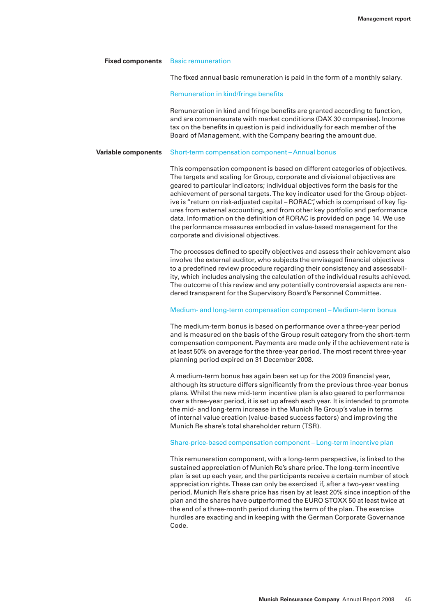#### **Fixed components** Basic remuneration

The fixed annual basic remuneration is paid in the form of a monthly salary.

#### Remuneration in kind/fringe benefits

Remuneration in kind and fringe benefits are granted according to function, and are commensurate with market conditions (DAX 30 companies). Income tax on the benefits in question is paid individually for each member of the Board of Management, with the Company bearing the amount due.

#### **Variable components** Short-term compensation component – Annual bonus

This compensation component is based on different categories of objectives. The targets and scaling for Group, corporate and divisional objectives are geared to particular indicators; individual objectives form the basis for the achievement of personal targets. The key indicator used for the Group objective is "return on risk-adjusted capital – RORAC", which is comprised of key figures from external accounting, and from other key portfolio and performance data. Information on the definition of RORAC is provided on page 14. We use the performance measures embodied in value-based management for the corporate and divisional objectives.

The processes defined to specify objectives and assess their achievement also involve the external auditor, who subjects the envisaged financial objectives to a predefined review procedure regarding their consistency and assessability, which includes analysing the calculation of the individual results achieved. The outcome of this review and any potentially controversial aspects are rendered transparent for the Supervisory Board's Personnel Committee.

#### Medium- and long-term compensation component – Medium-term bonus

The medium-term bonus is based on performance over a three-year period and is measured on the basis of the Group result category from the short-term compensation component. Payments are made only if the achievement rate is at least 50% on average for the three-year period. The most recent three-year planning period expired on 31 December 2008.

A medium-term bonus has again been set up for the 2009 financial year, although its structure differs significantly from the previous three-year bonus plans. Whilst the new mid-term incentive plan is also geared to performance over a three-year period, it is set up afresh each year. It is intended to promote the mid- and long-term increase in the Munich Re Group's value in terms of internal value creation (value-based success factors) and improving the Munich Re share's total shareholder return (TSR).

#### Share-price-based compensation component – Long-term incentive plan

This remuneration component, with a long-term perspective, is linked to the sustained appreciation of Munich Re's share price. The long-term incentive plan is set up each year, and the participants receive a certain number of stock appreciation rights. These can only be exercised if, after a two-year vesting period, Munich Re's share price has risen by at least 20% since inception of the plan and the shares have outperformed the EURO STOXX 50 at least twice at the end of a three-month period during the term of the plan. The exercise hurdles are exacting and in keeping with the German Corporate Governance Code.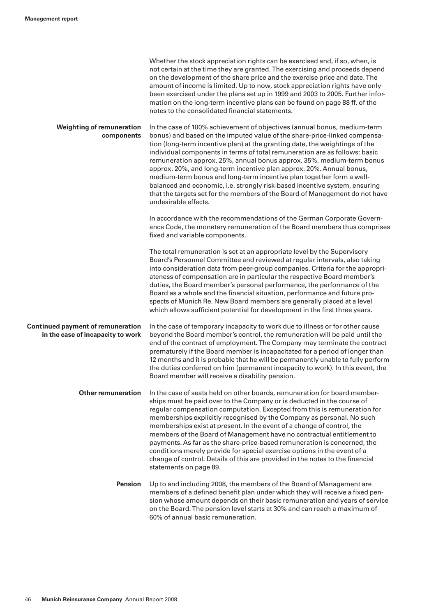|                                                                               | Whether the stock appreciation rights can be exercised and, if so, when, is<br>not certain at the time they are granted. The exercising and proceeds depend<br>on the development of the share price and the exercise price and date. The<br>amount of income is limited. Up to now, stock appreciation rights have only<br>been exercised under the plans set up in 1999 and 2003 to 2005. Further infor-<br>mation on the long-term incentive plans can be found on page 88 ff. of the<br>notes to the consolidated financial statements.                                                                                                                                                                                      |
|-------------------------------------------------------------------------------|----------------------------------------------------------------------------------------------------------------------------------------------------------------------------------------------------------------------------------------------------------------------------------------------------------------------------------------------------------------------------------------------------------------------------------------------------------------------------------------------------------------------------------------------------------------------------------------------------------------------------------------------------------------------------------------------------------------------------------|
| <b>Weighting of remuneration</b><br>components                                | In the case of 100% achievement of objectives (annual bonus, medium-term<br>bonus) and based on the imputed value of the share-price-linked compensa-<br>tion (long-term incentive plan) at the granting date, the weightings of the<br>individual components in terms of total remuneration are as follows: basic<br>remuneration approx. 25%, annual bonus approx. 35%, medium-term bonus<br>approx. 20%, and long-term incentive plan approx. 20%. Annual bonus,<br>medium-term bonus and long-term incentive plan together form a well-<br>balanced and economic, i.e. strongly risk-based incentive system, ensuring<br>that the targets set for the members of the Board of Management do not have<br>undesirable effects. |
|                                                                               | In accordance with the recommendations of the German Corporate Govern-<br>ance Code, the monetary remuneration of the Board members thus comprises<br>fixed and variable components.                                                                                                                                                                                                                                                                                                                                                                                                                                                                                                                                             |
|                                                                               | The total remuneration is set at an appropriate level by the Supervisory<br>Board's Personnel Committee and reviewed at regular intervals, also taking<br>into consideration data from peer-group companies. Criteria for the appropri-<br>ateness of compensation are in particular the respective Board member's<br>duties, the Board member's personal performance, the performance of the<br>Board as a whole and the financial situation, performance and future pro-<br>spects of Munich Re. New Board members are generally placed at a level<br>which allows sufficient potential for development in the first three years.                                                                                              |
| <b>Continued payment of remuneration</b><br>in the case of incapacity to work | In the case of temporary incapacity to work due to illness or for other cause<br>beyond the Board member's control, the remuneration will be paid until the<br>end of the contract of employment. The Company may terminate the contract<br>prematurely if the Board member is incapacitated for a period of longer than<br>12 months and it is probable that he will be permanently unable to fully perform<br>the duties conferred on him (permanent incapacity to work). In this event, the<br>Board member will receive a disability pension.                                                                                                                                                                                |
| <b>Other remuneration</b>                                                     | In the case of seats held on other boards, remuneration for board member-<br>ships must be paid over to the Company or is deducted in the course of<br>regular compensation computation. Excepted from this is remuneration for<br>memberships explicitly recognised by the Company as personal. No such<br>memberships exist at present. In the event of a change of control, the<br>members of the Board of Management have no contractual entitlement to<br>payments. As far as the share-price-based remuneration is concerned, the<br>conditions merely provide for special exercise options in the event of a<br>change of control. Details of this are provided in the notes to the financial<br>statements on page 89.   |
| <b>Pension</b>                                                                | Up to and including 2008, the members of the Board of Management are<br>members of a defined benefit plan under which they will receive a fixed pen-<br>sion whose amount depends on their basic remuneration and years of service<br>on the Board. The pension level starts at 30% and can reach a maximum of<br>60% of annual basic remuneration.                                                                                                                                                                                                                                                                                                                                                                              |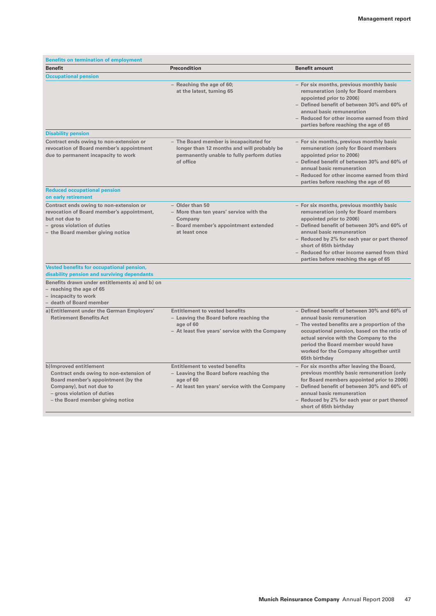| <b>Benefits on termination of employment</b>                                                                                                                                                           |                                                                                                                                                  |                                                                                                                                                                                                                                                                                                                                                                |
|--------------------------------------------------------------------------------------------------------------------------------------------------------------------------------------------------------|--------------------------------------------------------------------------------------------------------------------------------------------------|----------------------------------------------------------------------------------------------------------------------------------------------------------------------------------------------------------------------------------------------------------------------------------------------------------------------------------------------------------------|
| <b>Benefit</b>                                                                                                                                                                                         | <b>Precondition</b>                                                                                                                              | <b>Benefit amount</b>                                                                                                                                                                                                                                                                                                                                          |
| <b>Occupational pension</b>                                                                                                                                                                            |                                                                                                                                                  |                                                                                                                                                                                                                                                                                                                                                                |
|                                                                                                                                                                                                        | $-$ Reaching the age of 60;<br>at the latest, turning 65                                                                                         | - For six months, previous monthly basic<br>remuneration (only for Board members<br>appointed prior to 2006)<br>- Defined benefit of between 30% and 60% of<br>annual basic remuneration<br>- Reduced for other income earned from third<br>parties before reaching the age of 65                                                                              |
| <b>Disability pension</b>                                                                                                                                                                              |                                                                                                                                                  |                                                                                                                                                                                                                                                                                                                                                                |
| Contract ends owing to non-extension or<br>revocation of Board member's appointment<br>due to permanent incapacity to work                                                                             | - The Board member is incapacitated for<br>longer than 12 months and will probably be<br>permanently unable to fully perform duties<br>of office | - For six months, previous monthly basic<br>remuneration (only for Board members<br>appointed prior to 2006)<br>- Defined benefit of between 30% and 60% of<br>annual basic remuneration<br>- Reduced for other income earned from third<br>parties before reaching the age of 65                                                                              |
| <b>Reduced occupational pension</b><br>on early retirement                                                                                                                                             |                                                                                                                                                  |                                                                                                                                                                                                                                                                                                                                                                |
| Contract ends owing to non-extension or<br>revocation of Board member's appointment,<br>but not due to<br>- gross violation of duties<br>- the Board member giving notice                              | - Older than 50<br>- More than ten years' service with the<br>Company<br>- Board member's appointment extended<br>at least once                  | - For six months, previous monthly basic<br>remuneration (only for Board members<br>appointed prior to 2006)<br>- Defined benefit of between 30% and 60% of<br>annual basic remuneration<br>$-$ Reduced by 2% for each year or part thereof<br>short of 65th birthday<br>- Reduced for other income earned from third<br>parties before reaching the age of 65 |
| <b>Vested benefits for occupational pension,</b><br>disability pension and surviving dependants                                                                                                        |                                                                                                                                                  |                                                                                                                                                                                                                                                                                                                                                                |
| Benefits drawn under entitlements a) and b) on<br>- reaching the age of 65<br>- incapacity to work<br>- death of Board member                                                                          |                                                                                                                                                  |                                                                                                                                                                                                                                                                                                                                                                |
| a) Entitlement under the German Employers'<br><b>Retirement Benefits Act</b>                                                                                                                           | <b>Entitlement to vested benefits</b><br>- Leaving the Board before reaching the<br>age of 60<br>- At least five years' service with the Company | - Defined benefit of between 30% and 60% of<br>annual basic remuneration<br>- The vested benefits are a proportion of the<br>occupational pension, based on the ratio of<br>actual service with the Company to the<br>period the Board member would have<br>worked for the Company altogether until<br>65th birthday                                           |
| b)Improved entitlement<br>Contract ends owing to non-extension of<br>Board member's appointment (by the<br>Company), but not due to<br>- gross violation of duties<br>- the Board member giving notice | <b>Entitlement to vested benefits</b><br>- Leaving the Board before reaching the<br>age of 60<br>- At least ten years' service with the Company  | - For six months after leaving the Board,<br>previous monthly basic remuneration (only<br>for Board members appointed prior to 2006)<br>- Defined benefit of between 30% and 60% of<br>annual basic remuneration<br>$-$ Reduced by 2% for each year or part thereof<br>short of 65th birthday                                                                  |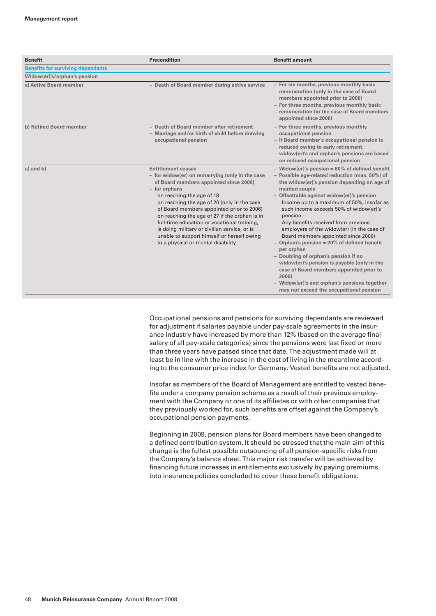| <b>Benefit</b>                           | <b>Precondition</b>                                                                                                                                                                                                                                                                                                                                                                                                                                                                                  | <b>Benefit amount</b>                                                                                                                                                                                                                                                                                                                                                                                                                                                                                                                                                                                                                                                                                                                                  |
|------------------------------------------|------------------------------------------------------------------------------------------------------------------------------------------------------------------------------------------------------------------------------------------------------------------------------------------------------------------------------------------------------------------------------------------------------------------------------------------------------------------------------------------------------|--------------------------------------------------------------------------------------------------------------------------------------------------------------------------------------------------------------------------------------------------------------------------------------------------------------------------------------------------------------------------------------------------------------------------------------------------------------------------------------------------------------------------------------------------------------------------------------------------------------------------------------------------------------------------------------------------------------------------------------------------------|
| <b>Benefits for surviving dependants</b> |                                                                                                                                                                                                                                                                                                                                                                                                                                                                                                      |                                                                                                                                                                                                                                                                                                                                                                                                                                                                                                                                                                                                                                                                                                                                                        |
| Widow(er)'s/orphan's pension             |                                                                                                                                                                                                                                                                                                                                                                                                                                                                                                      |                                                                                                                                                                                                                                                                                                                                                                                                                                                                                                                                                                                                                                                                                                                                                        |
| a) Active Board member                   | - Death of Board member during active service                                                                                                                                                                                                                                                                                                                                                                                                                                                        | - For six months, previous monthly basic<br>remuneration (only in the case of Board<br>members appointed prior to 2006)<br>- For three months, previous monthly basic<br>remuneration (in the case of Board members<br>appointed since 2006)                                                                                                                                                                                                                                                                                                                                                                                                                                                                                                           |
| b) Retired Board member                  | - Death of Board member after retirement<br>- Marriage and/or birth of child before drawing<br>occupational pension                                                                                                                                                                                                                                                                                                                                                                                  | - For three months, previous monthly<br>occupational pension<br>- If Board member's occupational pension is<br>reduced owing to early retirement,<br>widow(er)'s and orphan's pensions are based<br>on reduced occupational pension                                                                                                                                                                                                                                                                                                                                                                                                                                                                                                                    |
| $a)$ and $b)$                            | <b>Entitlement ceases</b><br>- for widow(er) on remarrying (only in the case<br>of Board members appointed since 2006)<br>- for orphans<br>on reaching the age of 18<br>on reaching the age of 20 (only in the case<br>of Board members appointed prior to 2006)<br>on reaching the age of 27 if the orphan is in<br>full-time education or vocational training,<br>is doing military or civilian service, or is<br>unable to support himself or herself owing<br>to a physical or mental disability | - Widow(er)'s pension = $60\%$ of defined benefit<br>- Possible age-related reduction (max. 50%) of<br>the widow(er)'s pension depending on age of<br>married couple<br>- Offsettable against widow(er)'s pension<br>Income up to a maximum of 50%, insofar as<br>such income exceeds 50% of widow(er)'s<br>pension<br>Any benefits received from previous<br>employers of the widow(er) (in the case of<br>Board members appointed since 2006)<br>- Orphan's pension $= 20\%$ of defined benefit<br>per orphan<br>- Doubling of orphan's pension if no<br>widow(er)'s pension is payable (only in the<br>case of Board members appointed prior to<br>2006)<br>- Widow(er)'s and orphan's pensions together<br>may not exceed the occupational pension |

Occupational pensions and pensions for surviving dependants are reviewed for adjustment if salaries payable under pay-scale agreements in the insurance industry have increased by more than 12% (based on the average final salary of all pay-scale categories) since the pensions were last fixed or more than three years have passed since that date. The adjustment made will at least be in line with the increase in the cost of living in the meantime according to the consumer price index for Germany. Vested benefits are not adjusted.

Insofar as members of the Board of Management are entitled to vested benefits under a company pension scheme as a result of their previous employment with the Company or one of its affiliates or with other companies that they previously worked for, such benefits are offset against the Company's occupational pension payments.

Beginning in 2009, pension plans for Board members have been changed to a defined contribution system. It should be stressed that the main aim of this change is the fullest possible outsourcing of all pension-specific risks from the Company's balance sheet. This major risk transfer will be achieved by financing future increases in entitlements exclusively by paying premiums into insurance policies concluded to cover these benefit obligations.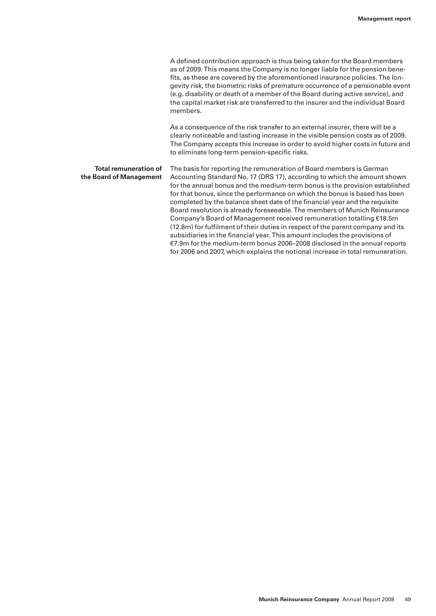A defined contribution approach is thus being taken for the Board members as of 2009. This means the Company is no longer liable for the pension benefits, as these are covered by the aforementioned insurance policies. The longevity risk, the biometric risks of premature occurrence of a pensionable event (e.g. disability or death of a member of the Board during active service), and the capital market risk are transferred to the insurer and the individual Board members.

As a consequence of the risk transfer to an external insurer, there will be a clearly noticeable and lasting increase in the visible pension costs as of 2009. The Company accepts this increase in order to avoid higher costs in future and to eliminate long-term pension-specific risks.

**Total remuneration of** The basis for reporting the remuneration of Board members is German **the Board of Management** Accounting Standard No. 17 (DRS 17), according to which the amount shown for the annual bonus and the medium-term bonus is the provision established for that bonus, since the performance on which the bonus is based has been completed by the balance sheet date of the financial year and the requisite Board resolution is already foreseeable. The members of Munich Reinsurance Company's Board of Management received remuneration totalling €18.5m (12.8m) for fulfilment of their duties in respect of the parent company and its subsidiaries in the financial year. This amount includes the provisions of €7.9m for the medium-term bonus 2006–2008 disclosed in the annual reports for 2006 and 2007, which explains the notional increase in total remuneration.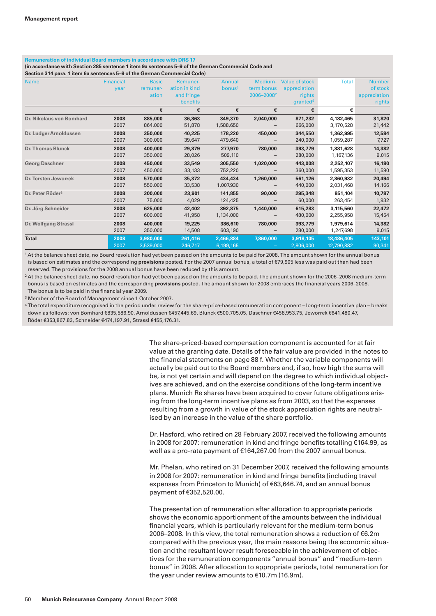# **Remuneration of individual Board members in accordance with DRS 17 (in accordance with Section 285 sentence 1 item 9a sentences 5–9 of the German Commercial Code and**

| Section 314 para. 1 item 6a sentences 5–9 of the German Commercial Code) |              |               |                    |                        |                       |              |               |  |  |  |
|--------------------------------------------------------------------------|--------------|---------------|--------------------|------------------------|-----------------------|--------------|---------------|--|--|--|
| <b>Financial</b>                                                         | <b>Basic</b> | Remuner-      | Annual             | Medium-                | <b>Value of stock</b> | <b>Total</b> | <b>Number</b> |  |  |  |
| year                                                                     | remuner-     | ation in kind | bonus <sup>1</sup> | term bonus             | appreciation          |              | of stock      |  |  |  |
|                                                                          | ation        | and fringe    |                    | 2006-2008 <sup>2</sup> | rights                |              | appreciation  |  |  |  |
|                                                                          |              | benefits      |                    |                        | granted <sup>4</sup>  |              | rights        |  |  |  |
|                                                                          | €            | €             | €                  | €                      | €                     | €            |               |  |  |  |
| 2008                                                                     | 885,000      | 36,863        | 349,370            | 2,040,000              | 871,232               | 4,182,465    | 31,820        |  |  |  |
| 2007                                                                     | 864,000      | 51,878        | 1,588,650          |                        | 666,000               | 3,170,528    | 21,442        |  |  |  |
| 2008                                                                     | 350,000      | 40,225        | 178,220            | 450,000                | 344,550               | 1,362,995    | 12,584        |  |  |  |
| 2007                                                                     | 300,000      | 39,647        | 479,640            |                        | 240,000               | 1,059,287    | 7,727         |  |  |  |
| 2008                                                                     | 400,000      | 29,879        | 277,970            | 780,000                | 393,779               | 1,881,628    | 14,382        |  |  |  |
| 2007                                                                     | 350,000      | 28,026        | 509,110            |                        | 280,000               | 1,167,136    | 9,015         |  |  |  |
| 2008                                                                     | 450,000      | 33,549        | 305,550            | 1,020,000              | 443,008               | 2,252,107    | 16,180        |  |  |  |
| 2007                                                                     | 450,000      | 33,133        | 752,220            |                        | 360,000               | 1,595,353    | 11,590        |  |  |  |
| 2008                                                                     | 570,000      | 35,372        | 434,434            | 1,260,000              | 561,126               | 2,860,932    | 20,494        |  |  |  |
| 2007                                                                     | 550,000      | 33,538        | 1,007,930          |                        | 440,000               | 2,031,468    | 14,166        |  |  |  |
| 2008                                                                     | 300,000      | 23,901        | 141,855            | 90,000                 | 295,348               | 851.104      | 10,787        |  |  |  |
| 2007                                                                     | 75,000       | 4,029         | 124,425            |                        | 60,000                | 263,454      | 1,932         |  |  |  |
| 2008                                                                     | 625,000      | 42,402        | 392,875            | 1,440,000              | 615,283               | 3,115,560    | 22,472        |  |  |  |
| 2007                                                                     | 600,000      | 41,958        | 1,134,000          |                        | 480,000               | 2,255,958    | 15,454        |  |  |  |
| 2008                                                                     | 400,000      | 19,225        | 386,610            | 780,000                | 393,779               | 1,979,614    | 14,382        |  |  |  |
| 2007                                                                     | 350,000      | 14,508        | 603,190            | $\qquad \qquad -$      | 280,000               | 1,247,698    | 9,015         |  |  |  |
| 2008                                                                     | 3,980,000    | 261,416       | 2,466,884          | 7,860,000              | 3,918,105             | 18,486,405   | 143,101       |  |  |  |
| 2007                                                                     | 3,539,000    | 246,717       | 6,199,165          |                        | 2,806,000             | 12,790,882   | 90,341        |  |  |  |
|                                                                          |              |               |                    |                        |                       |              |               |  |  |  |

<sup>1</sup> At the balance sheet date, no Board resolution had yet been passed on the amounts to be paid for 2008. The amount shown for the annual bonus is based on estimates and the corresponding **provisions** posted. For the 2007 annual bonus, a total of €79,905 less was paid out than had been reserved. The provisions for the 2008 annual bonus have been reduced by this amount.

<sup>2</sup> At the balance sheet date, no Board resolution had yet been passed on the amounts to be paid. The amount shown for the 2006–2008 medium-term bonus is based on estimates and the corresponding **provisions** posted. The amount shown for 2008 embraces the financial years 2006–2008. The bonus is to be paid in the financial year 2009.

3 Member of the Board of Management since 1 October 2007.

<sup>4</sup> The total expenditure recognised in the period under review for the share-price-based remuneration component – long-term incentive plan – breaks down as follows: von Bomhard €835,586.90, Arnoldussen €457,445.69, Blunck €500,705.05, Daschner €458,953.75, Jeworrek €641,480.47, Röder €353,867.83, Schneider €474,197.91, Strassl €455,176.31.

> The share-priced-based compensation component is accounted for at fair value at the granting date. Details of the fair value are provided in the notes to the financial statements on page 88 f. Whether the variable components will actually be paid out to the Board members and, if so, how high the sums will be, is not yet certain and will depend on the degree to which individual objectives are achieved, and on the exercise conditions of the long-term incentive plans. Munich Re shares have been acquired to cover future obligations arising from the long-term incentive plans as from 2003, so that the expenses resulting from a growth in value of the stock appreciation rights are neutralised by an increase in the value of the share portfolio.

> Dr. Hasford, who retired on 28 February 2007, received the following amounts in 2008 for 2007: remuneration in kind and fringe benefits totalling €164.99, as well as a pro-rata payment of €164,267.00 from the 2007 annual bonus.

> Mr. Phelan, who retired on 31 December 2007, received the following amounts in 2008 for 2007: remuneration in kind and fringe benefits (including travel expenses from Princeton to Munich) of €63,646.74, and an annual bonus payment of €352,520.00.

> The presentation of remuneration after allocation to appropriate periods shows the economic apportionment of the amounts between the individual financial years, which is particularly relevant for the medium-term bonus 2006–2008. In this view, the total remuneration shows a reduction of €6.2m compared with the previous year, the main reasons being the economic situation and the resultant lower result foreseeable in the achievement of objectives for the remuneration components "annual bonus" and "medium-term bonus" in 2008. After allocation to appropriate periods, total remuneration for the year under review amounts to €10.7m (16.9m).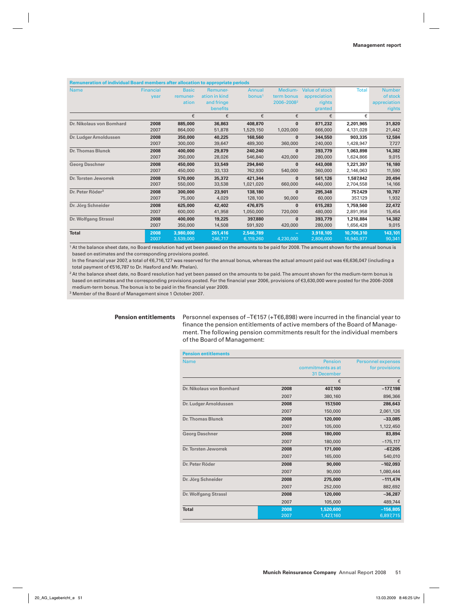| Remuneration of individual Board members after allocation to appropriate periods |                  |              |               |                    |                        |                       |              |               |
|----------------------------------------------------------------------------------|------------------|--------------|---------------|--------------------|------------------------|-----------------------|--------------|---------------|
| <b>Name</b>                                                                      | <b>Financial</b> | <b>Basic</b> | Remuner-      | <b>Annual</b>      | Medium-                | <b>Value of stock</b> | <b>Total</b> | <b>Number</b> |
|                                                                                  | year             | remuner-     | ation in kind | bonus <sup>1</sup> | term bonus             | appreciation          |              | of stock      |
|                                                                                  |                  | ation        | and fringe    |                    | 2006-2008 <sup>2</sup> | rights                |              | appreciation  |
|                                                                                  |                  |              | benefits      |                    |                        | granted               |              | rights        |
|                                                                                  |                  | €            | €             | €                  | €                      | €                     | €            |               |
| Dr. Nikolaus von Bomhard                                                         | 2008             | 885,000      | 36,863        | 408,870            | $\bf{0}$               | 871.232               | 2,201,965    | 31,820        |
|                                                                                  | 2007             | 864,000      | 51,878        | 1,529,150          | 1,020,000              | 666,000               | 4,131,028    | 21,442        |
| Dr. Ludger Arnoldussen                                                           | 2008             | 350,000      | 40,225        | 168,560            | $\mathbf 0$            | 344,550               | 903,335      | 12,584        |
|                                                                                  | 2007             | 300,000      | 39,647        | 489,300            | 360,000                | 240,000               | 1,428,947    | 7,727         |
| <b>Dr. Thomas Blunck</b>                                                         | 2008             | 400,000      | 29,879        | 240,240            | 0                      | 393,779               | 1,063,898    | 14,382        |
|                                                                                  | 2007             | 350,000      | 28,026        | 546,840            | 420,000                | 280,000               | 1,624,866    | 9,015         |
| <b>Georg Daschner</b>                                                            | 2008             | 450,000      | 33,549        | 294,840            | $\mathbf 0$            | 443,008               | 1,221,397    | 16,180        |
|                                                                                  | 2007             | 450,000      | 33,133        | 762,930            | 540,000                | 360,000               | 2,146,063    | 11,590        |
| Dr. Torsten Jeworrek                                                             | 2008             | 570,000      | 35,372        | 421,344            | 0                      | 561.126               | 1,587,842    | 20,494        |
|                                                                                  | 2007             | 550,000      | 33,538        | 1,021,020          | 660,000                | 440,000               | 2,704,558    | 14,166        |
| Dr. Peter Röder <sup>3</sup>                                                     | 2008             | 300,000      | 23,901        | 138,180            | $\bf{0}$               | 295,348               | 757,429      | 10,787        |
|                                                                                  | 2007             | 75,000       | 4,029         | 128,100            | 90,000                 | 60,000                | 357,129      | 1,932         |
| Dr. Jörg Schneider                                                               | 2008             | 625,000      | 42,402        | 476,875            | $\bf{0}$               | 615,283               | 1,759,560    | 22,472        |
|                                                                                  | 2007             | 600,000      | 41,958        | 1,050,000          | 720,000                | 480,000               | 2,891,958    | 15,454        |
| Dr. Wolfgang Strassl                                                             | 2008             | 400,000      | 19,225        | 397,880            | $\bf{0}$               | 393,779               | 1,210,884    | 14,382        |
|                                                                                  | 2007             | 350,000      | 14,508        | 591,920            | 420,000                | 280,000               | 1,656,428    | 9,015         |
| <b>Total</b>                                                                     | 2008             | 3,980,000    | 261,416       | 2,546,789          | -                      | 3,918,105             | 10,706,310   | 143,101       |
|                                                                                  | 2007             | 3,539,000    | 246,717       | 6,119,260          | 4,230,000              | 2,806,000             | 16,940,977   | 90,341        |

<sup>1</sup> At the balance sheet date, no Board resolution had yet been passed on the amounts to be paid for 2008. The amount shown for the annual bonus is based on estimates and the corresponding provisions posted.

In the financial year 2007, a total of €6,716,127 was reserved for the annual bonus, whereas the actual amount paid out was €6,636,047 (including a total payment of €516,787 to Dr. Hasford and Mr. Phelan).

<sup>2</sup> At the balance sheet date, no Board resolution had yet been passed on the amounts to be paid. The amount shown for the medium-term bonus is based on estimates and the corresponding provisions posted. For the financial year 2006, provisions of €3,630,000 were posted for the 2006–2008 medium-term bonus. The bonus is to be paid in the financial year 2009.

3 Member of the Board of Management since 1 October 2007.

**Pension entitlements** Personnel expenses of –T€157 (+T€6,898) were incurred in the financial year to finance the pension entitlements of active members of the Board of Management. The following pension commitments result for the individual members of the Board of Management:

| <b>Pension entitlements</b> |      |                   |                           |
|-----------------------------|------|-------------------|---------------------------|
| <b>Name</b>                 |      | <b>Pension</b>    | <b>Personnel expenses</b> |
|                             |      | commitments as at | for provisions            |
|                             |      | 31 December       |                           |
|                             |      | €                 | €                         |
| Dr. Nikolaus von Bomhard    | 2008 | 407,100           | $-177,198$                |
|                             | 2007 | 380,160           | 896,366                   |
| Dr. Ludger Arnoldussen      | 2008 | 157,500           | 286,643                   |
|                             | 2007 | 150,000           | 2,061,126                 |
| Dr. Thomas Blunck           | 2008 | 120,000           | $-33,085$                 |
|                             | 2007 | 105,000           | 1,122,450                 |
| <b>Georg Daschner</b>       | 2008 | 180,000           | 83,894                    |
|                             | 2007 | 180,000           | $-175, 117$               |
| Dr. Torsten Jeworrek        | 2008 | 171,000           | $-67,205$                 |
|                             | 2007 | 165,000           | 540,010                   |
| Dr. Peter Röder             | 2008 | 90,000            | $-102,093$                |
|                             | 2007 | 90,000            | 1,080,444                 |
| Dr. Jörg Schneider          | 2008 | 275,000           | $-111,474$                |
|                             | 2007 | 252,000           | 882,692                   |
| Dr. Wolfgang Strassl        | 2008 | 120,000           | $-36,287$                 |
|                             | 2007 | 105,000           | 489,744                   |
| <b>Total</b>                | 2008 | 1,520,600         | $-156,805$                |
|                             | 2007 | 1,427,160         | 6,897,715                 |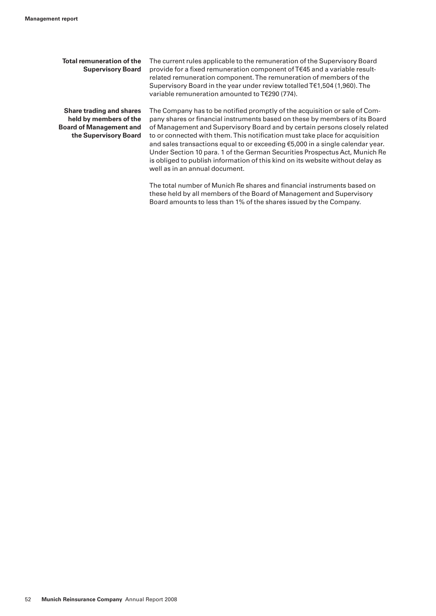| <b>Total remuneration of the</b><br><b>Supervisory Board</b>                                                         | The current rules applicable to the remuneration of the Supervisory Board<br>provide for a fixed remuneration component of T€45 and a variable result-<br>related remuneration component. The remuneration of members of the<br>Supervisory Board in the year under review totalled $T\epsilon$ 1,504 (1,960). The<br>variable remuneration amounted to T€290 (774).                                                                                                                                                                                                                                                   |
|----------------------------------------------------------------------------------------------------------------------|------------------------------------------------------------------------------------------------------------------------------------------------------------------------------------------------------------------------------------------------------------------------------------------------------------------------------------------------------------------------------------------------------------------------------------------------------------------------------------------------------------------------------------------------------------------------------------------------------------------------|
| <b>Share trading and shares</b><br>held by members of the<br><b>Board of Management and</b><br>the Supervisory Board | The Company has to be notified promptly of the acquisition or sale of Com-<br>pany shares or financial instruments based on these by members of its Board<br>of Management and Supervisory Board and by certain persons closely related<br>to or connected with them. This notification must take place for acquisition<br>and sales transactions equal to or exceeding $\epsilon$ 5,000 in a single calendar year.<br>Under Section 10 para. 1 of the German Securities Prospectus Act, Munich Re<br>is obliged to publish information of this kind on its website without delay as<br>well as in an annual document. |
|                                                                                                                      | The total number of Munich Re shares and financial instruments based on                                                                                                                                                                                                                                                                                                                                                                                                                                                                                                                                                |

The total number of Munich Re shares and financial instruments based on these held by all members of the Board of Management and Supervisory Board amounts to less than 1% of the shares issued by the Company.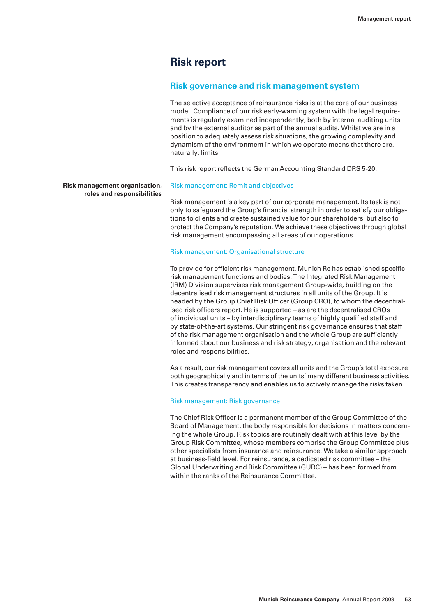# **Risk report**

# **Risk governance and risk management system**

The selective acceptance of reinsurance risks is at the core of our business model. Compliance of our risk early-warning system with the legal requirements is regularly examined independently, both by internal auditing units and by the external auditor as part of the annual audits. Whilst we are in a position to adequately assess risk situations, the growing complexity and dynamism of the environment in which we operate means that there are, naturally, limits.

This risk report reflects the German Accounting Standard DRS 5-20.

# **roles and responsibilities**

### **Risk management organisation,** Risk management: Remit and objectives

Risk management is a key part of our corporate management. Its task is not only to safeguard the Group's financial strength in order to satisfy our obligations to clients and create sustained value for our shareholders, but also to protect the Company's reputation. We achieve these objectives through global risk management encompassing all areas of our operations.

#### Risk management: Organisational structure

To provide for efficient risk management, Munich Re has established specific risk management functions and bodies. The Integrated Risk Management (IRM) Division supervises risk management Group-wide, building on the decentralised risk management structures in all units of the Group. It is headed by the Group Chief Risk Officer (Group CRO), to whom the decentralised risk officers report. He is supported – as are the decentralised CROs of individual units – by interdisciplinary teams of highly qualified staff and by state-of-the-art systems. Our stringent risk governance ensures that staff of the risk management organisation and the whole Group are sufficiently informed about our business and risk strategy, organisation and the relevant roles and responsibilities.

 As a result, our risk management covers all units and the Group's total exposure both geographically and in terms of the units' many different business activities. This creates transparency and enables us to actively manage the risks taken.

#### Risk management: Risk governance

The Chief Risk Officer is a permanent member of the Group Committee of the Board of Management, the body responsible for decisions in matters concerning the whole Group. Risk topics are routinely dealt with at this level by the Group Risk Committee, whose members comprise the Group Committee plus other specialists from insurance and reinsurance. We take a similar approach at business-field level. For reinsurance, a dedicated risk committee – the Global Underwriting and Risk Committee (GURC) – has been formed from within the ranks of the Reinsurance Committee.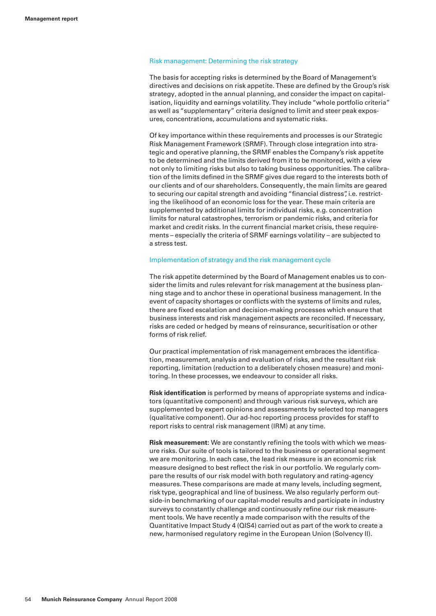#### Risk management: Determining the risk strategy

The basis for accepting risks is determined by the Board of Management's directives and decisions on risk appetite. These are defined by the Group's risk strategy, adopted in the annual planning, and consider the impact on capitalisation, liquidity and earnings volatility. They include "whole portfolio criteria" as well as "supplementary" criteria designed to limit and steer peak exposures, concentrations, accumulations and systematic risks.

Of key importance within these requirements and processes is our Strategic Risk Management Framework (SRMF). Through close integration into strategic and operative planning, the SRMF enables the Company's risk appetite to be determined and the limits derived from it to be monitored, with a view not only to limiting risks but also to taking business opportunities. The calibration of the limits defined in the SRMF gives due regard to the interests both of our clients and of our shareholders. Consequently, the main limits are geared to securing our capital strength and avoiding "financial distress", i.e. restricting the likelihood of an economic loss for the year. These main criteria are supplemented by additional limits for individual risks, e.g. concentration limits for natural catastrophes, terrorism or pandemic risks, and criteria for market and credit risks. In the current financial market crisis, these requirements – especially the criteria of SRMF earnings volatility – are subjected to a stress test.

#### Implementation of strategy and the risk management cycle

The risk appetite determined by the Board of Management enables us to consider the limits and rules relevant for risk management at the business planning stage and to anchor these in operational business management. In the event of capacity shortages or conflicts with the systems of limits and rules, there are fixed escalation and decision-making processes which ensure that business interests and risk management aspects are reconciled. If necessary, risks are ceded or hedged by means of reinsurance, securitisation or other forms of risk relief.

Our practical implementation of risk management embraces the identification, measurement, analysis and evaluation of risks, and the resultant risk reporting, limitation (reduction to a deliberately chosen measure) and monitoring. In these processes, we endeavour to consider all risks.

 **Risk identification** is performed by means of appropriate systems and indicators (quantitative component) and through various risk surveys, which are supplemented by expert opinions and assessments by selected top managers (qualitative component). Our ad-hoc reporting process provides for staff to report risks to central risk management (IRM) at any time.

 **Risk measurement:** We are constantly refining the tools with which we measure risks. Our suite of tools is tailored to the business or operational segment we are monitoring. In each case, the lead risk measure is an economic risk measure designed to best reflect the risk in our portfolio. We regularly compare the results of our risk model with both regulatory and rating-agency measures. These comparisons are made at many levels, including segment, risk type, geographical and line of business. We also regularly perform outside-in benchmarking of our capital-model results and participate in industry surveys to constantly challenge and continuously refine our risk measurement tools. We have recently a made comparison with the results of the Quantitative Impact Study 4 (QIS4) carried out as part of the work to create a new, harmonised regulatory regime in the European Union (Solvency II).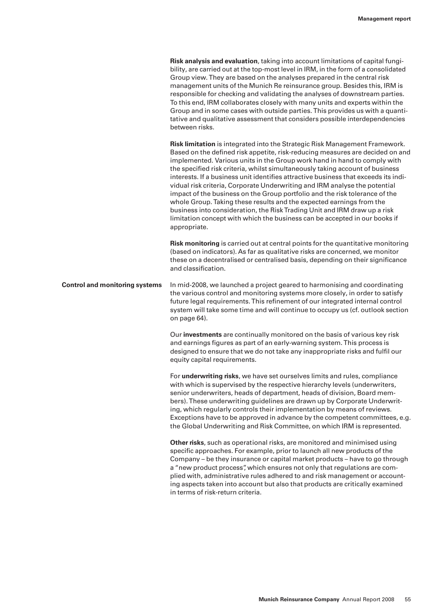**Risk analysis and evaluation**, taking into account limitations of capital fungibility, are carried out at the top-most level in IRM, in the form of a consolidated Group view. They are based on the analyses prepared in the central risk management units of the Munich Re reinsurance group. Besides this, IRM is responsible for checking and validating the analyses of downstream parties. To this end, IRM collaborates closely with many units and experts within the Group and in some cases with outside parties. This provides us with a quantitative and qualitative assessment that considers possible interdependencies between risks.

 **Risk limitation** is integrated into the Strategic Risk Management Framework. Based on the defined risk appetite, risk-reducing measures are decided on and implemented. Various units in the Group work hand in hand to comply with the specified risk criteria, whilst simultaneously taking account of business interests. If a business unit identifies attractive business that exceeds its individual risk criteria, Corporate Underwriting and IRM analyse the potential impact of the business on the Group portfolio and the risk tolerance of the whole Group. Taking these results and the expected earnings from the business into consideration, the Risk Trading Unit and IRM draw up a risk limitation concept with which the business can be accepted in our books if appropriate.

 **Risk monitoring** is carried out at central points for the quantitative monitoring (based on indicators). As far as qualitative risks are concerned, we monitor these on a decentralised or centralised basis, depending on their significance and classification.

**Control and monitoring systems** In mid-2008, we launched a project geared to harmonising and coordinating the various control and monitoring systems more closely, in order to satisfy future legal requirements. This refinement of our integrated internal control system will take some time and will continue to occupy us (cf. outlook section on page 64).

> Our **investments** are continually monitored on the basis of various key risk and earnings figures as part of an early-warning system. This process is designed to ensure that we do not take any inappropriate risks and fulfil our equity capital requirements.

For **underwriting risks**, we have set ourselves limits and rules, compliance with which is supervised by the respective hierarchy levels (underwriters, senior underwriters, heads of department, heads of division, Board members). These underwriting guidelines are drawn up by Corporate Underwriting, which regularly controls their implementation by means of reviews. Exceptions have to be approved in advance by the competent committees, e.g. the Global Underwriting and Risk Committee, on which IRM is represented.

 **Other risks**, such as operational risks, are monitored and minimised using specific approaches. For example, prior to launch all new products of the Company – be they insurance or capital market products – have to go through a "new product process", which ensures not only that regulations are complied with, administrative rules adhered to and risk management or accounting aspects taken into account but also that products are critically examined in terms of risk-return criteria.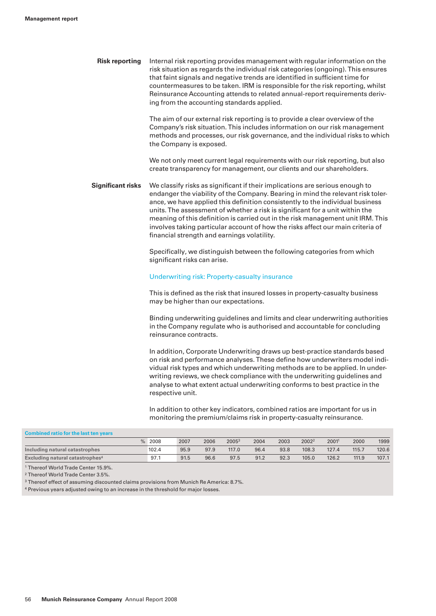| <b>Risk reporting</b>    | Internal risk reporting provides management with regular information on the<br>risk situation as regards the individual risk categories (ongoing). This ensures<br>that faint signals and negative trends are identified in sufficient time for<br>countermeasures to be taken. IRM is responsible for the risk reporting, whilst<br>Reinsurance Accounting attends to related annual-report requirements deriv-<br>ing from the accounting standards applied.                                                                                        |
|--------------------------|-------------------------------------------------------------------------------------------------------------------------------------------------------------------------------------------------------------------------------------------------------------------------------------------------------------------------------------------------------------------------------------------------------------------------------------------------------------------------------------------------------------------------------------------------------|
|                          | The aim of our external risk reporting is to provide a clear overview of the<br>Company's risk situation. This includes information on our risk management<br>methods and processes, our risk governance, and the individual risks to which<br>the Company is exposed.                                                                                                                                                                                                                                                                                |
|                          | We not only meet current legal requirements with our risk reporting, but also<br>create transparency for management, our clients and our shareholders.                                                                                                                                                                                                                                                                                                                                                                                                |
| <b>Significant risks</b> | We classify risks as significant if their implications are serious enough to<br>endanger the viability of the Company. Bearing in mind the relevant risk toler-<br>ance, we have applied this definition consistently to the individual business<br>units. The assessment of whether a risk is significant for a unit within the<br>meaning of this definition is carried out in the risk management unit IRM. This<br>involves taking particular account of how the risks affect our main criteria of<br>financial strength and earnings volatility. |
|                          | Specifically, we distinguish between the following categories from which<br>significant risks can arise.                                                                                                                                                                                                                                                                                                                                                                                                                                              |
|                          | Underwriting risk: Property-casualty insurance                                                                                                                                                                                                                                                                                                                                                                                                                                                                                                        |
|                          | This is defined as the risk that insured losses in property-casualty business<br>may be higher than our expectations.                                                                                                                                                                                                                                                                                                                                                                                                                                 |
|                          | Binding underwriting guidelines and limits and clear underwriting authorities<br>in the Company regulate who is authorised and accountable for concluding<br>reinsurance contracts.                                                                                                                                                                                                                                                                                                                                                                   |
|                          | In addition, Corporate Underwriting draws up best-practice standards based<br>on risk and performance analyses. These define how underwriters model indi-<br>vidual risk types and which underwriting methods are to be applied. In under-<br>writing reviews, we check compliance with the underwriting guidelines and<br>analyse to what extent actual underwriting conforms to best practice in the<br>respective unit.                                                                                                                            |
|                          | In addition to other key indicators, combined ratios are important for us in<br>monitoring the premium/claims risk in property-casualty reinsurance.                                                                                                                                                                                                                                                                                                                                                                                                  |

| <b>Combined ratio for the last ten years</b> |        |      |      |       |      |      |                   |       |       |       |
|----------------------------------------------|--------|------|------|-------|------|------|-------------------|-------|-------|-------|
|                                              | % 2008 | 2007 | 2006 | 20053 | 2004 | 2003 | 2002 <sup>2</sup> | 2001  | 2000  | 1999  |
| Including natural catastrophes               | 102.4  | 95.9 | 97.9 | 117.0 | 96.4 | 93.8 | 108.3             | 127.4 | 115.7 | 120.6 |
| Excluding natural catastrophes <sup>4</sup>  | 97.1   | 91.5 | 96.6 | 97.5  | 91.2 | 92.3 | 105.0             | 126.2 | 111.9 | 107.1 |

<sup>1</sup> Thereof World Trade Center 15.9%.

<sup>2</sup> Thereof World Trade Center 3.5%.

<sup>3</sup> Thereof effect of assuming discounted claims provisions from Munich Re America: 8.7%.

<sup>4</sup> Previous years adjusted owing to an increase in the threshold for major losses.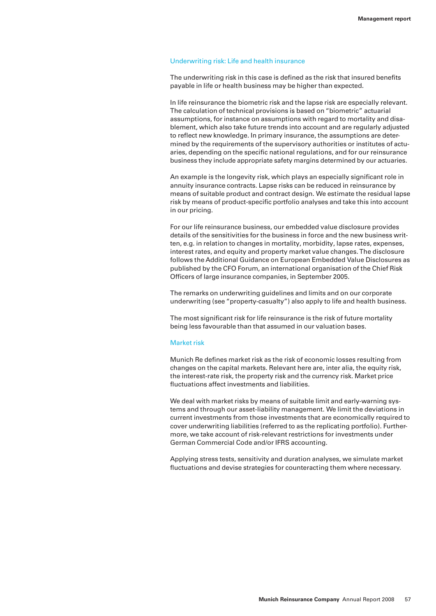#### Underwriting risk: Life and health insurance

The underwriting risk in this case is defined as the risk that insured benefits payable in life or health business may be higher than expected.

In life reinsurance the biometric risk and the lapse risk are especially relevant. The calculation of technical provisions is based on "biometric" actuarial assumptions, for instance on assumptions with regard to mortality and disablement, which also take future trends into account and are regularly adjusted to reflect new knowledge. In primary insurance, the assumptions are determined by the requirements of the supervisory authorities or institutes of actuaries, depending on the specific national regulations, and for our reinsurance business they include appropriate safety margins determined by our actuaries.

An example is the longevity risk, which plays an especially significant role in annuity insurance contracts. Lapse risks can be reduced in reinsurance by means of suitable product and contract design. We estimate the residual lapse risk by means of product-specific portfolio analyses and take this into account in our pricing.

For our life reinsurance business, our embedded value disclosure provides details of the sensitivities for the business in force and the new business written, e.g. in relation to changes in mortality, morbidity, lapse rates, expenses, interest rates, and equity and property market value changes. The disclosure follows the Additional Guidance on European Embedded Value Disclosures as published by the CFO Forum, an international organisation of the Chief Risk Officers of large insurance companies, in September 2005.

The remarks on underwriting guidelines and limits and on our corporate underwriting (see "property-casualty") also apply to life and health business.

The most significant risk for life reinsurance is the risk of future mortality being less favourable than that assumed in our valuation bases.

#### Market risk

Munich Re defines market risk as the risk of economic losses resulting from changes on the capital markets. Relevant here are, inter alia, the equity risk, the interest-rate risk, the property risk and the currency risk. Market price fluctuations affect investments and liabilities.

We deal with market risks by means of suitable limit and early-warning systems and through our asset-liability management. We limit the deviations in current investments from those investments that are economically required to cover underwriting liabilities (referred to as the replicating portfolio). Furthermore, we take account of risk-relevant restrictions for investments under German Commercial Code and/or IFRS accounting.

Applying stress tests, sensitivity and duration analyses, we simulate market fluctuations and devise strategies for counteracting them where necessary.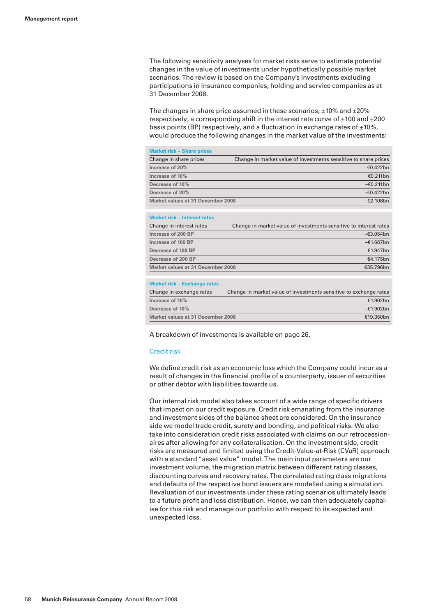The following sensitivity analyses for market risks serve to estimate potential changes in the value of investments under hypothetically possible market scenarios. The review is based on the Company's investments excluding participations in insurance companies, holding and service companies as at 31 December 2008.

The changes in share price assumed in these scenarios,  $\pm 10\%$  and  $\pm 20\%$ respectively, a corresponding shift in the interest rate curve of  $\pm 100$  and  $\pm 200$ basis points (BP) respectively, and a fluctuation in exchange rates of  $\pm 10\%$ . would produce the following changes in the market value of the investments:

#### **Market risk – Share prices**

| Change in share prices            | Change in market value of investments sensitive to share prices |
|-----------------------------------|-----------------------------------------------------------------|
| Increase of 20%                   | €0.422bn                                                        |
| Increase of 10%                   | €0.211bn                                                        |
| Decrease of 10%                   | $-60.211$ bn                                                    |
| Decrease of 20%                   | $-\epsilon$ 0.422bn                                             |
| Market values at 31 December 2008 | €2.108bn                                                        |

#### **Market risk – Interest rates**

| Change in interest rates          | Change in market value of investments sensitive to interest rates |
|-----------------------------------|-------------------------------------------------------------------|
| Increase of 200 BP                | $-\epsilon$ 3.054bn                                               |
| Increase of 100 BP                | $-\epsilon$ 1.667bn                                               |
| Decrease of 100 BP                | €1.947bn                                                          |
| Decrease of 200 BP                | €4.175bn                                                          |
| Market values at 31 December 2008 | £35.796hn                                                         |

#### **Market risk – Exchange rates**

| Change in exchange rates          | Change in market value of investments sensitive to exchange rates |
|-----------------------------------|-------------------------------------------------------------------|
| Increase of 10%                   | €1.902bn                                                          |
| Decrease of 10%                   | –€1.902bn                                                         |
| Market values at 31 December 2008 | €19.350bn                                                         |

A breakdown of investments is available on page 26.

#### Credit risk

We define credit risk as an economic loss which the Company could incur as a result of changes in the financial profile of a counterparty, issuer of securities or other debtor with liabilities towards us.

Our internal risk model also takes account of a wide range of specific drivers that impact on our credit exposure. Credit risk emanating from the insurance and investment sides of the balance sheet are considered. On the insurance side we model trade credit, surety and bonding, and political risks. We also take into consideration credit risks associated with claims on our retrocessionaires after allowing for any collateralisation. On the investment side, credit risks are measured and limited using the Credit-Value-at-Risk (CVaR) approach with a standard "asset value" model. The main input parameters are our investment volume, the migration matrix between different rating classes, discounting curves and recovery rates. The correlated rating class migrations and defaults of the respective bond issuers are modelled using a simulation. Revaluation of our investments under these rating scenarios ultimately leads to a future profit and loss distribution. Hence, we can then adequately capitalise for this risk and manage our portfolio with respect to its expected and unexpected loss.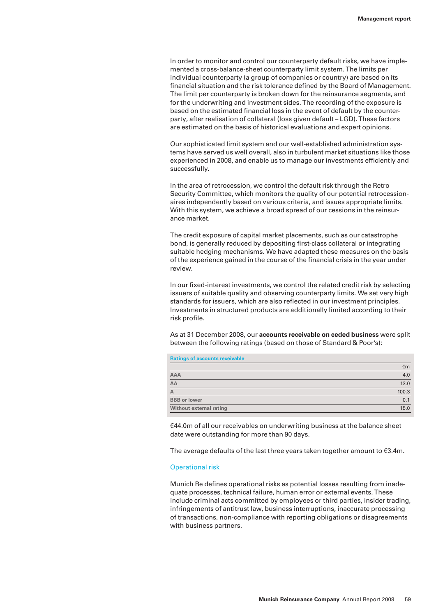In order to monitor and control our counterparty default risks, we have implemented a cross-balance-sheet counterparty limit system. The limits per individual counterparty (a group of companies or country) are based on its financial situation and the risk tolerance defined by the Board of Management. The limit per counterparty is broken down for the reinsurance segments, and for the underwriting and investment sides. The recording of the exposure is based on the estimated financial loss in the event of default by the counterparty, after realisation of collateral (loss given default – LGD). These factors are estimated on the basis of historical evaluations and expert opinions.

Our sophisticated limit system and our well-established administration systems have served us well overall, also in turbulent market situations like those experienced in 2008, and enable us to manage our investments efficiently and successfully.

In the area of retrocession, we control the default risk through the Retro Security Committee, which monitors the quality of our potential retrocessionaires independently based on various criteria, and issues appropriate limits. With this system, we achieve a broad spread of our cessions in the reinsurance market.

The credit exposure of capital market placements, such as our catastrophe bond, is generally reduced by depositing first-class collateral or integrating suitable hedging mechanisms. We have adapted these measures on the basis of the experience gained in the course of the financial crisis in the year under review.

In our fixed-interest investments, we control the related credit risk by selecting issuers of suitable quality and observing counterparty limits. We set very high standards for issuers, which are also reflected in our investment principles. Investments in structured products are additionally limited according to their risk profile.

As at 31 December 2008, our **accounts receivable on ceded business** were split between the following ratings (based on those of Standard & Poor's):

| <b>Ratings of accounts receivable</b> |       |  |
|---------------------------------------|-------|--|
|                                       | €m    |  |
| <b>AAA</b>                            | 4.0   |  |
| AA                                    | 13.0  |  |
| $\overline{A}$                        | 100.3 |  |
| <b>BBB</b> or lower                   | 0.1   |  |
| Without external rating               | 15.0  |  |

€44.0m of all our receivables on underwriting business at the balance sheet date were outstanding for more than 90 days.

The average defaults of the last three years taken together amount to €3.4m.

#### Operational risk

Munich Re defines operational risks as potential losses resulting from inadequate processes, technical failure, human error or external events. These include criminal acts committed by employees or third parties, insider trading, infringements of antitrust law, business interruptions, inaccurate processing of transactions, non-compliance with reporting obligations or disagreements with business partners.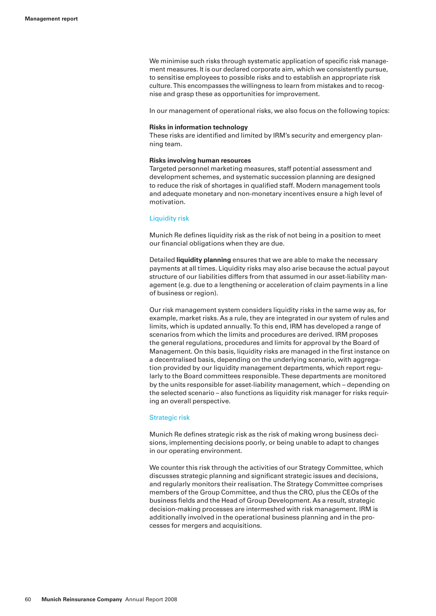We minimise such risks through systematic application of specific risk management measures. It is our declared corporate aim, which we consistently pursue, to sensitise employees to possible risks and to establish an appropriate risk culture. This encompasses the willingness to learn from mistakes and to recognise and grasp these as opportunities for improvement.

In our management of operational risks, we also focus on the following topics:

#### **Risks in information technology**

These risks are identified and limited by IRM's security and emergency planning team.

#### **Risks involving human resources**

Targeted personnel marketing measures, staff potential assessment and development schemes, and systematic succession planning are designed to reduce the risk of shortages in qualified staff. Modern management tools and adequate monetary and non-monetary incentives ensure a high level of motivation.

#### Liquidity risk

Munich Re defines liquidity risk as the risk of not being in a position to meet our financial obligations when they are due.

Detailed **liquidity planning** ensures that we are able to make the necessary payments at all times. Liquidity risks may also arise because the actual payout structure of our liabilities differs from that assumed in our asset-liability management (e.g. due to a lengthening or acceleration of claim payments in a line of business or region).

Our risk management system considers liquidity risks in the same way as, for example, market risks. As a rule, they are integrated in our system of rules and limits, which is updated annually. To this end, IRM has developed a range of scenarios from which the limits and procedures are derived. IRM proposes the general regulations, procedures and limits for approval by the Board of Management. On this basis, liquidity risks are managed in the first instance on a decentralised basis, depending on the underlying scenario, with aggregation provided by our liquidity management departments, which report regularly to the Board committees responsible. These departments are monitored by the units responsible for asset-liability management, which – depending on the selected scenario – also functions as liquidity risk manager for risks requiring an overall perspective.

#### Strategic risk

Munich Re defines strategic risk as the risk of making wrong business decisions, implementing decisions poorly, or being unable to adapt to changes in our operating environment.

We counter this risk through the activities of our Strategy Committee, which discusses strategic planning and significant strategic issues and decisions, and regularly monitors their realisation. The Strategy Committee comprises members of the Group Committee, and thus the CRO, plus the CEOs of the business fields and the Head of Group Development. As a result, strategic decision-making processes are intermeshed with risk management. IRM is additionally involved in the operational business planning and in the processes for mergers and acquisitions.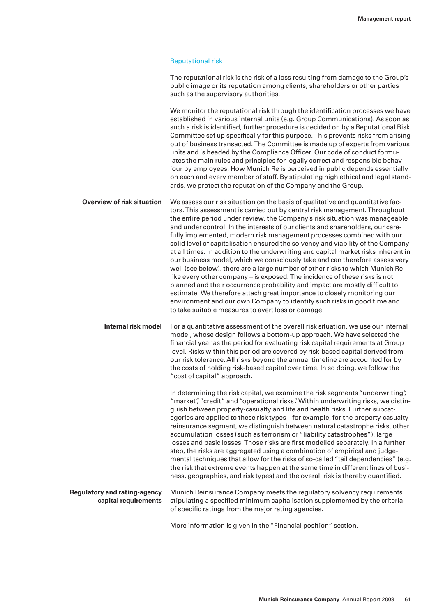#### Reputational risk

The reputational risk is the risk of a loss resulting from damage to the Group's public image or its reputation among clients, shareholders or other parties such as the supervisory authorities.

We monitor the reputational risk through the identification processes we have established in various internal units (e.g. Group Communications). As soon as such a risk is identified, further procedure is decided on by a Reputational Risk Committee set up specifically for this purpose. This prevents risks from arising out of business transacted. The Committee is made up of experts from various units and is headed by the Compliance Officer. Our code of conduct formulates the main rules and principles for legally correct and responsible behaviour by employees. How Munich Re is perceived in public depends essentially on each and every member of staff. By stipulating high ethical and legal standards, we protect the reputation of the Company and the Group.

**Overview of risk situation** We assess our risk situation on the basis of qualitative and quantitative factors. This assessment is carried out by central risk management. Throughout the entire period under review, the Company's risk situation was manageable and under control. In the interests of our clients and shareholders, our carefully implemented, modern risk management processes combined with our solid level of capitalisation ensured the solvency and viability of the Company at all times. In addition to the underwriting and capital market risks inherent in our business model, which we consciously take and can therefore assess very well (see below), there are a large number of other risks to which Munich Re – like every other company – is exposed. The incidence of these risks is not planned and their occurrence probability and impact are mostly difficult to estimate. We therefore attach great importance to closely monitoring our environment and our own Company to identify such risks in good time and to take suitable measures to avert loss or damage.

**Internal risk model** For a quantitative assessment of the overall risk situation, we use our internal model, whose design follows a bottom-up approach. We have selected the financial year as the period for evaluating risk capital requirements at Group level. Risks within this period are covered by risk-based capital derived from our risk tolerance. All risks beyond the annual timeline are accounted for by the costs of holding risk-based capital over time. In so doing, we follow the "cost of capital" approach.

> In determining the risk capital, we examine the risk segments "underwriting", "market", "credit" and "operational risks". Within underwriting risks, we distinguish between property-casualty and life and health risks. Further subcategories are applied to these risk types – for example, for the property-casualty reinsurance segment, we distinguish between natural catastrophe risks, other accumulation losses (such as terrorism or "liability catastrophes"), large losses and basic losses. Those risks are first modelled separately. In a further step, the risks are aggregated using a combination of empirical and judgemental techniques that allow for the risks of so-called "tail dependencies" (e.g. the risk that extreme events happen at the same time in different lines of business, geographies, and risk types) and the overall risk is thereby quantified.

# **Regulatory and rating-agency** Munich Reinsurance Company meets the regulatory solvency requirements **capital requirements** stipulating a specified minimum capitalisation supplemented by the criteria of specific ratings from the major rating agencies.

More information is given in the "Financial position" section.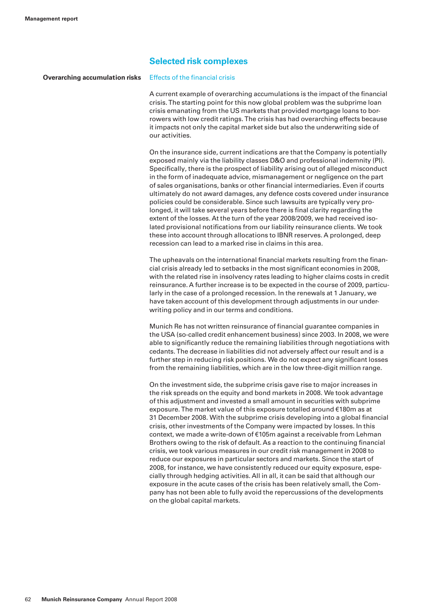# **Selected risk complexes**

#### **Overarching accumulation risks** Effects of the financial crisis

A current example of overarching accumulations is the impact of the financial crisis. The starting point for this now global problem was the subprime loan crisis emanating from the US markets that provided mortgage loans to borrowers with low credit ratings. The crisis has had overarching effects because it impacts not only the capital market side but also the underwriting side of our activities.

On the insurance side, current indications are that the Company is potentially exposed mainly via the liability classes D&O and professional indemnity (PI). Specifically, there is the prospect of liability arising out of alleged misconduct in the form of inadequate advice, mismanagement or negligence on the part of sales organisations, banks or other financial intermediaries. Even if courts ultimately do not award damages, any defence costs covered under insurance policies could be considerable. Since such lawsuits are typically very prolonged, it will take several years before there is final clarity regarding the extent of the losses. At the turn of the year 2008/2009, we had received isolated provisional notifications from our liability reinsurance clients. We took these into account through allocations to IBNR reserves. A prolonged, deep recession can lead to a marked rise in claims in this area.

The upheavals on the international financial markets resulting from the financial crisis already led to setbacks in the most significant economies in 2008, with the related rise in insolvency rates leading to higher claims costs in credit reinsurance. A further increase is to be expected in the course of 2009, particularly in the case of a prolonged recession. In the renewals at 1 January, we have taken account of this development through adjustments in our underwriting policy and in our terms and conditions.

Munich Re has not written reinsurance of financial guarantee companies in the USA (so-called credit enhancement business) since 2003. In 2008, we were able to significantly reduce the remaining liabilities through negotiations with cedants. The decrease in liabilities did not adversely affect our result and is a further step in reducing risk positions. We do not expect any significant losses from the remaining liabilities, which are in the low three-digit million range.

On the investment side, the subprime crisis gave rise to major increases in the risk spreads on the equity and bond markets in 2008. We took advantage of this adjustment and invested a small amount in securities with subprime exposure. The market value of this exposure totalled around €180m as at 31 December 2008. With the subprime crisis developing into a global financial crisis, other investments of the Company were impacted by losses. In this context, we made a write-down of €105m against a receivable from Lehman Brothers owing to the risk of default. As a reaction to the continuing financial crisis, we took various measures in our credit risk management in 2008 to reduce our exposures in particular sectors and markets. Since the start of 2008, for instance, we have consistently reduced our equity exposure, especially through hedging activities. All in all, it can be said that although our exposure in the acute cases of the crisis has been relatively small, the Company has not been able to fully avoid the repercussions of the developments on the global capital markets.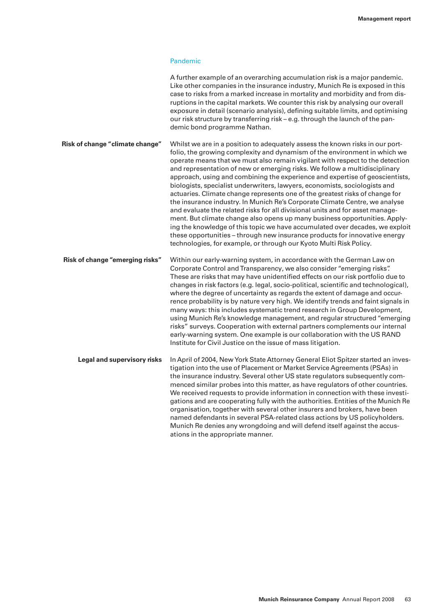# Pandemic

|                                    | A further example of an overarching accumulation risk is a major pandemic.<br>Like other companies in the insurance industry, Munich Re is exposed in this<br>case to risks from a marked increase in mortality and morbidity and from dis-<br>ruptions in the capital markets. We counter this risk by analysing our overall<br>exposure in detail (scenario analysis), defining suitable limits, and optimising<br>our risk structure by transferring risk - e.g. through the launch of the pan-<br>demic bond programme Nathan.                                                                                                                                                                                                                                                                                                                                                                                                                                                                                                                        |
|------------------------------------|-----------------------------------------------------------------------------------------------------------------------------------------------------------------------------------------------------------------------------------------------------------------------------------------------------------------------------------------------------------------------------------------------------------------------------------------------------------------------------------------------------------------------------------------------------------------------------------------------------------------------------------------------------------------------------------------------------------------------------------------------------------------------------------------------------------------------------------------------------------------------------------------------------------------------------------------------------------------------------------------------------------------------------------------------------------|
| Risk of change "climate change"    | Whilst we are in a position to adequately assess the known risks in our port-<br>folio, the growing complexity and dynamism of the environment in which we<br>operate means that we must also remain vigilant with respect to the detection<br>and representation of new or emerging risks. We follow a multidisciplinary<br>approach, using and combining the experience and expertise of geoscientists,<br>biologists, specialist underwriters, lawyers, economists, sociologists and<br>actuaries. Climate change represents one of the greatest risks of change for<br>the insurance industry. In Munich Re's Corporate Climate Centre, we analyse<br>and evaluate the related risks for all divisional units and for asset manage-<br>ment. But climate change also opens up many business opportunities. Apply-<br>ing the knowledge of this topic we have accumulated over decades, we exploit<br>these opportunities - through new insurance products for innovative energy<br>technologies, for example, or through our Kyoto Multi Risk Policy. |
| Risk of change "emerging risks"    | Within our early-warning system, in accordance with the German Law on<br>Corporate Control and Transparency, we also consider "emerging risks".<br>These are risks that may have unidentified effects on our risk portfolio due to<br>changes in risk factors (e.g. legal, socio-political, scientific and technological),<br>where the degree of uncertainty as regards the extent of damage and occur-<br>rence probability is by nature very high. We identify trends and faint signals in<br>many ways: this includes systematic trend research in Group Development,<br>using Munich Re's knowledge management, and regular structured "emerging<br>risks" surveys. Cooperation with external partners complements our internal<br>early-warning system. One example is our collaboration with the US RAND<br>Institute for Civil Justice on the issue of mass litigation.                                                                                                                                                                           |
| <b>Legal and supervisory risks</b> | In April of 2004, New York State Attorney General Eliot Spitzer started an inves-<br>tigation into the use of Placement or Market Service Agreements (PSAs) in<br>the insurance industry. Several other US state regulators subsequently com-<br>menced similar probes into this matter, as have regulators of other countries.<br>We received requests to provide information in connection with these investi-<br>gations and are cooperating fully with the authorities. Entities of the Munich Re<br>organisation, together with several other insurers and brokers, have been<br>named defendants in several PSA-related class actions by US policyholders.<br>Munich Re denies any wrongdoing and will defend itself against the accus-<br>ations in the appropriate manner.                                                                                                                                                                                                                                                                        |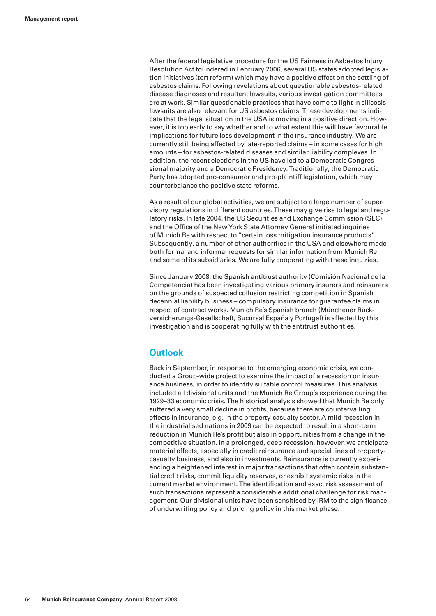After the federal legislative procedure for the US Fairness in Asbestos Injury Resolution Act foundered in February 2006, several US states adopted legislation initiatives (tort reform) which may have a positive effect on the settling of asbestos claims. Following revelations about questionable asbestos-related disease diagnoses and resultant lawsuits, various investigation committees are at work. Similar questionable practices that have come to light in silicosis lawsuits are also relevant for US asbestos claims. These developments indicate that the legal situation in the USA is moving in a positive direction. However, it is too early to say whether and to what extent this will have favourable implications for future loss development in the insurance industry. We are currently still being affected by late-reported claims – in some cases for high amounts – for asbestos-related diseases and similar liability complexes. In addition, the recent elections in the US have led to a Democratic Congressional majority and a Democratic Presidency. Traditionally, the Democratic Party has adopted pro-consumer and pro-plaintiff legislation, which may counterbalance the positive state reforms.

As a result of our global activities, we are subject to a large number of supervisory regulations in different countries. These may give rise to legal and regulatory risks. In late 2004, the US Securities and Exchange Commission (SEC) and the Office of the New York State Attorney General initiated inquiries of Munich Re with respect to "certain loss mitigation insurance products". Subsequently, a number of other authorities in the USA and elsewhere made both formal and informal requests for similar information from Munich Re and some of its subsidiaries. We are fully cooperating with these inquiries.

Since January 2008, the Spanish antitrust authority (Comisión Nacional de la Competencia) has been investigating various primary insurers and reinsurers on the grounds of suspected collusion restricting competition in Spanish decennial liability business – compulsory insurance for guarantee claims in respect of contract works. Munich Re's Spanish branch (Münchener Rückversicherungs-Gesellschaft, Sucursal España y Portugal) is affected by this investigation and is cooperating fully with the antitrust authorities.

# **Outlook**

Back in September, in response to the emerging economic crisis, we conducted a Group-wide project to examine the impact of a recession on insurance business, in order to identify suitable control measures. This analysis included all divisional units and the Munich Re Group's experience during the 1929–33 economic crisis. The historical analysis showed that Munich Re only suffered a very small decline in profits, because there are countervailing effects in insurance, e.g. in the property-casualty sector. A mild recession in the industrialised nations in 2009 can be expected to result in a short-term reduction in Munich Re's profit but also in opportunities from a change in the competitive situation. In a prolonged, deep recession, however, we anticipate material effects, especially in credit reinsurance and special lines of propertycasualty business, and also in investments. Reinsurance is currently experiencing a heightened interest in major transactions that often contain substantial credit risks, commit liquidity reserves, or exhibit systemic risks in the current market environment. The identification and exact risk assessment of such transactions represent a considerable additional challenge for risk management. Our divisional units have been sensitised by IRM to the significance of underwriting policy and pricing policy in this market phase.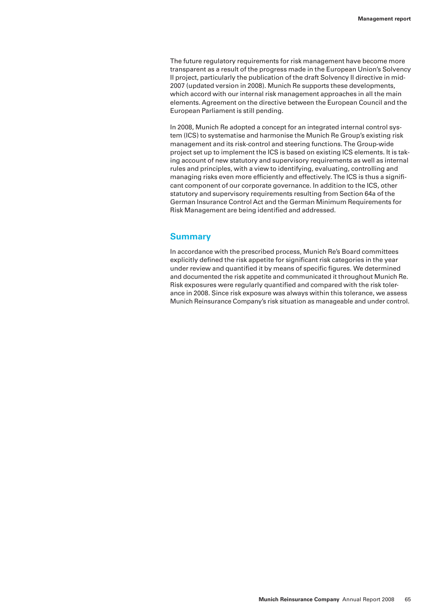The future regulatory requirements for risk management have become more transparent as a result of the progress made in the European Union's Solvency II project, particularly the publication of the draft Solvency II directive in mid-2007 (updated version in 2008). Munich Re supports these developments, which accord with our internal risk management approaches in all the main elements. Agreement on the directive between the European Council and the European Parliament is still pending.

In 2008, Munich Re adopted a concept for an integrated internal control system (ICS) to systematise and harmonise the Munich Re Group's existing risk management and its risk-control and steering functions. The Group-wide project set up to implement the ICS is based on existing ICS elements. It is taking account of new statutory and supervisory requirements as well as internal rules and principles, with a view to identifying, evaluating, controlling and managing risks even more efficiently and effectively. The ICS is thus a significant component of our corporate governance. In addition to the ICS, other statutory and supervisory requirements resulting from Section 64a of the German Insurance Control Act and the German Minimum Requirements for Risk Management are being identified and addressed.

# **Summary**

In accordance with the prescribed process, Munich Re's Board committees explicitly defined the risk appetite for significant risk categories in the year under review and quantified it by means of specific figures. We determined and documented the risk appetite and communicated it throughout Munich Re. Risk exposures were regularly quantified and compared with the risk tolerance in 2008. Since risk exposure was always within this tolerance, we assess Munich Reinsurance Company's risk situation as manageable and under control.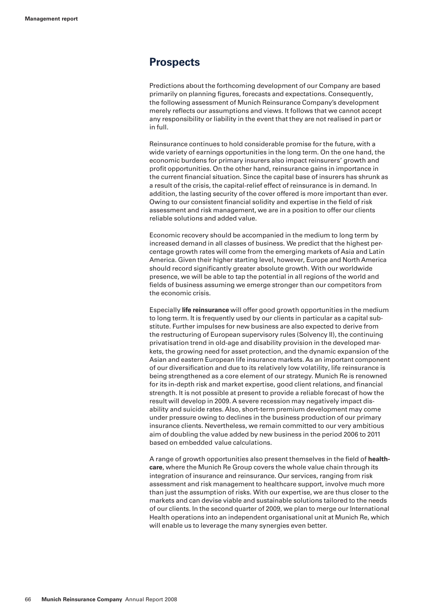# **Prospects**

Predictions about the forthcoming development of our Company are based primarily on planning figures, forecasts and expectations. Consequently, the following assessment of Munich Reinsurance Company's development merely reflects our assumptions and views. It follows that we cannot accept any responsibility or liability in the event that they are not realised in part or in full.

Reinsurance continues to hold considerable promise for the future, with a wide variety of earnings opportunities in the long term. On the one hand, the economic burdens for primary insurers also impact reinsurers' growth and profit opportunities. On the other hand, reinsurance gains in importance in the current financial situation. Since the capital base of insurers has shrunk as a result of the crisis, the capital-relief effect of reinsurance is in demand. In addition, the lasting security of the cover offered is more important than ever. Owing to our consistent financial solidity and expertise in the field of risk assessment and risk management, we are in a position to offer our clients reliable solutions and added value.

Economic recovery should be accompanied in the medium to long term by increased demand in all classes of business. We predict that the highest percentage growth rates will come from the emerging markets of Asia and Latin America. Given their higher starting level, however, Europe and North America should record significantly greater absolute growth. With our worldwide presence, we will be able to tap the potential in all regions of the world and fields of business assuming we emerge stronger than our competitors from the economic crisis.

Especially **life reinsurance** will offer good growth opportunities in the medium to long term. It is frequently used by our clients in particular as a capital substitute. Further impulses for new business are also expected to derive from the restructuring of European supervisory rules (Solvency II), the continuing privatisation trend in old-age and disability provision in the developed markets, the growing need for asset protection, and the dynamic expansion of the Asian and eastern European life insurance markets. As an important component of our diversification and due to its relatively low volatility, life reinsurance is being strengthened as a core element of our strategy. Munich Re is renowned for its in-depth risk and market expertise, good client relations, and financial strength. It is not possible at present to provide a reliable forecast of how the result will develop in 2009. A severe recession may negatively impact disability and suicide rates. Also, short-term premium development may come under pressure owing to declines in the business production of our primary insurance clients. Nevertheless, we remain committed to our very ambitious aim of doubling the value added by new business in the period 2006 to 2011 based on embedded value calculations.

A range of growth opportunities also present themselves in the field of **healthcare**, where the Munich Re Group covers the whole value chain through its integration of insurance and reinsurance. Our services, ranging from risk assessment and risk management to healthcare support, involve much more than just the assumption of risks. With our expertise, we are thus closer to the markets and can devise viable and sustainable solutions tailored to the needs of our clients. In the second quarter of 2009, we plan to merge our International Health operations into an independent organisational unit at Munich Re, which will enable us to leverage the many synergies even better.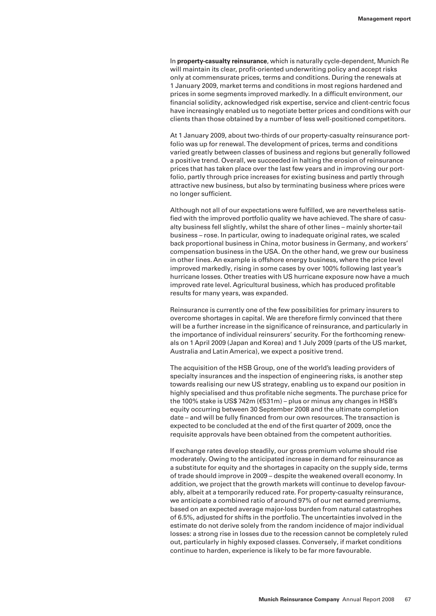In **property-casualty reinsurance**, which is naturally cycle-dependent, Munich Re will maintain its clear, profit-oriented underwriting policy and accept risks only at commensurate prices, terms and conditions. During the renewals at 1 January 2009, market terms and conditions in most regions hardened and prices in some segments improved markedly. In a difficult environment, our financial solidity, acknowledged risk expertise, service and client-centric focus have increasingly enabled us to negotiate better prices and conditions with our clients than those obtained by a number of less well-positioned competitors.

At 1 January 2009, about two-thirds of our property-casualty reinsurance portfolio was up for renewal. The development of prices, terms and conditions varied greatly between classes of business and regions but generally followed a positive trend. Overall, we succeeded in halting the erosion of reinsurance prices that has taken place over the last few years and in improving our portfolio, partly through price increases for existing business and partly through attractive new business, but also by terminating business where prices were no longer sufficient.

Although not all of our expectations were fulfilled, we are nevertheless satisfied with the improved portfolio quality we have achieved. The share of casualty business fell slightly, whilst the share of other lines – mainly shorter-tail business – rose. In particular, owing to inadequate original rates, we scaled back proportional business in China, motor business in Germany, and workers' compensation business in the USA. On the other hand, we grew our business in other lines. An example is offshore energy business, where the price level improved markedly, rising in some cases by over 100% following last year's hurricane losses. Other treaties with US hurricane exposure now have a much improved rate level. Agricultural business, which has produced profitable results for many years, was expanded.

Reinsurance is currently one of the few possibilities for primary insurers to overcome shortages in capital. We are therefore firmly convinced that there will be a further increase in the significance of reinsurance, and particularly in the importance of individual reinsurers' security. For the forthcoming renewals on 1 April 2009 (Japan and Korea) and 1 July 2009 (parts of the US market, Australia and Latin America), we expect a positive trend.

The acquisition of the HSB Group, one of the world's leading providers of specialty insurances and the inspection of engineering risks, is another step towards realising our new US strategy, enabling us to expand our position in highly specialised and thus profitable niche segments. The purchase price for the 100% stake is US\$ 742m (€531m) – plus or minus any changes in HSB's equity occurring between 30 September 2008 and the ultimate completion date – and will be fully financed from our own resources. The transaction is expected to be concluded at the end of the first quarter of 2009, once the requisite approvals have been obtained from the competent authorities.

If exchange rates develop steadily, our gross premium volume should rise moderately. Owing to the anticipated increase in demand for reinsurance as a substitute for equity and the shortages in capacity on the supply side, terms of trade should improve in 2009 – despite the weakened overall economy. In addition, we project that the growth markets will continue to develop favourably, albeit at a temporarily reduced rate. For property-casualty reinsurance, we anticipate a combined ratio of around 97% of our net earned premiums, based on an expected average major-loss burden from natural catastrophes of 6.5%, adjusted for shifts in the portfolio. The uncertainties involved in the estimate do not derive solely from the random incidence of major individual losses: a strong rise in losses due to the recession cannot be completely ruled out, particularly in highly exposed classes. Conversely, if market conditions continue to harden, experience is likely to be far more favourable.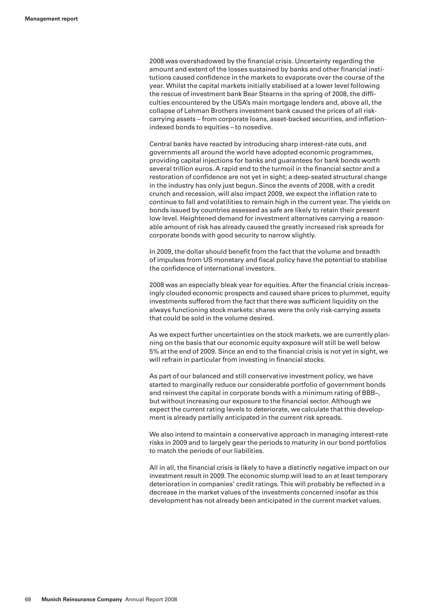2008 was overshadowed by the financial crisis. Uncertainty regarding the amount and extent of the losses sustained by banks and other financial institutions caused confidence in the markets to evaporate over the course of the year. Whilst the capital markets initially stabilised at a lower level following the rescue of investment bank Bear Stearns in the spring of 2008, the difficulties encountered by the USA's main mortgage lenders and, above all, the collapse of Lehman Brothers investment bank caused the prices of all riskcarrying assets – from corporate loans, asset-backed securities, and inflationindexed bonds to equities – to nosedive.

Central banks have reacted by introducing sharp interest-rate cuts, and governments all around the world have adopted economic programmes, providing capital injections for banks and guarantees for bank bonds worth several trillion euros. A rapid end to the turmoil in the financial sector and a restoration of confidence are not yet in sight; a deep-seated structural change in the industry has only just begun. Since the events of 2008, with a credit crunch and recession, will also impact 2009, we expect the inflation rate to continue to fall and volatilities to remain high in the current year. The yields on bonds issued by countries assessed as safe are likely to retain their present low level. Heightened demand for investment alternatives carrying a reasonable amount of risk has already caused the greatly increased risk spreads for corporate bonds with good security to narrow slightly.

In 2009, the dollar should benefit from the fact that the volume and breadth of impulses from US monetary and fiscal policy have the potential to stabilise the confidence of international investors.

2008 was an especially bleak year for equities. After the financial crisis increasingly clouded economic prospects and caused share prices to plummet, equity investments suffered from the fact that there was sufficient liquidity on the always functioning stock markets: shares were the only risk-carrying assets that could be sold in the volume desired.

As we expect further uncertainties on the stock markets, we are currently planning on the basis that our economic equity exposure will still be well below 5% at the end of 2009. Since an end to the financial crisis is not yet in sight, we will refrain in particular from investing in financial stocks.

As part of our balanced and still conservative investment policy, we have started to marginally reduce our considerable portfolio of government bonds and reinvest the capital in corporate bonds with a minimum rating of BBB–, but without increasing our exposure to the financial sector. Although we expect the current rating levels to deteriorate, we calculate that this development is already partially anticipated in the current risk spreads.

We also intend to maintain a conservative approach in managing interest-rate risks in 2009 and to largely gear the periods to maturity in our bond portfolios to match the periods of our liabilities.

All in all, the financial crisis is likely to have a distinctly negative impact on our investment result in 2009. The economic slump will lead to an at least temporary deterioration in companies' credit ratings. This will probably be reflected in a decrease in the market values of the investments concerned insofar as this development has not already been anticipated in the current market values.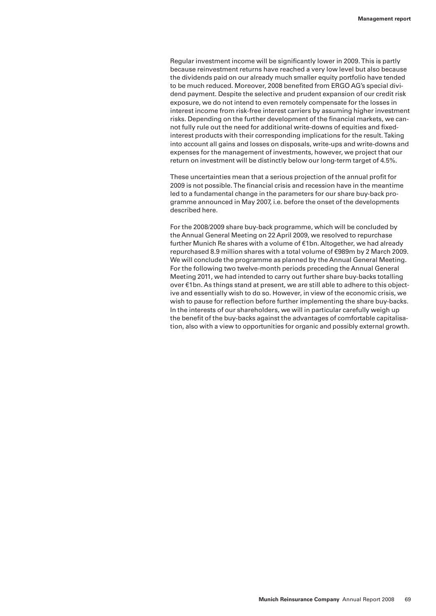Regular investment income will be significantly lower in 2009. This is partly because reinvestment returns have reached a very low level but also because the dividends paid on our already much smaller equity portfolio have tended to be much reduced. Moreover, 2008 benefited from ERGO AG's special dividend payment. Despite the selective and prudent expansion of our credit risk exposure, we do not intend to even remotely compensate for the losses in interest income from risk-free interest carriers by assuming higher investment risks. Depending on the further development of the financial markets, we cannot fully rule out the need for additional write-downs of equities and fixedinterest products with their corresponding implications for the result. Taking into account all gains and losses on disposals, write-ups and write-downs and expenses for the management of investments, however, we project that our return on investment will be distinctly below our long-term target of 4.5%.

These uncertainties mean that a serious projection of the annual profit for 2009 is not possible. The financial crisis and recession have in the meantime led to a fundamental change in the parameters for our share buy-back programme announced in May 2007, i.e. before the onset of the developments described here.

For the 2008/2009 share buy-back programme, which will be concluded by the Annual General Meeting on 22 April 2009, we resolved to repurchase further Munich Re shares with a volume of €1bn. Altogether, we had already repurchased 8.9 million shares with a total volume of €989m by 2 March 2009. We will conclude the programme as planned by the Annual General Meeting. For the following two twelve-month periods preceding the Annual General Meeting 2011, we had intended to carry out further share buy-backs totalling over €1bn. As things stand at present, we are still able to adhere to this objective and essentially wish to do so. However, in view of the economic crisis, we wish to pause for reflection before further implementing the share buy-backs. In the interests of our shareholders, we will in particular carefully weigh up the benefit of the buy-backs against the advantages of comfortable capitalisation, also with a view to opportunities for organic and possibly external growth.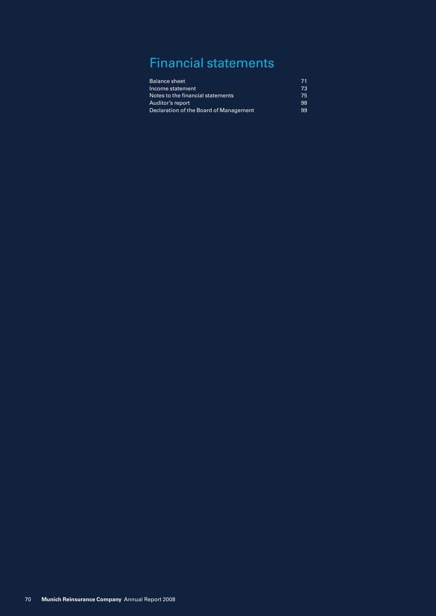# Financial statements

| <b>Balance sheet</b>                   | -71 |
|----------------------------------------|-----|
| Income statement                       | 73  |
| Notes to the financial statements      | 75  |
| Auditor's report                       | 98  |
| Declaration of the Board of Management | 99  |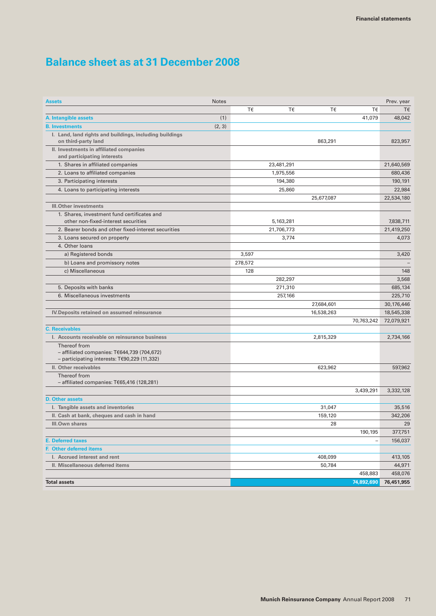# **Balance sheet as at 31 December 2008**

| <b>Assets</b>                                                                      | <b>Notes</b> |         |            |            |                | Prev. year |
|------------------------------------------------------------------------------------|--------------|---------|------------|------------|----------------|------------|
|                                                                                    |              | T€      | T€         | T€         | Τ€             | T€         |
| A. Intangible assets                                                               | (1)          |         |            |            | 41,079         | 48,042     |
| <b>B.</b> Investments                                                              | (2, 3)       |         |            |            |                |            |
| I. Land, land rights and buildings, including buildings<br>on third-party land     |              |         |            | 863,291    |                | 823,957    |
| II. Investments in affiliated companies                                            |              |         |            |            |                |            |
| and participating interests                                                        |              |         |            |            |                |            |
| 1. Shares in affiliated companies                                                  |              |         | 23,481,291 |            |                | 21,640,569 |
| 2. Loans to affiliated companies                                                   |              |         | 1,975,556  |            |                | 680,436    |
| 3. Participating interests                                                         |              |         | 194,380    |            |                | 190,191    |
| 4. Loans to participating interests                                                |              |         | 25,860     |            |                | 22,984     |
|                                                                                    |              |         |            | 25,677,087 |                | 22,534,180 |
| <b>III. Other investments</b>                                                      |              |         |            |            |                |            |
| 1. Shares, investment fund certificates and<br>other non-fixed-interest securities |              |         | 5,163,281  |            |                | 7,838,711  |
| 2. Bearer bonds and other fixed-interest securities                                |              |         | 21,706,773 |            |                | 21,419,250 |
| 3. Loans secured on property                                                       |              |         | 3,774      |            |                | 4,073      |
| 4. Other loans                                                                     |              |         |            |            |                |            |
| a) Registered bonds                                                                |              | 3,597   |            |            |                | 3,420      |
| b) Loans and promissory notes                                                      |              | 278,572 |            |            |                |            |
| c) Miscellaneous                                                                   |              | 128     |            |            |                | 148        |
|                                                                                    |              |         | 282,297    |            |                | 3,568      |
| 5. Deposits with banks                                                             |              |         | 271,310    |            |                | 685,134    |
| 6. Miscellaneous investments                                                       |              |         | 257,166    |            |                | 225,710    |
|                                                                                    |              |         |            | 27,684,601 |                | 30,176,446 |
| IV. Deposits retained on assumed reinsurance                                       |              |         |            | 16,538,263 |                | 18,545,338 |
|                                                                                    |              |         |            |            | 70,763,242     | 72,079,921 |
| <b>C. Receivables</b>                                                              |              |         |            |            |                |            |
| I. Accounts receivable on reinsurance business                                     |              |         |            | 2,815,329  |                | 2,734,166  |
| Thereof from<br>$-$ affiliated companies: T $€644,739$ (704,672)                   |              |         |            |            |                |            |
| - participating interests: T€90,229 (11,332)                                       |              |         |            |            |                |            |
| II. Other receivables                                                              |              |         |            | 623,962    |                | 597,962    |
| Thereof from<br>- affiliated companies: $T \in 65,416$ (128,281)                   |              |         |            |            |                |            |
|                                                                                    |              |         |            |            | 3,439,291      | 3,332,128  |
| <b>D. Other assets</b>                                                             |              |         |            |            |                |            |
| I. Tangible assets and inventories                                                 |              |         |            | 31,047     |                | 35,516     |
| II. Cash at bank, cheques and cash in hand                                         |              |         |            | 159,120    |                | 342,206    |
| III.Own shares                                                                     |              |         |            | 28         |                | 29         |
|                                                                                    |              |         |            |            | 190,195        | 377,751    |
| <b>E.</b> Deferred taxes                                                           |              |         |            |            | $\overline{a}$ | 156,037    |
| F. Other deferred items                                                            |              |         |            |            |                |            |
| I. Accrued interest and rent                                                       |              |         |            | 408,099    |                | 413,105    |
| II. Miscellaneous deferred items                                                   |              |         |            | 50,784     |                | 44,971     |
|                                                                                    |              |         |            |            | 458,883        | 458,076    |
| <b>Total assets</b>                                                                |              |         |            |            | 74,892,690     | 76,451,955 |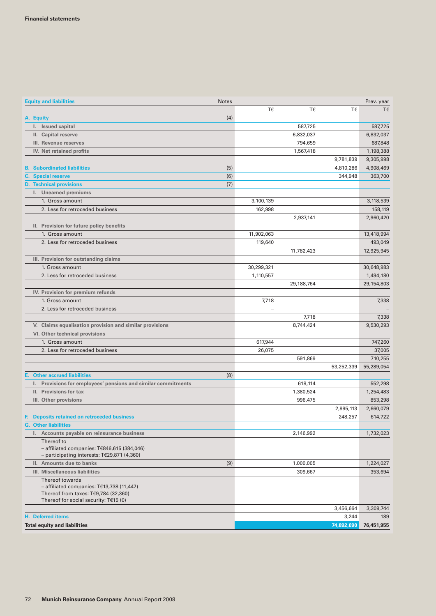| T€<br>T€<br>T€<br>T€<br>A. Equity<br>(4)<br>I. Issued capital<br>587,725<br>587,725<br>II. Capital reserve<br>6,832,037<br>6,832,037<br>III. Revenue reserves<br>794,659<br>687,848<br>IV. Net retained profits<br>1,567,418<br>1,198,388<br>9,781,839<br>9,305,998<br><b>B.</b> Subordinated liabilities<br>(5)<br>4,810,286<br>4,908,469<br>(6)<br>344,948<br>363,700<br><b>C.</b> Special reserve<br><b>D.</b> Technical provisions<br>(7)<br>I. Unearned premiums<br>3,100,139<br>1. Gross amount<br>3,118,539<br>2. Less for retroceded business<br>158,119<br>162,998<br>2,937,141<br>2,960,420<br>II. Provision for future policy benefits<br>1. Gross amount<br>11,902,063<br>13,418,994<br>2. Less for retroceded business<br>119,640<br>493,049<br>11,782,423<br>12,925,945<br>III. Provision for outstanding claims<br>1. Gross amount<br>30,299,321<br>30,648,983<br>2. Less for retroceded business<br>1,110,557<br>1,494,180<br>29,188,764<br>29,154,803<br>IV. Provision for premium refunds<br>1. Gross amount<br>7,718<br>7,338<br>2. Less for retroceded business<br>7,718<br>7,338<br>V. Claims equalisation provision and similar provisions<br>8,744,424<br>9,530,293<br>VI. Other technical provisions<br>747,260<br>1. Gross amount<br>617,944<br>37,005<br>2. Less for retroceded business<br>26,075<br>591,869<br>710,255<br>53,252,339<br>55,289,054<br><b>E.</b> Other accrued liabilities<br>(8)<br>Provisions for employees' pensions and similar commitments<br>618,114<br>552,298<br>L.<br>II. Provisions for tax<br>1,380,524<br>1,254,483<br>853,298<br>III. Other provisions<br>996,475<br>2,995,113<br>2,660,079<br>614,722<br>F. Deposits retained on retroceded business<br>248,257<br><b>G.</b> Other liabilities<br>I. Accounts payable on reinsurance business<br>1,732,023<br>2,146,992<br>Thereof to<br>$-$ affiliated companies: T $€846,615$ (384,046)<br>- participating interests: T€29,871 (4,360)<br>1,224,027<br>II. Amounts due to banks<br>(9)<br>1,000,005<br>III. Miscellaneous liabilities<br>353,694<br>309,667<br>Thereof towards<br>$-$ affiliated companies: T $E$ 13,738 (11,447)<br>Thereof from taxes: T€9,784 (32,360)<br>Thereof for social security: $T \in 15$ (0)<br>3,456,664<br>3,309,744<br><b>H.</b> Deferred items<br>3,244<br>189<br>74,892,690<br><b>Total equity and liabilities</b><br>76,451,955 | <b>Equity and liabilities</b> | <b>Notes</b> |  | Prev. year |
|------------------------------------------------------------------------------------------------------------------------------------------------------------------------------------------------------------------------------------------------------------------------------------------------------------------------------------------------------------------------------------------------------------------------------------------------------------------------------------------------------------------------------------------------------------------------------------------------------------------------------------------------------------------------------------------------------------------------------------------------------------------------------------------------------------------------------------------------------------------------------------------------------------------------------------------------------------------------------------------------------------------------------------------------------------------------------------------------------------------------------------------------------------------------------------------------------------------------------------------------------------------------------------------------------------------------------------------------------------------------------------------------------------------------------------------------------------------------------------------------------------------------------------------------------------------------------------------------------------------------------------------------------------------------------------------------------------------------------------------------------------------------------------------------------------------------------------------------------------------------------------------------------------------------------------------------------------------------------------------------------------------------------------------------------------------------------------------------------------------------------------------------------------------------------------------------------------------------------------------------------------------------------------------------------------------------------------------------------------------------------|-------------------------------|--------------|--|------------|
|                                                                                                                                                                                                                                                                                                                                                                                                                                                                                                                                                                                                                                                                                                                                                                                                                                                                                                                                                                                                                                                                                                                                                                                                                                                                                                                                                                                                                                                                                                                                                                                                                                                                                                                                                                                                                                                                                                                                                                                                                                                                                                                                                                                                                                                                                                                                                                              |                               |              |  |            |
|                                                                                                                                                                                                                                                                                                                                                                                                                                                                                                                                                                                                                                                                                                                                                                                                                                                                                                                                                                                                                                                                                                                                                                                                                                                                                                                                                                                                                                                                                                                                                                                                                                                                                                                                                                                                                                                                                                                                                                                                                                                                                                                                                                                                                                                                                                                                                                              |                               |              |  |            |
|                                                                                                                                                                                                                                                                                                                                                                                                                                                                                                                                                                                                                                                                                                                                                                                                                                                                                                                                                                                                                                                                                                                                                                                                                                                                                                                                                                                                                                                                                                                                                                                                                                                                                                                                                                                                                                                                                                                                                                                                                                                                                                                                                                                                                                                                                                                                                                              |                               |              |  |            |
|                                                                                                                                                                                                                                                                                                                                                                                                                                                                                                                                                                                                                                                                                                                                                                                                                                                                                                                                                                                                                                                                                                                                                                                                                                                                                                                                                                                                                                                                                                                                                                                                                                                                                                                                                                                                                                                                                                                                                                                                                                                                                                                                                                                                                                                                                                                                                                              |                               |              |  |            |
|                                                                                                                                                                                                                                                                                                                                                                                                                                                                                                                                                                                                                                                                                                                                                                                                                                                                                                                                                                                                                                                                                                                                                                                                                                                                                                                                                                                                                                                                                                                                                                                                                                                                                                                                                                                                                                                                                                                                                                                                                                                                                                                                                                                                                                                                                                                                                                              |                               |              |  |            |
|                                                                                                                                                                                                                                                                                                                                                                                                                                                                                                                                                                                                                                                                                                                                                                                                                                                                                                                                                                                                                                                                                                                                                                                                                                                                                                                                                                                                                                                                                                                                                                                                                                                                                                                                                                                                                                                                                                                                                                                                                                                                                                                                                                                                                                                                                                                                                                              |                               |              |  |            |
|                                                                                                                                                                                                                                                                                                                                                                                                                                                                                                                                                                                                                                                                                                                                                                                                                                                                                                                                                                                                                                                                                                                                                                                                                                                                                                                                                                                                                                                                                                                                                                                                                                                                                                                                                                                                                                                                                                                                                                                                                                                                                                                                                                                                                                                                                                                                                                              |                               |              |  |            |
|                                                                                                                                                                                                                                                                                                                                                                                                                                                                                                                                                                                                                                                                                                                                                                                                                                                                                                                                                                                                                                                                                                                                                                                                                                                                                                                                                                                                                                                                                                                                                                                                                                                                                                                                                                                                                                                                                                                                                                                                                                                                                                                                                                                                                                                                                                                                                                              |                               |              |  |            |
|                                                                                                                                                                                                                                                                                                                                                                                                                                                                                                                                                                                                                                                                                                                                                                                                                                                                                                                                                                                                                                                                                                                                                                                                                                                                                                                                                                                                                                                                                                                                                                                                                                                                                                                                                                                                                                                                                                                                                                                                                                                                                                                                                                                                                                                                                                                                                                              |                               |              |  |            |
|                                                                                                                                                                                                                                                                                                                                                                                                                                                                                                                                                                                                                                                                                                                                                                                                                                                                                                                                                                                                                                                                                                                                                                                                                                                                                                                                                                                                                                                                                                                                                                                                                                                                                                                                                                                                                                                                                                                                                                                                                                                                                                                                                                                                                                                                                                                                                                              |                               |              |  |            |
|                                                                                                                                                                                                                                                                                                                                                                                                                                                                                                                                                                                                                                                                                                                                                                                                                                                                                                                                                                                                                                                                                                                                                                                                                                                                                                                                                                                                                                                                                                                                                                                                                                                                                                                                                                                                                                                                                                                                                                                                                                                                                                                                                                                                                                                                                                                                                                              |                               |              |  |            |
|                                                                                                                                                                                                                                                                                                                                                                                                                                                                                                                                                                                                                                                                                                                                                                                                                                                                                                                                                                                                                                                                                                                                                                                                                                                                                                                                                                                                                                                                                                                                                                                                                                                                                                                                                                                                                                                                                                                                                                                                                                                                                                                                                                                                                                                                                                                                                                              |                               |              |  |            |
|                                                                                                                                                                                                                                                                                                                                                                                                                                                                                                                                                                                                                                                                                                                                                                                                                                                                                                                                                                                                                                                                                                                                                                                                                                                                                                                                                                                                                                                                                                                                                                                                                                                                                                                                                                                                                                                                                                                                                                                                                                                                                                                                                                                                                                                                                                                                                                              |                               |              |  |            |
|                                                                                                                                                                                                                                                                                                                                                                                                                                                                                                                                                                                                                                                                                                                                                                                                                                                                                                                                                                                                                                                                                                                                                                                                                                                                                                                                                                                                                                                                                                                                                                                                                                                                                                                                                                                                                                                                                                                                                                                                                                                                                                                                                                                                                                                                                                                                                                              |                               |              |  |            |
|                                                                                                                                                                                                                                                                                                                                                                                                                                                                                                                                                                                                                                                                                                                                                                                                                                                                                                                                                                                                                                                                                                                                                                                                                                                                                                                                                                                                                                                                                                                                                                                                                                                                                                                                                                                                                                                                                                                                                                                                                                                                                                                                                                                                                                                                                                                                                                              |                               |              |  |            |
|                                                                                                                                                                                                                                                                                                                                                                                                                                                                                                                                                                                                                                                                                                                                                                                                                                                                                                                                                                                                                                                                                                                                                                                                                                                                                                                                                                                                                                                                                                                                                                                                                                                                                                                                                                                                                                                                                                                                                                                                                                                                                                                                                                                                                                                                                                                                                                              |                               |              |  |            |
|                                                                                                                                                                                                                                                                                                                                                                                                                                                                                                                                                                                                                                                                                                                                                                                                                                                                                                                                                                                                                                                                                                                                                                                                                                                                                                                                                                                                                                                                                                                                                                                                                                                                                                                                                                                                                                                                                                                                                                                                                                                                                                                                                                                                                                                                                                                                                                              |                               |              |  |            |
|                                                                                                                                                                                                                                                                                                                                                                                                                                                                                                                                                                                                                                                                                                                                                                                                                                                                                                                                                                                                                                                                                                                                                                                                                                                                                                                                                                                                                                                                                                                                                                                                                                                                                                                                                                                                                                                                                                                                                                                                                                                                                                                                                                                                                                                                                                                                                                              |                               |              |  |            |
|                                                                                                                                                                                                                                                                                                                                                                                                                                                                                                                                                                                                                                                                                                                                                                                                                                                                                                                                                                                                                                                                                                                                                                                                                                                                                                                                                                                                                                                                                                                                                                                                                                                                                                                                                                                                                                                                                                                                                                                                                                                                                                                                                                                                                                                                                                                                                                              |                               |              |  |            |
|                                                                                                                                                                                                                                                                                                                                                                                                                                                                                                                                                                                                                                                                                                                                                                                                                                                                                                                                                                                                                                                                                                                                                                                                                                                                                                                                                                                                                                                                                                                                                                                                                                                                                                                                                                                                                                                                                                                                                                                                                                                                                                                                                                                                                                                                                                                                                                              |                               |              |  |            |
|                                                                                                                                                                                                                                                                                                                                                                                                                                                                                                                                                                                                                                                                                                                                                                                                                                                                                                                                                                                                                                                                                                                                                                                                                                                                                                                                                                                                                                                                                                                                                                                                                                                                                                                                                                                                                                                                                                                                                                                                                                                                                                                                                                                                                                                                                                                                                                              |                               |              |  |            |
|                                                                                                                                                                                                                                                                                                                                                                                                                                                                                                                                                                                                                                                                                                                                                                                                                                                                                                                                                                                                                                                                                                                                                                                                                                                                                                                                                                                                                                                                                                                                                                                                                                                                                                                                                                                                                                                                                                                                                                                                                                                                                                                                                                                                                                                                                                                                                                              |                               |              |  |            |
|                                                                                                                                                                                                                                                                                                                                                                                                                                                                                                                                                                                                                                                                                                                                                                                                                                                                                                                                                                                                                                                                                                                                                                                                                                                                                                                                                                                                                                                                                                                                                                                                                                                                                                                                                                                                                                                                                                                                                                                                                                                                                                                                                                                                                                                                                                                                                                              |                               |              |  |            |
|                                                                                                                                                                                                                                                                                                                                                                                                                                                                                                                                                                                                                                                                                                                                                                                                                                                                                                                                                                                                                                                                                                                                                                                                                                                                                                                                                                                                                                                                                                                                                                                                                                                                                                                                                                                                                                                                                                                                                                                                                                                                                                                                                                                                                                                                                                                                                                              |                               |              |  |            |
|                                                                                                                                                                                                                                                                                                                                                                                                                                                                                                                                                                                                                                                                                                                                                                                                                                                                                                                                                                                                                                                                                                                                                                                                                                                                                                                                                                                                                                                                                                                                                                                                                                                                                                                                                                                                                                                                                                                                                                                                                                                                                                                                                                                                                                                                                                                                                                              |                               |              |  |            |
|                                                                                                                                                                                                                                                                                                                                                                                                                                                                                                                                                                                                                                                                                                                                                                                                                                                                                                                                                                                                                                                                                                                                                                                                                                                                                                                                                                                                                                                                                                                                                                                                                                                                                                                                                                                                                                                                                                                                                                                                                                                                                                                                                                                                                                                                                                                                                                              |                               |              |  |            |
|                                                                                                                                                                                                                                                                                                                                                                                                                                                                                                                                                                                                                                                                                                                                                                                                                                                                                                                                                                                                                                                                                                                                                                                                                                                                                                                                                                                                                                                                                                                                                                                                                                                                                                                                                                                                                                                                                                                                                                                                                                                                                                                                                                                                                                                                                                                                                                              |                               |              |  |            |
|                                                                                                                                                                                                                                                                                                                                                                                                                                                                                                                                                                                                                                                                                                                                                                                                                                                                                                                                                                                                                                                                                                                                                                                                                                                                                                                                                                                                                                                                                                                                                                                                                                                                                                                                                                                                                                                                                                                                                                                                                                                                                                                                                                                                                                                                                                                                                                              |                               |              |  |            |
|                                                                                                                                                                                                                                                                                                                                                                                                                                                                                                                                                                                                                                                                                                                                                                                                                                                                                                                                                                                                                                                                                                                                                                                                                                                                                                                                                                                                                                                                                                                                                                                                                                                                                                                                                                                                                                                                                                                                                                                                                                                                                                                                                                                                                                                                                                                                                                              |                               |              |  |            |
|                                                                                                                                                                                                                                                                                                                                                                                                                                                                                                                                                                                                                                                                                                                                                                                                                                                                                                                                                                                                                                                                                                                                                                                                                                                                                                                                                                                                                                                                                                                                                                                                                                                                                                                                                                                                                                                                                                                                                                                                                                                                                                                                                                                                                                                                                                                                                                              |                               |              |  |            |
|                                                                                                                                                                                                                                                                                                                                                                                                                                                                                                                                                                                                                                                                                                                                                                                                                                                                                                                                                                                                                                                                                                                                                                                                                                                                                                                                                                                                                                                                                                                                                                                                                                                                                                                                                                                                                                                                                                                                                                                                                                                                                                                                                                                                                                                                                                                                                                              |                               |              |  |            |
|                                                                                                                                                                                                                                                                                                                                                                                                                                                                                                                                                                                                                                                                                                                                                                                                                                                                                                                                                                                                                                                                                                                                                                                                                                                                                                                                                                                                                                                                                                                                                                                                                                                                                                                                                                                                                                                                                                                                                                                                                                                                                                                                                                                                                                                                                                                                                                              |                               |              |  |            |
|                                                                                                                                                                                                                                                                                                                                                                                                                                                                                                                                                                                                                                                                                                                                                                                                                                                                                                                                                                                                                                                                                                                                                                                                                                                                                                                                                                                                                                                                                                                                                                                                                                                                                                                                                                                                                                                                                                                                                                                                                                                                                                                                                                                                                                                                                                                                                                              |                               |              |  |            |
|                                                                                                                                                                                                                                                                                                                                                                                                                                                                                                                                                                                                                                                                                                                                                                                                                                                                                                                                                                                                                                                                                                                                                                                                                                                                                                                                                                                                                                                                                                                                                                                                                                                                                                                                                                                                                                                                                                                                                                                                                                                                                                                                                                                                                                                                                                                                                                              |                               |              |  |            |
|                                                                                                                                                                                                                                                                                                                                                                                                                                                                                                                                                                                                                                                                                                                                                                                                                                                                                                                                                                                                                                                                                                                                                                                                                                                                                                                                                                                                                                                                                                                                                                                                                                                                                                                                                                                                                                                                                                                                                                                                                                                                                                                                                                                                                                                                                                                                                                              |                               |              |  |            |
|                                                                                                                                                                                                                                                                                                                                                                                                                                                                                                                                                                                                                                                                                                                                                                                                                                                                                                                                                                                                                                                                                                                                                                                                                                                                                                                                                                                                                                                                                                                                                                                                                                                                                                                                                                                                                                                                                                                                                                                                                                                                                                                                                                                                                                                                                                                                                                              |                               |              |  |            |
|                                                                                                                                                                                                                                                                                                                                                                                                                                                                                                                                                                                                                                                                                                                                                                                                                                                                                                                                                                                                                                                                                                                                                                                                                                                                                                                                                                                                                                                                                                                                                                                                                                                                                                                                                                                                                                                                                                                                                                                                                                                                                                                                                                                                                                                                                                                                                                              |                               |              |  |            |
|                                                                                                                                                                                                                                                                                                                                                                                                                                                                                                                                                                                                                                                                                                                                                                                                                                                                                                                                                                                                                                                                                                                                                                                                                                                                                                                                                                                                                                                                                                                                                                                                                                                                                                                                                                                                                                                                                                                                                                                                                                                                                                                                                                                                                                                                                                                                                                              |                               |              |  |            |
|                                                                                                                                                                                                                                                                                                                                                                                                                                                                                                                                                                                                                                                                                                                                                                                                                                                                                                                                                                                                                                                                                                                                                                                                                                                                                                                                                                                                                                                                                                                                                                                                                                                                                                                                                                                                                                                                                                                                                                                                                                                                                                                                                                                                                                                                                                                                                                              |                               |              |  |            |
|                                                                                                                                                                                                                                                                                                                                                                                                                                                                                                                                                                                                                                                                                                                                                                                                                                                                                                                                                                                                                                                                                                                                                                                                                                                                                                                                                                                                                                                                                                                                                                                                                                                                                                                                                                                                                                                                                                                                                                                                                                                                                                                                                                                                                                                                                                                                                                              |                               |              |  |            |
|                                                                                                                                                                                                                                                                                                                                                                                                                                                                                                                                                                                                                                                                                                                                                                                                                                                                                                                                                                                                                                                                                                                                                                                                                                                                                                                                                                                                                                                                                                                                                                                                                                                                                                                                                                                                                                                                                                                                                                                                                                                                                                                                                                                                                                                                                                                                                                              |                               |              |  |            |
|                                                                                                                                                                                                                                                                                                                                                                                                                                                                                                                                                                                                                                                                                                                                                                                                                                                                                                                                                                                                                                                                                                                                                                                                                                                                                                                                                                                                                                                                                                                                                                                                                                                                                                                                                                                                                                                                                                                                                                                                                                                                                                                                                                                                                                                                                                                                                                              |                               |              |  |            |
|                                                                                                                                                                                                                                                                                                                                                                                                                                                                                                                                                                                                                                                                                                                                                                                                                                                                                                                                                                                                                                                                                                                                                                                                                                                                                                                                                                                                                                                                                                                                                                                                                                                                                                                                                                                                                                                                                                                                                                                                                                                                                                                                                                                                                                                                                                                                                                              |                               |              |  |            |
|                                                                                                                                                                                                                                                                                                                                                                                                                                                                                                                                                                                                                                                                                                                                                                                                                                                                                                                                                                                                                                                                                                                                                                                                                                                                                                                                                                                                                                                                                                                                                                                                                                                                                                                                                                                                                                                                                                                                                                                                                                                                                                                                                                                                                                                                                                                                                                              |                               |              |  |            |
|                                                                                                                                                                                                                                                                                                                                                                                                                                                                                                                                                                                                                                                                                                                                                                                                                                                                                                                                                                                                                                                                                                                                                                                                                                                                                                                                                                                                                                                                                                                                                                                                                                                                                                                                                                                                                                                                                                                                                                                                                                                                                                                                                                                                                                                                                                                                                                              |                               |              |  |            |
|                                                                                                                                                                                                                                                                                                                                                                                                                                                                                                                                                                                                                                                                                                                                                                                                                                                                                                                                                                                                                                                                                                                                                                                                                                                                                                                                                                                                                                                                                                                                                                                                                                                                                                                                                                                                                                                                                                                                                                                                                                                                                                                                                                                                                                                                                                                                                                              |                               |              |  |            |
|                                                                                                                                                                                                                                                                                                                                                                                                                                                                                                                                                                                                                                                                                                                                                                                                                                                                                                                                                                                                                                                                                                                                                                                                                                                                                                                                                                                                                                                                                                                                                                                                                                                                                                                                                                                                                                                                                                                                                                                                                                                                                                                                                                                                                                                                                                                                                                              |                               |              |  |            |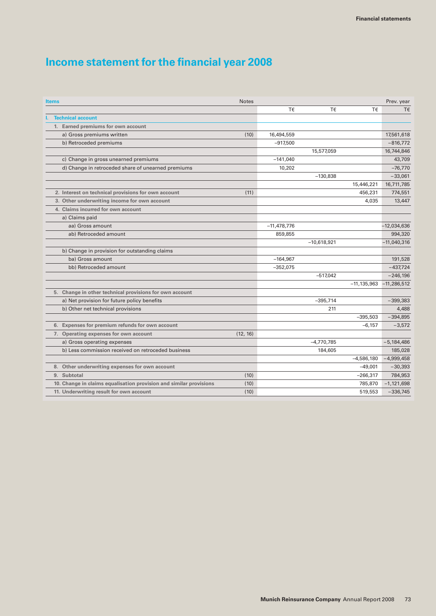# **Income statement for the financial year 2008**

| <b>Items</b>                                                       | <b>Notes</b> |               |               |                 | Prev. year    |
|--------------------------------------------------------------------|--------------|---------------|---------------|-----------------|---------------|
|                                                                    |              | Τ€            | T€            | T€              | T€            |
| <b>Technical account</b>                                           |              |               |               |                 |               |
| 1. Earned premiums for own account                                 |              |               |               |                 |               |
| a) Gross premiums written                                          | (10)         | 16,494,559    |               |                 | 17,561,618    |
| b) Retroceded premiums                                             |              | $-917,500$    |               |                 | $-816,772$    |
|                                                                    |              |               | 15,577,059    |                 | 16,744,846    |
| c) Change in gross unearned premiums                               |              | $-141,040$    |               |                 | 43,709        |
| d) Change in retroceded share of unearned premiums                 |              | 10,202        |               |                 | $-76,770$     |
|                                                                    |              |               | $-130,838$    |                 | $-33,061$     |
|                                                                    |              |               |               | 15,446,221      | 16,711,785    |
| 2. Interest on technical provisions for own account                | (11)         |               |               | 456,231         | 774,551       |
| 3. Other underwriting income for own account                       |              |               |               | 4,035           | 13,447        |
| 4. Claims incurred for own account                                 |              |               |               |                 |               |
| a) Claims paid                                                     |              |               |               |                 |               |
| aa) Gross amount                                                   |              | $-11,478,776$ |               |                 | $-12,034,636$ |
| ab) Retroceded amount                                              |              | 859,855       |               |                 | 994,320       |
|                                                                    |              |               | $-10,618,921$ |                 | $-11,040,316$ |
| b) Change in provision for outstanding claims                      |              |               |               |                 |               |
| ba) Gross amount                                                   |              | $-164,967$    |               |                 | 191,528       |
| bb) Retroceded amount                                              |              | $-352,075$    |               |                 | $-437,724$    |
|                                                                    |              |               | $-517.042$    |                 | $-246,196$    |
|                                                                    |              |               |               | $-11, 135, 963$ | $-11,286,512$ |
| 5. Change in other technical provisions for own account            |              |               |               |                 |               |
| a) Net provision for future policy benefits                        |              |               | $-395,714$    |                 | $-399,383$    |
| b) Other net technical provisions                                  |              |               | 211           |                 | 4,488         |
|                                                                    |              |               |               | $-395,503$      | $-394,895$    |
| 6. Expenses for premium refunds for own account                    |              |               |               | $-6,157$        | $-3,572$      |
| 7. Operating expenses for own account                              | (12, 16)     |               |               |                 |               |
| a) Gross operating expenses                                        |              |               | $-4,770,785$  |                 | $-5,184,486$  |
| b) Less commission received on retroceded business                 |              |               | 184,605       |                 | 185,028       |
|                                                                    |              |               |               | $-4,586,180$    | $-4,999,458$  |
| 8. Other underwriting expenses for own account                     |              |               |               | $-49,001$       | $-30,393$     |
| 9. Subtotal                                                        | (10)         |               |               | $-266,317$      | 784,953       |
| 10. Change in claims equalisation provision and similar provisions | (10)         |               |               | 785,870         | $-1,121,698$  |
| 11. Underwriting result for own account                            | (10)         |               |               | 519,553         | $-336,745$    |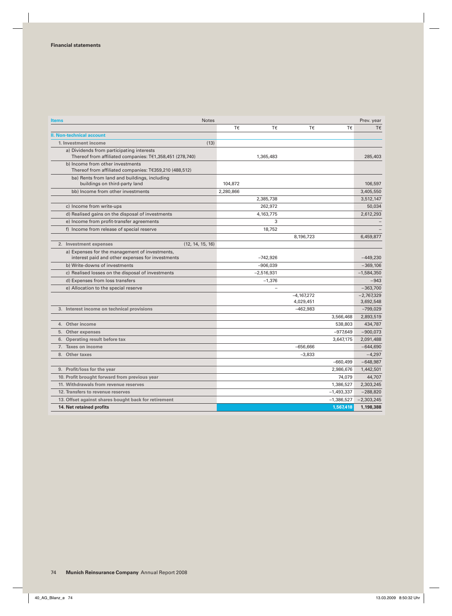| <b>Items</b> |                                                                                                       | <b>Notes</b> |           |              |                           |              | Prev. year                |
|--------------|-------------------------------------------------------------------------------------------------------|--------------|-----------|--------------|---------------------------|--------------|---------------------------|
|              |                                                                                                       |              | Τ€        | T€           | Τ€                        | T€           | T€                        |
|              | <b>II. Non-technical account</b>                                                                      |              |           |              |                           |              |                           |
|              | 1. Investment income                                                                                  | (13)         |           |              |                           |              |                           |
|              | a) Dividends from participating interests<br>Thereof from affiliated companies: T€1,358,451 (278,740) |              |           | 1,365,483    |                           |              | 285,403                   |
|              | b) Income from other investments<br>Thereof from affiliated companies: T€359,210 (488,512)            |              |           |              |                           |              |                           |
|              | ba) Rents from land and buildings, including<br>buildings on third-party land                         |              | 104,872   |              |                           |              | 106,597                   |
|              | bb) Income from other investments                                                                     |              | 2,280,866 |              |                           |              | 3,405,550                 |
|              |                                                                                                       |              |           | 2,385,738    |                           |              | 3,512,147                 |
|              | c) Income from write-ups                                                                              |              |           | 262,972      |                           |              | 50,034                    |
|              | d) Realised gains on the disposal of investments                                                      |              |           | 4,163,775    |                           |              | 2,612,293                 |
|              | e) Income from profit-transfer agreements                                                             |              |           | 3            |                           |              |                           |
|              | f) Income from release of special reserve                                                             |              |           | 18,752       |                           |              |                           |
|              |                                                                                                       |              |           |              | 8,196,723                 |              | 6,459,877                 |
|              | 2. Investment expenses<br>(12, 14, 15, 16)                                                            |              |           |              |                           |              |                           |
|              | a) Expenses for the management of investments,<br>interest paid and other expenses for investments    |              |           | $-742.926$   |                           |              | $-449.230$                |
|              | b) Write-downs of investments                                                                         |              |           | $-906,039$   |                           |              | $-369,106$                |
|              | c) Realised losses on the disposal of investments                                                     |              |           | $-2,516,931$ |                           |              | $-1,584,350$              |
|              | d) Expenses from loss transfers                                                                       |              |           | $-1,376$     |                           |              | $-943$                    |
|              | e) Allocation to the special reserve                                                                  |              |           |              |                           |              | $-363,700$                |
|              |                                                                                                       |              |           |              | $-4,167,272$<br>4,029,451 |              | $-2,767,329$<br>3,692,548 |
|              | 3. Interest income on technical provisions                                                            |              |           |              | $-462,983$                |              | $-799,029$                |
|              |                                                                                                       |              |           |              |                           | 3,566,468    | 2,893,519                 |
|              | 4. Other income                                                                                       |              |           |              |                           | 538,803      | 434,787                   |
|              | 5. Other expenses                                                                                     |              |           |              |                           | $-977,649$   | $-900,073$                |
|              | 6. Operating result before tax                                                                        |              |           |              |                           | 3,647,175    | 2,091,488                 |
|              | 7. Taxes on income                                                                                    |              |           |              | $-656,666$                |              | $-644,690$                |
| 8.           | <b>Other taxes</b>                                                                                    |              |           |              | $-3.833$                  |              | $-4,297$                  |
|              |                                                                                                       |              |           |              |                           | $-660,499$   | $-648,987$                |
|              | 9. Profit/loss for the year                                                                           |              |           |              |                           | 2,986,676    | 1,442,501                 |
|              | 10. Profit brought forward from previous year                                                         |              |           |              |                           | 74,079       | 44,707                    |
|              | 11. Withdrawals from revenue reserves                                                                 |              |           |              |                           | 1,386,527    | 2,303,245                 |
|              | 12. Transfers to revenue reserves                                                                     |              |           |              |                           | $-1,493,337$ | $-288,820$                |
|              | 13. Offset against shares bought back for retirement                                                  |              |           |              |                           | $-1,386,527$ | $-2,303,245$              |
|              | 14. Net retained profits                                                                              |              |           |              |                           | 1,567,418    | 1,198,388                 |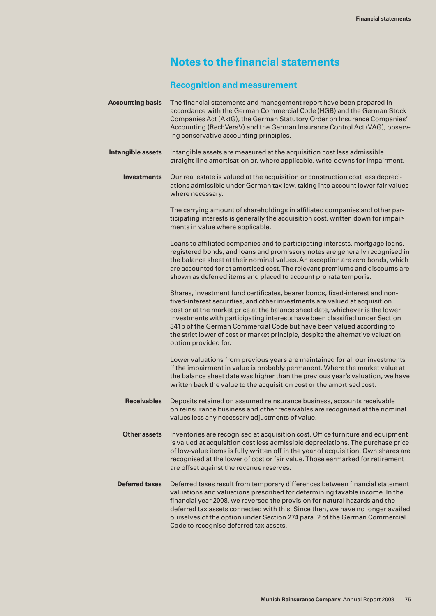# **Notes to the financial statements**

# **Recognition and measurement**

| <b>Accounting basis</b> | The financial statements and management report have been prepared in<br>accordance with the German Commercial Code (HGB) and the German Stock<br>Companies Act (AktG), the German Statutory Order on Insurance Companies'<br>Accounting (RechVersV) and the German Insurance Control Act (VAG), observ-<br>ing conservative accounting principles.                                                                                                                                                            |
|-------------------------|---------------------------------------------------------------------------------------------------------------------------------------------------------------------------------------------------------------------------------------------------------------------------------------------------------------------------------------------------------------------------------------------------------------------------------------------------------------------------------------------------------------|
| Intangible assets       | Intangible assets are measured at the acquisition cost less admissible<br>straight-line amortisation or, where applicable, write-downs for impairment.                                                                                                                                                                                                                                                                                                                                                        |
| <b>Investments</b>      | Our real estate is valued at the acquisition or construction cost less depreci-<br>ations admissible under German tax law, taking into account lower fair values<br>where necessary.                                                                                                                                                                                                                                                                                                                          |
|                         | The carrying amount of shareholdings in affiliated companies and other par-<br>ticipating interests is generally the acquisition cost, written down for impair-<br>ments in value where applicable.                                                                                                                                                                                                                                                                                                           |
|                         | Loans to affiliated companies and to participating interests, mortgage loans,<br>registered bonds, and loans and promissory notes are generally recognised in<br>the balance sheet at their nominal values. An exception are zero bonds, which<br>are accounted for at amortised cost. The relevant premiums and discounts are<br>shown as deferred items and placed to account pro rata temporis.                                                                                                            |
|                         | Shares, investment fund certificates, bearer bonds, fixed-interest and non-<br>fixed-interest securities, and other investments are valued at acquisition<br>cost or at the market price at the balance sheet date, whichever is the lower.<br>Investments with participating interests have been classified under Section<br>341b of the German Commercial Code but have been valued according to<br>the strict lower of cost or market principle, despite the alternative valuation<br>option provided for. |
|                         | Lower valuations from previous years are maintained for all our investments<br>if the impairment in value is probably permanent. Where the market value at<br>the balance sheet date was higher than the previous year's valuation, we have<br>written back the value to the acquisition cost or the amortised cost.                                                                                                                                                                                          |
| <b>Receivables</b>      | Deposits retained on assumed reinsurance business, accounts receivable<br>on reinsurance business and other receivables are recognised at the nominal<br>values less any necessary adjustments of value.                                                                                                                                                                                                                                                                                                      |
| <b>Other assets</b>     | Inventories are recognised at acquisition cost. Office furniture and equipment<br>is valued at acquisition cost less admissible depreciations. The purchase price<br>of low-value items is fully written off in the year of acquisition. Own shares are<br>recognised at the lower of cost or fair value. Those earmarked for retirement<br>are offset against the revenue reserves.                                                                                                                          |
| <b>Deferred taxes</b>   | Deferred taxes result from temporary differences between financial statement<br>valuations and valuations prescribed for determining taxable income. In the<br>financial year 2008, we reversed the provision for natural hazards and the<br>deferred tax assets connected with this. Since then, we have no longer availed<br>ourselves of the option under Section 274 para. 2 of the German Commercial<br>Code to recognise deferred tax assets.                                                           |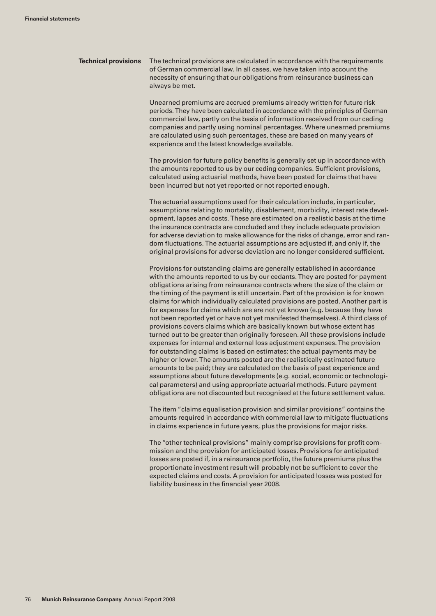| <b>Technical provisions</b> | The technical provisions are calculated in accordance with the requirements |
|-----------------------------|-----------------------------------------------------------------------------|
|                             | of German commercial law. In all cases, we have taken into account the      |
|                             | necessity of ensuring that our obligations from reinsurance business can    |
|                             | always be met.                                                              |

Unearned premiums are accrued premiums already written for future risk periods. They have been calculated in accordance with the principles of German commercial law, partly on the basis of information received from our ceding companies and partly using nominal percentages. Where unearned premiums are calculated using such percentages, these are based on many years of experience and the latest knowledge available.

The provision for future policy benefits is generally set up in accordance with the amounts reported to us by our ceding companies. Sufficient provisions, calculated using actuarial methods, have been posted for claims that have been incurred but not yet reported or not reported enough.

The actuarial assumptions used for their calculation include, in particular, assumptions relating to mortality, disablement, morbidity, interest rate development, lapses and costs. These are estimated on a realistic basis at the time the insurance contracts are concluded and they include adequate provision for adverse deviation to make allowance for the risks of change, error and random fluctuations. The actuarial assumptions are adjusted if, and only if, the original provisions for adverse deviation are no longer considered sufficient.

Provisions for outstanding claims are generally established in accordance with the amounts reported to us by our cedants. They are posted for payment obligations arising from reinsurance contracts where the size of the claim or the timing of the payment is still uncertain. Part of the provision is for known claims for which individually calculated provisions are posted. Another part is for expenses for claims which are are not yet known (e.g. because they have not been reported yet or have not yet manifested themselves). A third class of provisions covers claims which are basically known but whose extent has turned out to be greater than originally foreseen. All these provisions include expenses for internal and external loss adjustment expenses. The provision for outstanding claims is based on estimates: the actual payments may be higher or lower. The amounts posted are the realistically estimated future amounts to be paid; they are calculated on the basis of past experience and assumptions about future developments (e.g. social, economic or technological parameters) and using appropriate actuarial methods. Future payment obligations are not discounted but recognised at the future settlement value.

The item "claims equalisation provision and similar provisions" contains the amounts required in accordance with commercial law to mitigate fluctuations in claims experience in future years, plus the provisions for major risks.

The "other technical provisions" mainly comprise provisions for profit commission and the provision for anticipated losses. Provisions for anticipated losses are posted if, in a reinsurance portfolio, the future premiums plus the proportionate investment result will probably not be sufficient to cover the expected claims and costs. A provision for anticipated losses was posted for liability business in the financial year 2008.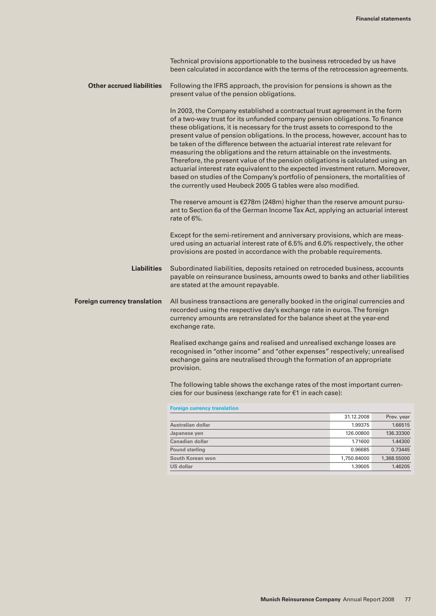|                                     | Technical provisions apportionable to the business retroceded by us have<br>been calculated in accordance with the terms of the retrocession agreements.                                                                                                                                                                                                                                                                                                                                                                                                                                                                                                                                                                                                                                                   |             |             |  |  |  |
|-------------------------------------|------------------------------------------------------------------------------------------------------------------------------------------------------------------------------------------------------------------------------------------------------------------------------------------------------------------------------------------------------------------------------------------------------------------------------------------------------------------------------------------------------------------------------------------------------------------------------------------------------------------------------------------------------------------------------------------------------------------------------------------------------------------------------------------------------------|-------------|-------------|--|--|--|
| <b>Other accrued liabilities</b>    | Following the IFRS approach, the provision for pensions is shown as the<br>present value of the pension obligations.                                                                                                                                                                                                                                                                                                                                                                                                                                                                                                                                                                                                                                                                                       |             |             |  |  |  |
|                                     | In 2003, the Company established a contractual trust agreement in the form<br>of a two-way trust for its unfunded company pension obligations. To finance<br>these obligations, it is necessary for the trust assets to correspond to the<br>present value of pension obligations. In the process, however, account has to<br>be taken of the difference between the actuarial interest rate relevant for<br>measuring the obligations and the return attainable on the investments.<br>Therefore, the present value of the pension obligations is calculated using an<br>actuarial interest rate equivalent to the expected investment return. Moreover,<br>based on studies of the Company's portfolio of pensioners, the mortalities of<br>the currently used Heubeck 2005 G tables were also modified. |             |             |  |  |  |
|                                     | The reserve amount is $E278m$ (248m) higher than the reserve amount pursu-<br>ant to Section 6a of the German Income Tax Act, applying an actuarial interest<br>rate of 6%.                                                                                                                                                                                                                                                                                                                                                                                                                                                                                                                                                                                                                                |             |             |  |  |  |
|                                     | Except for the semi-retirement and anniversary provisions, which are meas-<br>ured using an actuarial interest rate of 6.5% and 6.0% respectively, the other<br>provisions are posted in accordance with the probable requirements.                                                                                                                                                                                                                                                                                                                                                                                                                                                                                                                                                                        |             |             |  |  |  |
| <b>Liabilities</b>                  | Subordinated liabilities, deposits retained on retroceded business, accounts<br>payable on reinsurance business, amounts owed to banks and other liabilities<br>are stated at the amount repayable.                                                                                                                                                                                                                                                                                                                                                                                                                                                                                                                                                                                                        |             |             |  |  |  |
| <b>Foreign currency translation</b> | All business transactions are generally booked in the original currencies and<br>recorded using the respective day's exchange rate in euros. The foreign<br>currency amounts are retranslated for the balance sheet at the year-end<br>exchange rate.                                                                                                                                                                                                                                                                                                                                                                                                                                                                                                                                                      |             |             |  |  |  |
|                                     | Realised exchange gains and realised and unrealised exchange losses are<br>recognised in "other income" and "other expenses" respectively; unrealised<br>exchange gains are neutralised through the formation of an appropriate<br>provision.                                                                                                                                                                                                                                                                                                                                                                                                                                                                                                                                                              |             |             |  |  |  |
|                                     | The following table shows the exchange rates of the most important curren-<br>cies for our business (exchange rate for €1 in each case):                                                                                                                                                                                                                                                                                                                                                                                                                                                                                                                                                                                                                                                                   |             |             |  |  |  |
|                                     | <b>Foreign currency translation</b>                                                                                                                                                                                                                                                                                                                                                                                                                                                                                                                                                                                                                                                                                                                                                                        |             |             |  |  |  |
|                                     | 31.12.2008<br>Prev. year                                                                                                                                                                                                                                                                                                                                                                                                                                                                                                                                                                                                                                                                                                                                                                                   |             |             |  |  |  |
|                                     | Australian dollar                                                                                                                                                                                                                                                                                                                                                                                                                                                                                                                                                                                                                                                                                                                                                                                          | 1.99375     | 1.66515     |  |  |  |
|                                     | Japanese yen                                                                                                                                                                                                                                                                                                                                                                                                                                                                                                                                                                                                                                                                                                                                                                                               | 126.00800   | 136.33300   |  |  |  |
|                                     | Canadian dollar                                                                                                                                                                                                                                                                                                                                                                                                                                                                                                                                                                                                                                                                                                                                                                                            | 1.71600     | 1.44300     |  |  |  |
|                                     | <b>Pound sterling</b>                                                                                                                                                                                                                                                                                                                                                                                                                                                                                                                                                                                                                                                                                                                                                                                      | 0.96685     | 0.73445     |  |  |  |
|                                     | South Korean won                                                                                                                                                                                                                                                                                                                                                                                                                                                                                                                                                                                                                                                                                                                                                                                           | 1,750.84000 | 1,368.55000 |  |  |  |

**US dollar** 1.39005 1.46205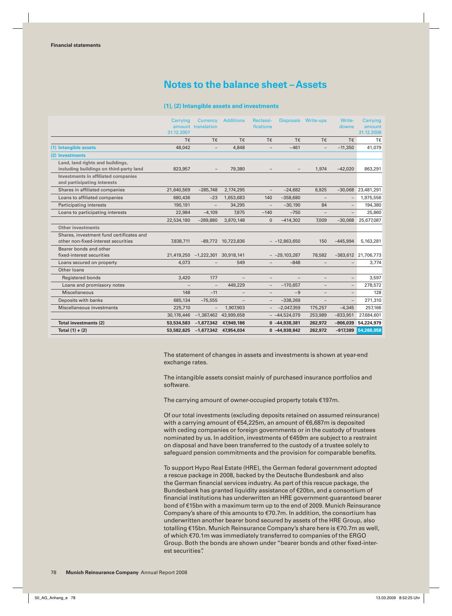# **Notes to the balance sheet – Assets**

## **(1), (2) Intangible assets and investments**

|                                                                                 | Carrying<br>31.12.2007   | Currency<br>amount translation   | <b>Additions</b>         | Reclassi-<br>fications   |                   | Disposals Write-ups      | Write-<br>downs          | Carrying<br>amount<br>31.12.2008 |
|---------------------------------------------------------------------------------|--------------------------|----------------------------------|--------------------------|--------------------------|-------------------|--------------------------|--------------------------|----------------------------------|
|                                                                                 | T€                       | T€                               | T€                       | T€                       | T€                | T€                       | T€                       | Τ€                               |
| (1) Intangible assets                                                           | 48,042                   |                                  | 4,848                    | $\overline{\phantom{0}}$ | $-461$            |                          | $-11,350$                | 41,079                           |
| (2) Investments                                                                 |                          |                                  |                          |                          |                   |                          |                          |                                  |
| Land, land rights and buildings,<br>including buildings on third-party land     | 823,957                  |                                  | 79,380                   |                          | $\qquad \qquad -$ | 1,974                    | $-42,020$                | 863,291                          |
| <b>Investments in affiliated companies</b><br>and participating interests       |                          |                                  |                          |                          |                   |                          |                          |                                  |
| Shares in affiliated companies                                                  | 21,640,569               | $-285,748$                       | 2,174,295                | $\qquad \qquad -$        | $-24,682$         | 6,925                    |                          | $-30,068$ 23,481,291             |
| Loans to affiliated companies                                                   | 680,436                  | $-23$                            | 1,653,683                | 140                      | $-358,680$        |                          |                          | 1,975,556                        |
| Participating interests                                                         | 190,191                  | $\overline{\phantom{a}}$         | 34,295                   | $\qquad \qquad -$        | $-30,190$         | 84                       | -                        | 194,380                          |
| Loans to participating interests                                                | 22,984                   | $-4,109$                         | 7,875                    | $-140$                   | $-750$            |                          |                          | 25,860                           |
|                                                                                 | 22,534,180               | $-289,880$                       | 3,870,148                | $\Omega$                 | $-414,302$        | 7,009                    | $-30,068$                | 25,677,087                       |
| <b>Other investments</b>                                                        |                          |                                  |                          |                          |                   |                          |                          |                                  |
| Shares, investment fund certificates and<br>other non-fixed-interest securities | 7,838,711                |                                  | -89,772 10,723,836       |                          | $-12,863,650$     | 150                      | $-445,994$               | 5,163,281                        |
| Bearer bonds and other<br>fixed-interest securities                             |                          | 21,419,250 -1,222,301 30,918,141 |                          |                          | $-29,103,287$     | 78,582                   |                          | $-383,612$ 21,706,773            |
| Loans secured on property                                                       | 4,073                    |                                  | 549                      | $\overline{\phantom{0}}$ | $-848$            |                          |                          | 3,774                            |
| Other loans                                                                     |                          |                                  |                          |                          |                   |                          |                          |                                  |
| <b>Registered bonds</b>                                                         | 3,420                    | 177                              |                          | $\qquad \qquad -$        |                   |                          | $\overline{\phantom{0}}$ | 3,597                            |
| Loans and promissory notes                                                      | $\overline{\phantom{0}}$ | $\overline{\phantom{0}}$         | 449,229                  | $\qquad \qquad -$        | $-170,657$        |                          | $-$                      | 278,572                          |
| <b>Miscellaneous</b>                                                            | 148                      | $-11$                            | $\overline{\phantom{0}}$ | $\qquad \qquad -$        | $-9$              | $\overline{\phantom{0}}$ | $-$                      | 128                              |
| Deposits with banks                                                             | 685,134                  | $-75,555$                        | $-$                      |                          | $-338,269$        | $\overline{\phantom{0}}$ | $-$                      | 271,310                          |
| Miscellaneous investments                                                       | 225,710                  | $\qquad \qquad -$                | 1,907,903                |                          | $-2,047,359$      | 175,257                  | $-4,345$                 | 257,166                          |
|                                                                                 | 30,176,446               | $-1,387,462$                     | 43,999,658               |                          | $-44,524,079$     | 253,989                  | $-833,951$               | 27,684,601                       |
| Total investments (2)                                                           | 53,534,583               | $-1,677,342$                     | 47,949,186               |                          | $0 -44,938,381$   | 262,972                  | $-906,039$               | 54,224,979                       |
| Total $(1) + (2)$                                                               | 53,582,625               | $-1,677,342$                     | 47,954,034               |                          | $0 -44,938,842$   | 262,972                  | $-917,389$               | 54,266,058                       |

 The statement of changes in assets and investments is shown at year-end exchange rates.

 The intangible assets consist mainly of purchased insurance portfolios and software.

The carrying amount of owner-occupied property totals €197m.

 Of our total investments (excluding deposits retained on assumed reinsurance) with a carrying amount of €54,225m, an amount of €6,687m is deposited with ceding companies or foreign governments or in the custody of trustees nominated by us. In addition, investments of €459m are subject to a restraint on disposal and have been transferred to the custody of a trustee solely to safeguard pension commitments and the provision for comparable benefits.

 To support Hypo Real Estate (HRE), the German federal government adopted a rescue package in 2008, backed by the Deutsche Bundesbank and also the German financial services industry. As part of this rescue package, the Bundesbank has granted liquidity assistance of  $E20$ bn, and a consortium of financial institutions has underwritten an HRE government-guaranteed bearer bond of €15bn with a maximum term up to the end of 2009. Munich Reinsurance Company's share of this amounts to €70.7m. In addition, the consortium has underwritten another bearer bond secured by assets of the HRE Group, also totalling €15bn. Munich Reinsurance Company's share here is €70.7m as well, of which €70.1m was immediately transferred to companies of the ERGO Group. Both the bonds are shown under "bearer bonds and other fixed-interest securities".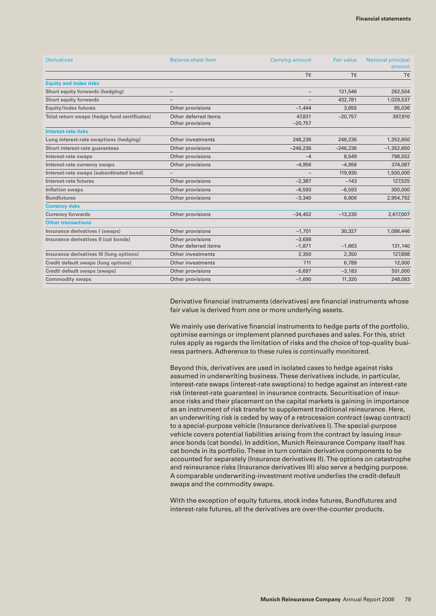| <b>Derivatives</b>                           | <b>Balance sheet item</b> | <b>Carrying amount</b> | <b>Fair value</b> | <b>Notional principal</b><br>amount |
|----------------------------------------------|---------------------------|------------------------|-------------------|-------------------------------------|
|                                              |                           | T€                     | T€                | T€                                  |
| <b>Equity and index risks</b>                |                           |                        |                   |                                     |
| Short equity forwards (hedging)              |                           |                        | 131,546           | 262,504                             |
| <b>Short equity forwards</b>                 | $\overline{\phantom{0}}$  | $\qquad \qquad -$      | 432,781           | 1,029,537                           |
| Equity/index futures                         | Other provisions          | $-1,444$               | 3,655             | 85,036                              |
| Total return swaps (hedge fund certificates) | Other deferred items      | 47,831                 | $-20,757$         | 397,910                             |
|                                              | Other provisions          | $-20,757$              |                   |                                     |
| <b>Interest-rate risks</b>                   |                           |                        |                   |                                     |
| Long interest-rate swaptions (hedging)       | Other investments         | 246,236                | 246,236           | 1,352,650                           |
| Short interest-rate guarantees               | Other provisions          | $-246,236$             | $-246,236$        | $-1,352,650$                        |
| Interest-rate swaps                          | Other provisions          | $-4$                   | 8,549             | 798,552                             |
| Interest-rate currency swaps                 | Other provisions          | $-4,956$               | $-4,956$          | 374,087                             |
| Interest-rate swaps (subordinated bond)      |                           |                        | 119,930           | 1,500,000                           |
| Interest-rate futures                        | Other provisions          | $-2,387$               | $-143$            | 127,525                             |
| <b>Inflation swaps</b>                       | Other provisions          | $-6,593$               | $-6,593$          | 300,000                             |
| <b>Bundfutures</b>                           | Other provisions          | $-3,340$               | 6,606             | 2,954,792                           |
| <b>Currency risks</b>                        |                           |                        |                   |                                     |
| <b>Currency forwards</b>                     | Other provisions          | $-34,452$              | $-13,230$         | 2,617,007                           |
| <b>Other transactions</b>                    |                           |                        |                   |                                     |
| Insurance derivatives I (swaps)              | Other provisions          | $-1,701$               | 30,327            | 1,086,446                           |
| Insurance derivatives II (cat bonds)         | Other provisions          | $-3,698$               |                   |                                     |
|                                              | Other deferred items      | $-1,871$               | $-1,663$          | 131,140                             |
| Insurance derivatives III (long options)     | Other investments         | 2,350                  | 2,350             | 127,898                             |
| Credit default swaps (long options)          | Other investments         | 711                    | 6,789             | 12,000                              |
| Credit default swaps (swaps)                 | Other provisions          | $-5,697$               | $-3,183$          | 501,000                             |
| <b>Commodity swaps</b>                       | Other provisions          | $-1,690$               | 11,320            | 248,083                             |

Derivative financial instruments (derivatives) are financial instruments whose fair value is derived from one or more underlying assets.

We mainly use derivative financial instruments to hedge parts of the portfolio, optimise earnings or implement planned purchases and sales. For this, strict rules apply as regards the limitation of risks and the choice of top-quality business partners. Adherence to these rules is continually monitored.

Beyond this, derivatives are used in isolated cases to hedge against risks assumed in underwriting business. These derivatives include, in particular, interest-rate swaps (interest-rate swaptions) to hedge against an interest-rate risk (interest-rate guarantee) in insurance contracts. Securitisation of insurance risks and their placement on the capital markets is gaining in importance as an instrument of risk transfer to supplement traditional reinsurance. Here, an underwriting risk is ceded by way of a retrocession contract (swap contract) to a special-purpose vehicle (Insurance derivatives I). The special-purpose vehicle covers potential liabilities arising from the contract by issuing insurance bonds (cat bonds). In addition, Munich Reinsurance Company itself has cat bonds in its portfolio. These in turn contain derivative components to be accounted for separately (Insurance derivatives II). The options on catastrophe and reinsurance risks (Insurance derivatives III) also serve a hedging purpose. A comparable underwriting-investment motive underlies the credit-default swaps and the commodity swaps.

With the exception of equity futures, stock index futures, Bundfutures and interest-rate futures, all the derivatives are over-the-counter products.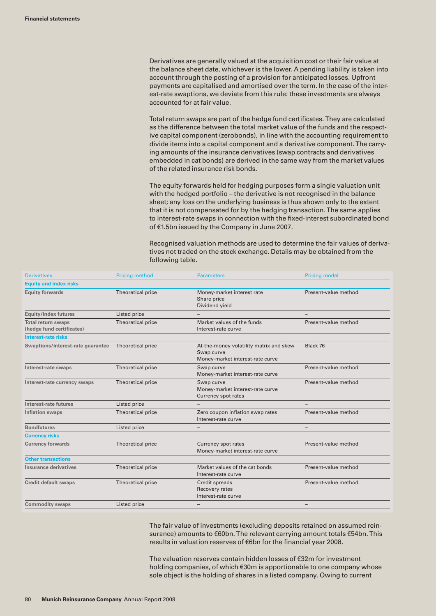Derivatives are generally valued at the acquisition cost or their fair value at the balance sheet date, whichever is the lower. A pending liability is taken into account through the posting of a provision for anticipated losses. Upfront payments are capitalised and amortised over the term. In the case of the interest-rate swaptions, we deviate from this rule: these investments are always accounted for at fair value.

Total return swaps are part of the hedge fund certificates. They are calculated as the difference between the total market value of the funds and the respective capital component (zerobonds), in line with the accounting requirement to divide items into a capital component and a derivative component. The carrying amounts of the insurance derivatives (swap contracts and derivatives embedded in cat bonds) are derived in the same way from the market values of the related insurance risk bonds.

The equity forwards held for hedging purposes form a single valuation unit with the hedged portfolio – the derivative is not recognised in the balance sheet; any loss on the underlying business is thus shown only to the extent that it is not compensated for by the hedging transaction. The same applies to interest-rate swaps in connection with the fixed-interest subordinated bond of €1.5bn issued by the Company in June 2007.

Recognised valuation methods are used to determine the fair values of derivatives not traded on the stock exchange. Details may be obtained from the following table.

| <b>Derivatives</b>                                     | <b>Pricing method</b> | <b>Parameters</b>                                                                         | <b>Pricing model</b> |
|--------------------------------------------------------|-----------------------|-------------------------------------------------------------------------------------------|----------------------|
| <b>Equity and index risks</b>                          |                       |                                                                                           |                      |
| <b>Equity forwards</b>                                 | Theoretical price     | Money-market interest rate<br>Share price<br>Dividend yield                               | Present-value method |
| <b>Equity/index futures</b>                            | Listed price          |                                                                                           |                      |
| <b>Total return swaps</b><br>(hedge fund certificates) | Theoretical price     | Market values of the funds<br>Interest-rate curve                                         | Present-value method |
| <b>Interest-rate risks</b>                             |                       |                                                                                           |                      |
| Swaptions/interest-rate quarantee                      | Theoretical price     | At-the-money volatility matrix and skew<br>Swap curve<br>Money-market interest-rate curve | Black 76             |
| Interest-rate swaps                                    | Theoretical price     | Swap curve<br>Money-market interest-rate curve                                            | Present-value method |
| Interest-rate currency swaps                           | Theoretical price     | Swap curve<br>Money-market interest-rate curve<br>Currency spot rates                     | Present-value method |
| Interest-rate futures                                  | Listed price          |                                                                                           |                      |
| <b>Inflation swaps</b>                                 | Theoretical price     | Zero coupon inflation swap rates<br>Interest-rate curve                                   | Present-value method |
| <b>Bundfutures</b>                                     | Listed price          |                                                                                           |                      |
| <b>Currency risks</b>                                  |                       |                                                                                           |                      |
| <b>Currency forwards</b>                               | Theoretical price     | Currency spot rates<br>Money-market interest-rate curve                                   | Present-value method |
| <b>Other transactions</b>                              |                       |                                                                                           |                      |
| <b>Insurance derivatives</b>                           | Theoretical price     | Market values of the cat bonds<br>Interest-rate curve                                     | Present-value method |
| <b>Credit default swaps</b>                            | Theoretical price     | Credit spreads<br>Recovery rates<br>Interest-rate curve                                   | Present-value method |
| <b>Commodity swaps</b>                                 | Listed price          | $\qquad \qquad$                                                                           | -                    |

The fair value of investments (excluding deposits retained on assumed reinsurance) amounts to €60bn. The relevant carrying amount totals €54bn. This results in valuation reserves of €6bn for the financial year 2008.

The valuation reserves contain hidden losses of €32m for investment holding companies, of which €30m is apportionable to one company whose sole object is the holding of shares in a listed company. Owing to current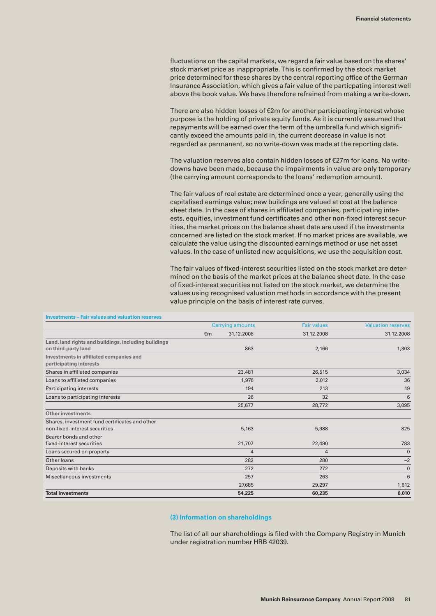fluctuations on the capital markets, we regard a fair value based on the shares' stock market price as inappropriate. This is confirmed by the stock market price determined for these shares by the central reporting office of the German Insurance Association, which gives a fair value of the particpating interest well above the book value. We have therefore refrained from making a write-down.

There are also hidden losses of  $\epsilon$ 2m for another participating interest whose purpose is the holding of private equity funds. As it is currently assumed that repayments will be earned over the term of the umbrella fund which significantly exceed the amounts paid in, the current decrease in value is not regarded as permanent, so no write-down was made at the reporting date.

The valuation reserves also contain hidden losses of  $E27$ m for loans. No writedowns have been made, because the impairments in value are only temporary (the carrying amount corresponds to the loans' redemption amount).

The fair values of real estate are determined once a year, generally using the capitalised earnings value; new buildings are valued at cost at the balance sheet date. In the case of shares in affiliated companies, participating interests, equities, investment fund certificates and other non-fixed interest securities, the market prices on the balance sheet date are used if the investments concerned are listed on the stock market. If no market prices are available, we calculate the value using the discounted earnings method or use net asset values. In the case of unlisted new acquisitions, we use the acquisition cost.

The fair values of fixed-interest securities listed on the stock market are determined on the basis of the market prices at the balance sheet date. In the case of fixed-interest securities not listed on the stock market, we determine the values using recognised valuation methods in accordance with the present value principle on the basis of interest rate curves.

|                                                                                 | <b>Carrying amounts</b> |                | <b>Fair values</b> | <b>Valuation reserves</b> |
|---------------------------------------------------------------------------------|-------------------------|----------------|--------------------|---------------------------|
|                                                                                 | €m                      | 31.12.2008     | 31.12.2008         | 31.12.2008                |
| Land, land rights and buildings, including buildings<br>on third-party land     |                         | 863            | 2,166              | 1,303                     |
| Investments in affiliated companies and<br>participating interests              |                         |                |                    |                           |
| Shares in affiliated companies                                                  |                         | 23,481         | 26,515             | 3,034                     |
| Loans to affiliated companies                                                   |                         | 1,976          | 2,012              | 36                        |
| Participating interests                                                         |                         | 194            | 213                | 19                        |
| Loans to participating interests                                                |                         | 26             | 32                 | 6                         |
|                                                                                 |                         | 25,677         | 28,772             | 3,095                     |
| <b>Other investments</b>                                                        |                         |                |                    |                           |
| Shares, investment fund certificates and other<br>non-fixed-interest securities |                         | 5,163          | 5,988              | 825                       |
| Bearer bonds and other                                                          |                         |                |                    |                           |
| fixed-interest securities                                                       |                         | 21,707         | 22,490             | 783                       |
| Loans secured on property                                                       |                         | $\overline{4}$ | 4                  | $\Omega$                  |
| Other loans                                                                     |                         | 282            | 280                | $-2$                      |
| Deposits with banks                                                             |                         | 272            | 272                | $\mathbf{0}$              |
| Miscellaneous investments                                                       |                         | 257            | 263                | $6\phantom{1}6$           |
|                                                                                 |                         | 27,685         | 29,297             | 1,612                     |
| <b>Total investments</b>                                                        |                         | 54,225         | 60,235             | 6,010                     |

#### **Investments – Fair values and valuation reserves**

#### **(3) Information on shareholdings**

The list of all our shareholdings is filed with the Company Registry in Munich under registration number HRB 42039.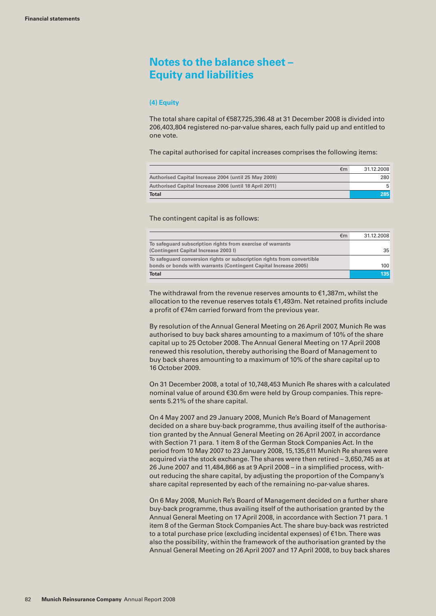# **Notes to the balance sheet – Equity and liabilities**

#### **(4) Equity**

The total share capital of €587,725,396.48 at 31 December 2008 is divided into 206,403,804 registered no-par-value shares, each fully paid up and entitled to one vote.

The capital authorised for capital increases comprises the following items:

| €m                                                     | 31.12.2008 |
|--------------------------------------------------------|------------|
| Authorised Capital Increase 2004 (until 25 May 2009)   | 280        |
| Authorised Capital Increase 2006 (until 18 April 2011) | 5          |
| <b>Total</b>                                           | 285        |

The contingent capital is as follows:

| €m                                                                     | 31.12.2008 |
|------------------------------------------------------------------------|------------|
| To safeguard subscription rights from exercise of warrants             |            |
| (Contingent Capital Increase 2003 I)                                   | 35         |
| To safeguard conversion rights or subscription rights from convertible |            |
| bonds or bonds with warrants (Contingent Capital Increase 2005)        | 100        |
| <b>Total</b>                                                           | 135        |

The withdrawal from the revenue reserves amounts to  $E$ 1,387m, whilst the allocation to the revenue reserves totals €1,493m. Net retained profits include a profit of €74m carried forward from the previous year.

By resolution of the Annual General Meeting on 26 April 2007, Munich Re was authorised to buy back shares amounting to a maximum of 10% of the share capital up to 25 October 2008. The Annual General Meeting on 17 April 2008 renewed this resolution, thereby authorising the Board of Management to buy back shares amounting to a maximum of 10% of the share capital up to 16 October 2009.

On 31 December 2008, a total of 10,748,453 Munich Re shares with a calculated nominal value of around €30.6m were held by Group companies. This represents 5.21% of the share capital.

On 4 May 2007 and 29 January 2008, Munich Re's Board of Management decided on a share buy-back programme, thus availing itself of the authorisation granted by the Annual General Meeting on 26 April 2007, in accordance with Section 71 para. 1 item 8 of the German Stock Companies Act. In the period from 10 May 2007 to 23 January 2008, 15,135,611 Munich Re shares were acquired via the stock exchange. The shares were then retired – 3,650,745 as at 26 June 2007 and 11,484,866 as at 9 April 2008 – in a simplified process, without reducing the share capital, by adjusting the proportion of the Company's share capital represented by each of the remaining no-par-value shares.

On 6 May 2008, Munich Re's Board of Management decided on a further share buy-back programme, thus availing itself of the authorisation granted by the Annual General Meeting on 17 April 2008, in accordance with Section 71 para. 1 item 8 of the German Stock Companies Act. The share buy-back was restricted to a total purchase price (excluding incidental expenses) of €1bn. There was also the possibility, within the framework of the authorisation granted by the Annual General Meeting on 26 April 2007 and 17 April 2008, to buy back shares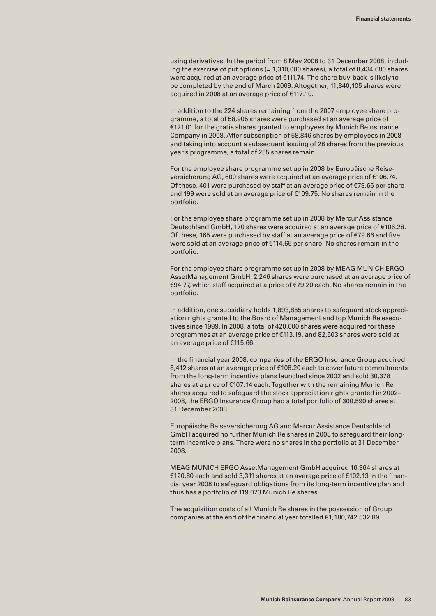using derivatives. In the period from 8 May 2008 to 31 December 2008, including the exercise of put options (= 1,310,000 shares), a total of 8,434,680 shares were acquired at an average price of €111.74. The share buy-back is likely to be completed by the end of March 2009. Altogether, 11,840,105 shares were acquired in 2008 at an average price of €117.10.

In addition to the 224 shares remaining from the 2007 employee share programme, a total of 58,905 shares were purchased at an average price of €121.01 for the gratis shares granted to employees by Munich Reinsurance Company in 2008. After subscription of 58,846 shares by employees in 2008 and taking into account a subsequent issuing of 28 shares from the previous year's programme, a total of 255 shares remain.

For the employee share programme set up in 2008 by Europäische Reiseversicherung AG, 600 shares were acquired at an average price of €106.74. Of these, 401 were purchased by staff at an average price of €79.66 per share and 199 were sold at an average price of €109.75. No shares remain in the portfolio.

For the employee share programme set up in 2008 by Mercur Assistance Deutschland GmbH, 170 shares were acquired at an average price of €106.28. Of these, 165 were purchased by staff at an average price of €79.66 and five were sold at an average price of €114.65 per share. No shares remain in the portfolio.

For the employee share programme set up in 2008 by MEAG MUNICH ERGO AssetManagement GmbH, 2,246 shares were purchased at an average price of €94.77, which staff acquired at a price of €79.20 each. No shares remain in the portfolio.

In addition, one subsidiary holds 1,893,855 shares to safeguard stock appreciation rights granted to the Board of Management and top Munich Re executives since 1999. In 2008, a total of 420,000 shares were acquired for these programmes at an average price of €113.19, and 82,503 shares were sold at an average price of €115.66.

In the financial year 2008, companies of the ERGO Insurance Group acquired 8,412 shares at an average price of €108.20 each to cover future commitments from the long-term incentive plans launched since 2002 and sold 30,378 shares at a price of €107.14 each. Together with the remaining Munich Re shares acquired to safeguard the stock appreciation rights granted in 2002– 2008, the ERGO Insurance Group had a total portfolio of 300,590 shares at 31 December 2008.

Europäische Reiseversicherung AG and Mercur Assistance Deutschland GmbH acquired no further Munich Re shares in 2008 to safeguard their longterm incentive plans. There were no shares in the portfolio at 31 December 2008.

MEAG MUNICH ERGO AssetManagement GmbH acquired 16,364 shares at €120.80 each and sold 3,311 shares at an average price of €102.13 in the financial year 2008 to safeguard obligations from its long-term incentive plan and thus has a portfolio of 119,073 Munich Re shares.

The acquisition costs of all Munich Re shares in the possession of Group companies at the end of the financial year totalled €1,180,742,532.89.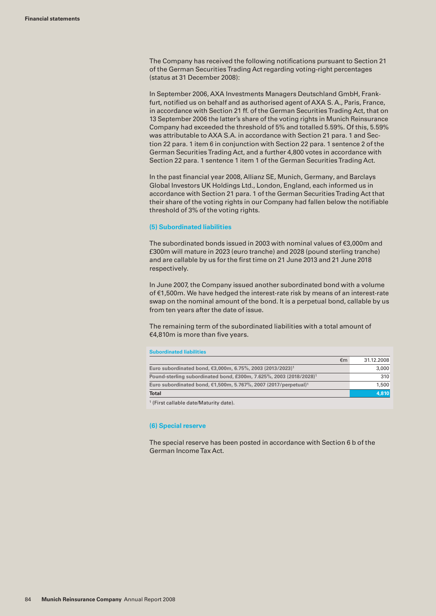The Company has received the following notifications pursuant to Section 21 of the German Securities Trading Act regarding voting-right percentages (status at 31 December 2008):

In September 2006, AXA Investments Managers Deutschland GmbH, Frankfurt, notified us on behalf and as authorised agent of AXA S. A., Paris, France, in accordance with Section 21 ff. of the German Securities Trading Act, that on 13 September 2006 the latter's share of the voting rights in Munich Reinsurance Company had exceeded the threshold of 5% and totalled 5.59%. Of this, 5.59% was attributable to AXA S.A. in accordance with Section 21 para. 1 and Section 22 para. 1 item 6 in conjunction with Section 22 para. 1 sentence 2 of the German Securities Trading Act, and a further 4,800 votes in accordance with Section 22 para. 1 sentence 1 item 1 of the German Securities Trading Act.

In the past financial year 2008, Allianz SE, Munich, Germany, and Barclays Global Investors UK Holdings Ltd., London, England, each informed us in accordance with Section 21 para. 1 of the German Securities Trading Act that their share of the voting rights in our Company had fallen below the notifiable threshold of 3% of the voting rights.

#### **(5) Subordinated liabilities**

The subordinated bonds issued in 2003 with nominal values of €3,000m and £300m will mature in 2023 (euro tranche) and 2028 (pound sterling tranche) and are callable by us for the first time on 21 June 2013 and 21 June 2018 respectively.

In June 2007, the Company issued another subordinated bond with a volume of €1,500m. We have hedged the interest-rate risk by means of an interest-rate swap on the nominal amount of the bond. It is a perpetual bond, callable by us from ten years after the date of issue.

The remaining term of the subordinated liabilities with a total amount of €4,810m is more than five years.

#### **Subordinated liabilities**

|                                                                                | €m | 31.12.2008 |
|--------------------------------------------------------------------------------|----|------------|
| Euro subordinated bond, €3,000m, 6,75%, 2003 (2013/2023) <sup>1</sup>          |    | 3,000      |
| Pound-sterling subordinated bond, £300m, 7.625%, 2003 (2018/2028) <sup>1</sup> |    | 310        |
| Euro subordinated bond, €1,500m, 5.767%, 2007 (2017/perpetual) <sup>1</sup>    |    | 1,500      |
| <b>Total</b>                                                                   |    | 4,810      |
|                                                                                |    |            |

1 (First callable date/Maturity date).

#### **(6) Special reserve**

The special reserve has been posted in accordance with Section 6 b of the German Income Tax Act.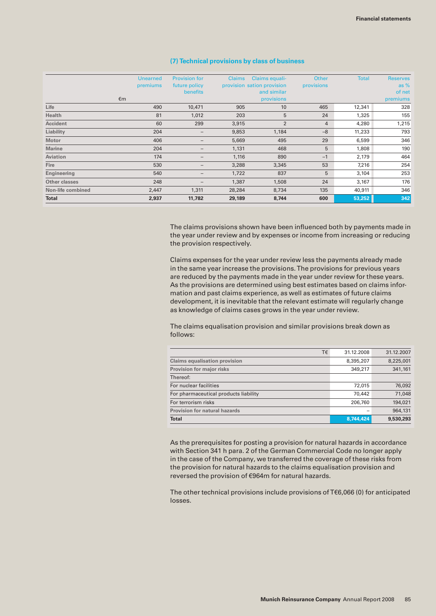|                      | <b>Unearned</b><br>premiums<br>€m | <b>Provision for</b><br>future policy<br>benefits | <b>Claims</b> | Claims equali-<br>provision sation provision<br>and similar<br>provisions | Other<br>provisions | <b>Total</b> | <b>Reserves</b><br>as $%$<br>of net<br>premiums |
|----------------------|-----------------------------------|---------------------------------------------------|---------------|---------------------------------------------------------------------------|---------------------|--------------|-------------------------------------------------|
| Life                 | 490                               | 10,471                                            | 905           | 10                                                                        | 465                 | 12,341       | 328                                             |
| Health               | 81                                | 1,012                                             | 203           | 5                                                                         | 24                  | 1,325        | 155                                             |
| <b>Accident</b>      | 60                                | 299                                               | 3,915         | $\overline{2}$                                                            | $\overline{4}$      | 4,280        | 1,215                                           |
| Liability            | 204                               | $\qquad \qquad -$                                 | 9,853         | 1,184                                                                     | $-8$                | 11,233       | 793                                             |
| <b>Motor</b>         | 406                               | $\qquad \qquad -$                                 | 5,669         | 495                                                                       | 29                  | 6,599        | 346                                             |
| <b>Marine</b>        | 204                               | -                                                 | 1,131         | 468                                                                       | 5                   | 1,808        | 190                                             |
| Aviation             | 174                               | $\qquad \qquad \blacksquare$                      | 1,116         | 890                                                                       | $-1$                | 2,179        | 464                                             |
| <b>Fire</b>          | 530                               | $\qquad \qquad \blacksquare$                      | 3,288         | 3,345                                                                     | 53                  | 7,216        | 254                                             |
| Engineering          | 540                               | $\qquad \qquad -$                                 | 1,722         | 837                                                                       | 5                   | 3,104        | 253                                             |
| <b>Other classes</b> | 248                               |                                                   | 1,387         | 1,508                                                                     | 24                  | 3,167        | 176                                             |
| Non-life combined    | 2,447                             | 1,311                                             | 28,284        | 8,734                                                                     | 135                 | 40,911       | 346                                             |
| <b>Total</b>         | 2,937                             | 11,782                                            | 29,189        | 8,744                                                                     | 600                 | 53,252       | 342                                             |

## **(7) Technical provisions by class of business**

The claims provisions shown have been influenced both by payments made in the year under review and by expenses or income from increasing or reducing the provision respectively.

Claims expenses for the year under review less the payments already made in the same year increase the provisions. The provisions for previous years are reduced by the payments made in the year under review for these years. As the provisions are determined using best estimates based on claims information and past claims experience, as well as estimates of future claims development, it is inevitable that the relevant estimate will regularly change as knowledge of claims cases grows in the year under review.

The claims equalisation provision and similar provisions break down as follows:

| <b>Total</b>                          |    | 8.744.424  | 9,530,293  |
|---------------------------------------|----|------------|------------|
| <b>Provision for natural hazards</b>  |    |            | 964,131    |
| For terrorism risks                   |    | 206,760    | 194,021    |
| For pharmaceutical products liability |    | 70,442     | 71,048     |
| For nuclear facilities                |    | 72,015     | 76,092     |
| Thereof:                              |    |            |            |
| Provision for major risks             |    | 349,217    | 341,161    |
| <b>Claims equalisation provision</b>  |    | 8,395,207  | 8,225,001  |
|                                       | T€ | 31.12.2008 | 31.12.2007 |

As the prerequisites for posting a provision for natural hazards in accordance with Section 341 h para. 2 of the German Commercial Code no longer apply in the case of the Company, we transferred the coverage of these risks from the provision for natural hazards to the claims equalisation provision and reversed the provision of €964m for natural hazards.

The other technical provisions include provisions of T€6,066 (0) for anticipated losses.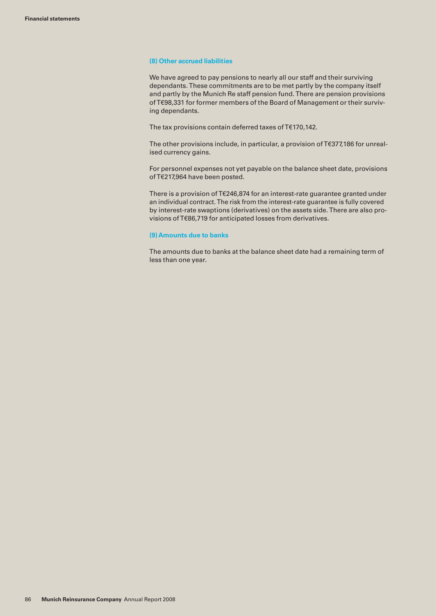### **(8) Other accrued liabilities**

We have agreed to pay pensions to nearly all our staff and their surviving dependants. These commitments are to be met partly by the company itself and partly by the Munich Re staff pension fund. There are pension provisions of T€98,331 for former members of the Board of Management or their surviving dependants.

The tax provisions contain deferred taxes of T€170,142.

The other provisions include, in particular, a provision of T€377,186 for unrealised currency gains.

For personnel expenses not yet payable on the balance sheet date, provisions of T€217,964 have been posted.

There is a provision of T€246,874 for an interest-rate guarantee granted under an individual contract. The risk from the interest-rate guarantee is fully covered by interest-rate swaptions (derivatives) on the assets side. There are also provisions of T€86,719 for anticipated losses from derivatives.

## **(9) Amounts due to banks**

The amounts due to banks at the balance sheet date had a remaining term of less than one year.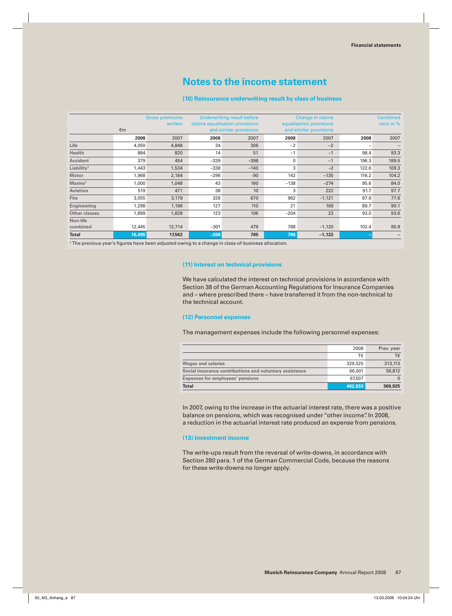# **Notes to the income statement**

#### **(10) Reinsurance underwriting result by class of business**

|                        |              | <b>Gross premiums</b> | <b>Underwriting result before</b> |                                |        | Change in claims        | <b>Combined</b>          |            |
|------------------------|--------------|-----------------------|-----------------------------------|--------------------------------|--------|-------------------------|--------------------------|------------|
|                        |              | written               |                                   | claims equalisation provisions |        | equalisation provisions |                          | ratio in % |
|                        | $\epsilon$ m |                       |                                   | and similar provisions         |        | and similar provisions  |                          |            |
|                        | 2008         | 2007                  | 2008                              | 2007                           | 2008   | 2007                    | 2008                     | 2007       |
| Life                   | 4,050        | 4,848                 | 34                                | 306                            | $-2$   | $-2$                    | $\overline{\phantom{0}}$ |            |
| <b>Health</b>          | 884          | 820                   | 14                                | 51                             | $-1$   | $-1$                    | 98.4                     | 93.3       |
| <b>Accident</b>        | 379          | 454                   | $-339$                            | $-398$                         | 0      | $-1$                    | 196.3                    | 189.5      |
| Liability <sup>1</sup> | 1,443        | 1,534                 | $-338$                            | $-140$                         | 3      | $-2$                    | 122.6                    | 109.3      |
| <b>Motor</b>           | 1,968        | 2,184                 | $-296$                            | $-90$                          | 142    | $-135$                  | 116.2                    | 104.2      |
| Marine <sup>1</sup>    | 1,000        | 1,048                 | 43                                | 160                            | $-138$ | $-274$                  | 95.6                     | 84.0       |
| <b>Aviation</b>        | 519          | 471                   | 38                                | 10                             | 3      | 222                     | 91.7                     | 97.7       |
| Fire                   | 3,055        | 3,179                 | 328                               | 670                            | 962    | $-1,121$                | 87.9                     | 77.6       |
| Engineering            | 1,298        | 1,196                 | 127                               | 110                            | 21     | 169                     | 89.7                     | 90.1       |
| <b>Other classes</b>   | 1,899        | 1,828                 | 123                               | 106                            | $-204$ | 23                      | 93.0                     | 93.6       |
| Non-life               |              |                       |                                   |                                |        |                         |                          |            |
| combined               | 12,445       | 12,714                | $-301$                            | 479                            | 788    | $-1,120$                | 102.4                    | 95.9       |
| Total                  | 16,495       | 17,562                | $-266$                            | 785                            | 786    | $-1,122$                |                          |            |

<sup>1</sup> The previous year's figures have been adjusted owing to a change in class-of-business allocation.

## **(11) Interest on technical provisions**

 We have calculated the interest on technical provisions in accordance with Section 38 of the German Accounting Regulations for Insurance Companies and – where prescribed there – have transferred it from the non-technical to the technical account.

## **(12) Personnel expenses**

The management expenses include the following personnel expenses:

|                                                         | 2008    | Prev. year |
|---------------------------------------------------------|---------|------------|
|                                                         | Τ€      | Τ€         |
| <b>Wages and salaries</b>                               | 329,325 | 313,113    |
| Social insurance contributions and voluntary assistance | 66,001  | 56,812     |
| <b>Expenses for employees' pensions</b>                 | 67,507  |            |
| <b>Total</b>                                            | 462,833 | 369,925    |

 In 2007, owing to the increase in the actuarial interest rate, there was a positive balance on pensions, which was recognised under "other income". In 2008, a reduction in the actuarial interest rate produced an expense from pensions.

#### **(13) Investment income**

 The write-ups result from the reversal of write-downs, in accordance with Section 280 para. 1 of the German Commercial Code, because the reasons for these write-downs no longer apply.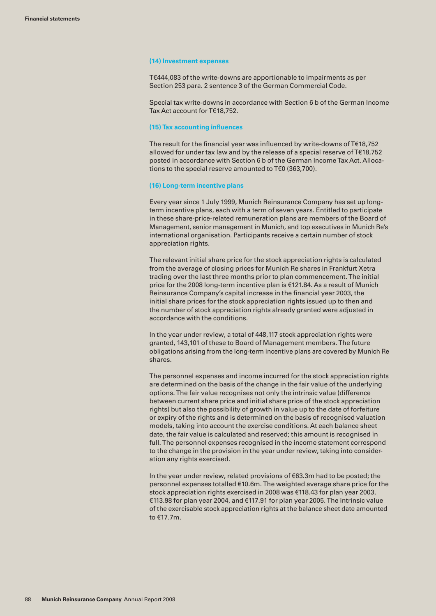#### **(14) Investment expenses**

T€444,083 of the write-downs are apportionable to impairments as per Section 253 para. 2 sentence 3 of the German Commercial Code.

Special tax write-downs in accordance with Section 6 b of the German Income Tax Act account for T€18,752.

#### **(15) Tax accounting influences**

The result for the financial year was influenced by write-downs of T€18,752 allowed for under tax law and by the release of a special reserve of T€18,752 posted in accordance with Section 6 b of the German Income Tax Act. Allocations to the special reserve amounted to T€0 (363,700).

#### **(16) Long-term incentive plans**

Every year since 1 July 1999, Munich Reinsurance Company has set up longterm incentive plans, each with a term of seven years. Entitled to participate in these share-price-related remuneration plans are members of the Board of Management, senior management in Munich, and top executives in Munich Re's international organisation. Participants receive a certain number of stock appreciation rights.

The relevant initial share price for the stock appreciation rights is calculated from the average of closing prices for Munich Re shares in Frankfurt Xetra trading over the last three months prior to plan commencement. The initial price for the 2008 long-term incentive plan is €121.84. As a result of Munich Reinsurance Company's capital increase in the financial year 2003, the initial share prices for the stock appreciation rights issued up to then and the number of stock appreciation rights already granted were adjusted in accordance with the conditions.

In the year under review, a total of 448,117 stock appreciation rights were granted, 143,101 of these to Board of Management members. The future obligations arising from the long-term incentive plans are covered by Munich Re shares.

The personnel expenses and income incurred for the stock appreciation rights are determined on the basis of the change in the fair value of the underlying options. The fair value recognises not only the intrinsic value (difference between current share price and initial share price of the stock appreciation rights) but also the possibility of growth in value up to the date of forfeiture or expiry of the rights and is determined on the basis of recognised valuation models, taking into account the exercise conditions. At each balance sheet date, the fair value is calculated and reserved; this amount is recognised in full. The personnel expenses recognised in the income statement correspond to the change in the provision in the year under review, taking into consideration any rights exercised.

In the year under review, related provisions of €63.3m had to be posted; the personnel expenses totalled €10.6m. The weighted average share price for the stock appreciation rights exercised in 2008 was €118.43 for plan year 2003, €113.98 for plan year 2004, and €117.91 for plan year 2005. The intrinsic value of the exercisable stock appreciation rights at the balance sheet date amounted to €17.7m.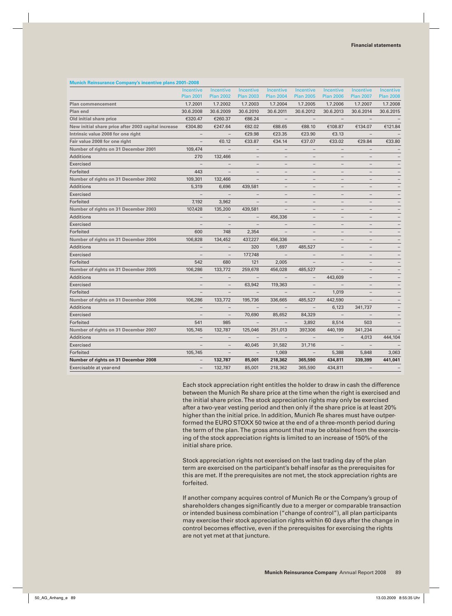|                                                     | <b>Incentive</b><br><b>Plan 2001</b> | Incentive<br><b>Plan 2002</b> | Incentive<br><b>Plan 2003</b> | Incentive<br><b>Plan 2004</b> | Incentive<br><b>Plan 2005</b> | Incentive<br><b>Plan 2006</b> | <b>Incentive</b><br><b>Plan 2007</b> | Incentive<br><b>Plan 2008</b> |
|-----------------------------------------------------|--------------------------------------|-------------------------------|-------------------------------|-------------------------------|-------------------------------|-------------------------------|--------------------------------------|-------------------------------|
| <b>Plan commencement</b>                            | 1.7.2001                             | 1.7.2002                      | 1.7.2003                      | 1.7.2004                      | 1.7.2005                      | 1.7.2006                      | 1.7.2007                             | 1.7.2008                      |
| <b>Plan end</b>                                     | 30.6.2008                            | 30.6.2009                     | 30.6.2010                     | 30.6.2011                     | 30.6.2012                     | 30.6.2013                     | 30.6.2014                            | 30.6.2015                     |
| Old initial share price                             | €320.47                              | €260.37                       | €86.24                        | $\overline{\phantom{a}}$      | $\overline{\phantom{m}}$      |                               |                                      |                               |
| New initial share price after 2003 capital increase | €304.80                              | €247.64                       | €82.02                        | €88.65                        | €88.10                        | €108.87                       | €134.07                              | €121.84                       |
| Intrinsic value 2008 for one right                  |                                      | $\qquad \qquad -$             | €29.98                        | €23.35                        | €23.90                        | €3.13                         |                                      |                               |
| Fair value 2008 for one right                       |                                      | €0.12                         | €33.87                        | €34.14                        | €37.07                        | €33.02                        | €29.84                               | €33.80                        |
| Number of rights on 31 December 2001                | 109,474                              |                               | $\overline{\phantom{0}}$      |                               |                               |                               |                                      |                               |
| Additions                                           | 270                                  | 132,466                       |                               |                               |                               |                               |                                      |                               |
| Exercised                                           |                                      |                               | $\overline{\phantom{0}}$      |                               | $\overline{\phantom{0}}$      | $\overline{\phantom{0}}$      |                                      |                               |
| Forfeited                                           | 443                                  |                               | $\overline{\phantom{0}}$      |                               | $\qquad \qquad -$             | $\overline{\phantom{0}}$      |                                      |                               |
| Number of rights on 31 December 2002                | 109,301                              | 132,466                       | $\overline{\phantom{0}}$      | $\overline{\phantom{0}}$      | $\qquad \qquad -$             | $\overline{\phantom{0}}$      |                                      |                               |
| Additions                                           | 5,319                                | 6,696                         | 439,581                       |                               | $\qquad \qquad -$             | $\overline{\phantom{0}}$      |                                      |                               |
| Exercised                                           |                                      | $\qquad \qquad -$             | $\overline{\phantom{0}}$      | $\overline{\phantom{0}}$      | $\qquad \qquad -$             | $\overline{\phantom{0}}$      |                                      |                               |
| Forfeited                                           | 7,192                                | 3,962                         | $\qquad \qquad -$             | $-$                           | $\overline{\phantom{m}}$      | $\overline{\phantom{0}}$      | $\qquad \qquad -$                    | $\overline{\phantom{m}}$      |
| Number of rights on 31 December 2003                | 107,428                              | 135,200                       | 439,581                       | $\overline{\phantom{0}}$      | $\qquad \qquad -$             | $\overline{\phantom{0}}$      | $\qquad \qquad -$                    | $\overline{\phantom{m}}$      |
| <b>Additions</b>                                    | $\overline{\phantom{0}}$             | $\qquad \qquad -$             | $\qquad \qquad -$             | 456,336                       | $\qquad \qquad -$             | $\overline{\phantom{0}}$      | $\overline{\phantom{0}}$             | $\overline{\phantom{a}}$      |
| Exercised                                           |                                      | $\overline{\phantom{0}}$      | $\overline{\phantom{0}}$      | $\overline{\phantom{0}}$      | $\qquad \qquad -$             | $\qquad \qquad -$             | $\qquad \qquad -$                    | $\overline{\phantom{m}}$      |
| Forfeited                                           | 600                                  | 748                           | 2,354                         | $\overline{\phantom{0}}$      | $\overline{\phantom{m}}$      | $\overline{\phantom{0}}$      | $\qquad \qquad -$                    | $\overline{\phantom{m}}$      |
| Number of rights on 31 December 2004                | 106,828                              | 134,452                       | 437,227                       | 456,336                       | $\overline{\phantom{m}}$      | $\qquad \qquad -$             | $\qquad \qquad -$                    | $\overline{\phantom{m}}$      |
| Additions                                           |                                      | $\overline{\phantom{a}}$      | 320                           | 1,697                         | 485,527                       | $\overline{\phantom{0}}$      | $\qquad \qquad -$                    |                               |
| Exercised                                           |                                      | $\overline{\phantom{m}}$      | 177,748                       | $\qquad \qquad -$             | $\overline{\phantom{a}}$      | $\qquad \qquad -$             | $\qquad \qquad -$                    | $\overline{\phantom{m}}$      |
| Forfeited                                           | 542                                  | 680                           | 121                           | 2,005                         | $\qquad \qquad -$             | $\overline{\phantom{0}}$      | -                                    | $\qquad \qquad -$             |
| Number of rights on 31 December 2005                | 106,286                              | 133,772                       | 259,678                       | 456,028                       | 485,527                       | $\overline{\phantom{a}}$      | $\qquad \qquad -$                    | $\overline{\phantom{a}}$      |
| Additions                                           |                                      | $\overline{\phantom{0}}$      | $\qquad \qquad -$             | $\qquad \qquad -$             | $\overline{\phantom{m}}$      | 443,609                       |                                      | $\qquad \qquad -$             |
| Exercised                                           |                                      | $\overline{\phantom{0}}$      | 63,942                        | 119,363                       | $\overline{\phantom{0}}$      |                               |                                      | $\overline{\phantom{a}}$      |
| Forfeited                                           |                                      | $\overline{\phantom{0}}$      | $\qquad \qquad -$             |                               | $\overline{\phantom{a}}$      | 1,019                         |                                      |                               |
| Number of rights on 31 December 2006                | 106,286                              | 133,772                       | 195,736                       | 336,665                       | 485,527                       | 442,590                       |                                      |                               |
| Additions                                           |                                      |                               |                               |                               |                               | 6,123                         | 341,737                              |                               |
| Exercised                                           |                                      |                               | 70,690                        | 85,652                        | 84,329                        | $\overline{\phantom{a}}$      |                                      |                               |
| Forfeited                                           | 541                                  | 985                           | $\overline{\phantom{0}}$      | $\overline{\phantom{a}}$      | 3,892                         | 8,514                         | 503                                  |                               |
| Number of rights on 31 December 2007                | 105,745                              | 132,787                       | 125,046                       | 251,013                       | 397,306                       | 440,199                       | 341,234                              |                               |
| Additions                                           |                                      | $\equiv$                      | $\overline{\phantom{0}}$      | $\qquad \qquad -$             | $\equiv$                      | $\overline{\phantom{m}}$      | 4,013                                | 444,104                       |
| Exercised                                           |                                      | $\overline{\phantom{0}}$      | 40,045                        | 31,582                        | 31,716                        | $\overline{\phantom{a}}$      | $\overline{\phantom{m}}$             |                               |
| Forfeited                                           | 105,745                              | $\overline{\phantom{0}}$      | $\overline{\phantom{a}}$      | 1,069                         | $\overline{\phantom{m}}$      | 5,388                         | 5,848                                | 3,063                         |
| Number of rights on 31 December 2008                |                                      | 132,787                       | 85,001                        | 218,362                       | 365,590                       | 434,811                       | 339,399                              | 441,041                       |
| Exercisable at year-end                             |                                      | 132,787                       | 85,001                        | 218,362                       | 365,590                       | 434,811                       | $\overline{\phantom{m}}$             |                               |

**Munich Reinsurance Company's incentive plans 2001–2008**

 Each stock appreciation right entitles the holder to draw in cash the difference between the Munich Re share price at the time when the right is exercised and the initial share price. The stock appreciation rights may only be exercised after a two-year vesting period and then only if the share price is at least 20% higher than the initial price. In addition, Munich Re shares must have outperformed the EURO STOXX 50 twice at the end of a three-month period during the term of the plan. The gross amount that may be obtained from the exercising of the stock appreciation rights is limited to an increase of 150% of the initial share price.

 Stock appreciation rights not exercised on the last trading day of the plan term are exercised on the participant's behalf insofar as the prerequisites for this are met. If the prerequisites are not met, the stock appreciation rights are forfeited.

 If another company acquires control of Munich Re or the Company's group of shareholders changes significantly due to a merger or comparable transaction or intended business combination ("change of control"), all plan participants may exercise their stock appreciation rights within 60 days after the change in control becomes effective, even if the prerequisites for exercising the rights are not yet met at that juncture.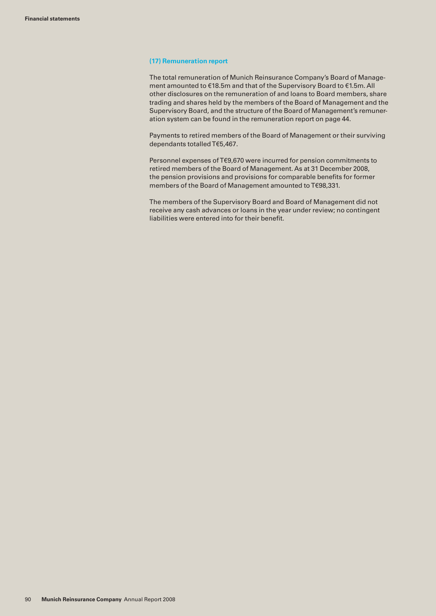## **(17) Remuneration report**

The total remuneration of Munich Reinsurance Company's Board of Management amounted to €18.5m and that of the Supervisory Board to €1.5m. All other disclosures on the remuneration of and loans to Board members, share trading and shares held by the members of the Board of Management and the Supervisory Board, and the structure of the Board of Management's remuneration system can be found in the remuneration report on page 44.

Payments to retired members of the Board of Management or their surviving dependants totalled T€5,467.

Personnel expenses of T€9,670 were incurred for pension commitments to retired members of the Board of Management. As at 31 December 2008, the pension provisions and provisions for comparable benefits for former members of the Board of Management amounted to T€98,331.

The members of the Supervisory Board and Board of Management did not receive any cash advances or loans in the year under review; no contingent liabilities were entered into for their benefit.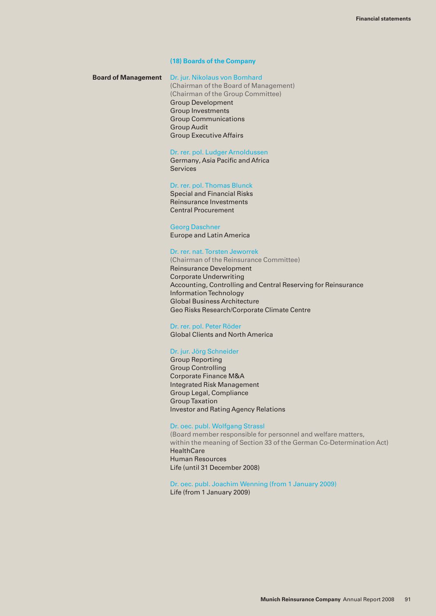#### **(18) Boards of the Company**

#### **Board of Management** Dr. jur. Nikolaus von Bomhard

(Chairman of the Board of Management) (Chairman of the Group Committee) Group Development Group Investments Group Communications Group Audit Group Executive Affairs

## Dr. rer. pol. Ludger Arnoldussen

Germany, Asia Pacific and Africa Services

## Dr. rer. pol. Thomas Blunck

Special and Financial Risks Reinsurance Investments Central Procurement

#### Georg Daschner

Europe and Latin America

## Dr. rer. nat. Torsten Jeworrek

(Chairman of the Reinsurance Committee) Reinsurance Development Corporate Underwriting Accounting, Controlling and Central Reserving for Reinsurance Information Technology Global Business Architecture Geo Risks Research/Corporate Climate Centre

## Dr. rer. pol. Peter Röder

Global Clients and North America

## Dr. jur. Jörg Schneider

Group Reporting Group Controlling Corporate Finance M&A Integrated Risk Management Group Legal, Compliance Group Taxation Investor and Rating Agency Relations

## Dr. oec. publ. Wolfgang Strassl

(Board member responsible for personnel and welfare matters, within the meaning of Section 33 of the German Co-Determination Act) **HealthCare** Human Resources Life (until 31 December 2008)

## Dr. oec. publ. Joachim Wenning (from 1 January 2009)

Life (from 1 January 2009)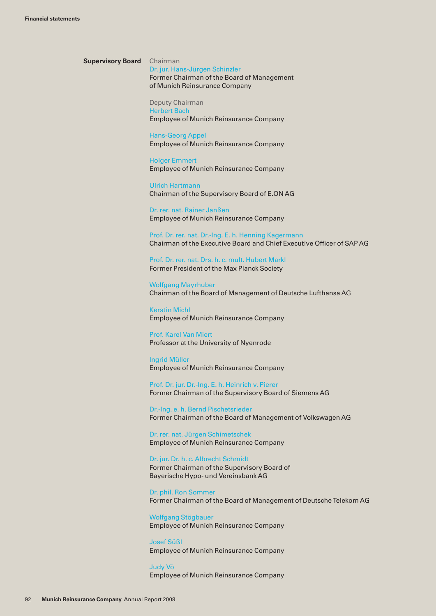## **Supervisory Board** Chairman Dr. jur. Hans-Jürgen Schinzler Former Chairman of the Board of Management

of Munich Reinsurance Company

Deputy Chairman Herbert Bach Employee of Munich Reinsurance Company

## Hans-Georg Appel

Employee of Munich Reinsurance Company

Holger Emmert Employee of Munich Reinsurance Company

Ulrich Hartmann Chairman of the Supervisory Board of E.ON AG

Dr. rer. nat. Rainer Janßen Employee of Munich Reinsurance Company

Prof. Dr. rer. nat. Dr.-Ing. E. h. Henning Kagermann Chairman of the Executive Board and Chief Executive Officer of SAP AG

Prof. Dr. rer. nat. Drs. h. c. mult. Hubert Markl Former President of the Max Planck Society

Wolfgang Mayrhuber Chairman of the Board of Management of Deutsche Lufthansa AG

Kerstin Michl Employee of Munich Reinsurance Company

Prof. Karel Van Miert Professor at the University of Nyenrode

Ingrid Müller Employee of Munich Reinsurance Company

Prof. Dr. jur. Dr.-Ing. E. h. Heinrich v. Pierer Former Chairman of the Supervisory Board of Siemens AG

Dr.-Ing. e. h. Bernd Pischetsrieder Former Chairman of the Board of Management of Volkswagen AG

Dr. rer. nat. Jürgen Schimetschek Employee of Munich Reinsurance Company

Dr. jur. Dr. h. c. Albrecht Schmidt Former Chairman of the Supervisory Board of Bayerische Hypo- und Vereinsbank AG

Dr. phil. Ron Sommer Former Chairman of the Board of Management of Deutsche Telekom AG

Wolfgang Stögbauer Employee of Munich Reinsurance Company

Josef Süßl Employee of Munich Reinsurance Company

Judy Võ Employee of Munich Reinsurance Company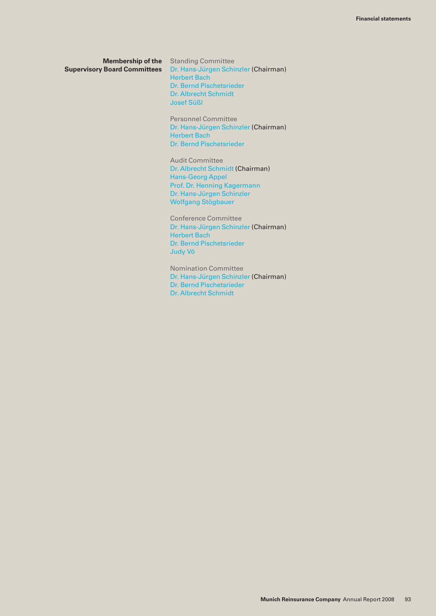**Membership of the** Standing Committee **Supervisory Board Committees** Dr. Hans-Jürgen Schinzler (Chairman) Herbert Bach Dr. Bernd Pischetsrieder Dr. Albrecht Schmidt Josef Süßl

> Personnel Committee Dr. Hans-Jürgen Schinzler (Chairman) Herbert Bach Dr. Bernd Pischetsrieder

Audit Committee Dr. Albrecht Schmidt (Chairman) Hans-Georg Appel Prof. Dr. Henning Kagermann Dr. Hans-Jürgen Schinzler Wolfgang Stögbauer

Conference Committee Dr. Hans-Jürgen Schinzler (Chairman) Herbert Bach Dr. Bernd Pischetsrieder Judy Võ

Nomination Committee Dr. Hans-Jürgen Schinzler (Chairman) Dr. Bernd Pischetsrieder Dr. Albrecht Schmidt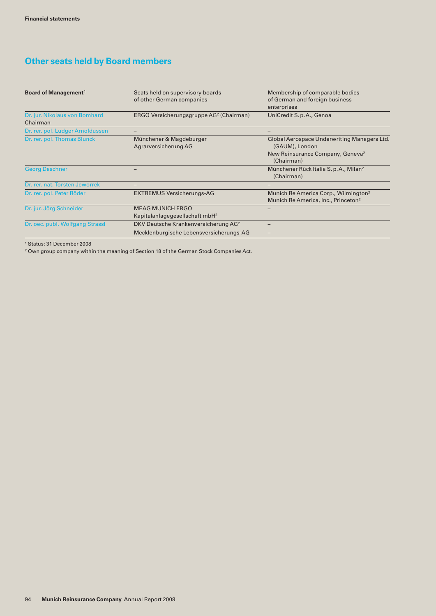## **Other seats held by Board members**

| Board of Management <sup>1</sup>          | Seats held on supervisory boards<br>of other German companies                               | Membership of comparable bodies<br>of German and foreign business<br>enterprises                                            |
|-------------------------------------------|---------------------------------------------------------------------------------------------|-----------------------------------------------------------------------------------------------------------------------------|
| Dr. jur. Nikolaus von Bomhard<br>Chairman | ERGO Versicherungsgruppe AG <sup>2</sup> (Chairman)                                         | UniCredit S. p.A., Genoa                                                                                                    |
| Dr. rer. pol. Ludger Arnoldussen          |                                                                                             |                                                                                                                             |
| Dr. rer. pol. Thomas Blunck               | Münchener & Magdeburger<br>Agrarversicherung AG                                             | Global Aerospace Underwriting Managers Ltd.<br>(GAUM), London<br>New Reinsurance Company, Geneva <sup>2</sup><br>(Chairman) |
| <b>Georg Daschner</b>                     |                                                                                             | Münchener Rück Italia S. p. A., Milan <sup>2</sup><br>(Chairman)                                                            |
| Dr. rer. nat. Torsten Jeworrek            |                                                                                             |                                                                                                                             |
| Dr. rer. pol. Peter Röder                 | <b>EXTREMUS Versicherungs-AG</b>                                                            | Munich Re America Corp., Wilmington <sup>2</sup><br>Munich Re America, Inc., Princeton <sup>2</sup>                         |
| Dr. jur. Jörg Schneider                   | <b>MEAG MUNICH ERGO</b><br>Kapitalanlagegesellschaft mbH <sup>2</sup>                       |                                                                                                                             |
| Dr. oec. publ. Wolfgang Strassl           | DKV Deutsche Krankenversicherung AG <sup>2</sup><br>Mecklenburgische Lebensversicherungs-AG |                                                                                                                             |

1 Status: 31 December 2008

<sup>2</sup> Own group company within the meaning of Section 18 of the German Stock Companies Act.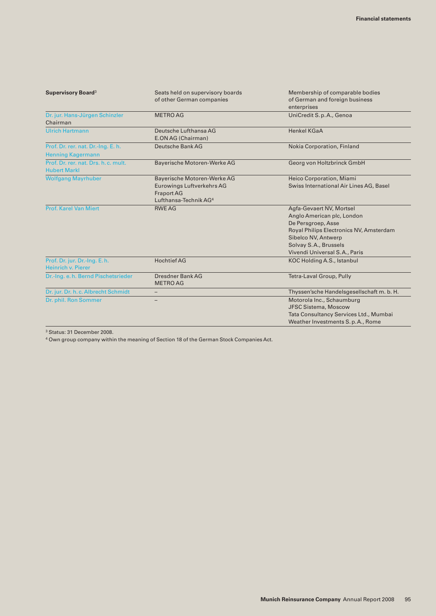| <b>Supervisory Board<sup>3</sup></b>                           | Seats held on supervisory boards<br>of other German companies                                                             | Membership of comparable bodies<br>of German and foreign business<br>enterprises                                                                                                                         |
|----------------------------------------------------------------|---------------------------------------------------------------------------------------------------------------------------|----------------------------------------------------------------------------------------------------------------------------------------------------------------------------------------------------------|
| Dr. jur. Hans-Jürgen Schinzler<br>Chairman                     | <b>METRO AG</b>                                                                                                           | UniCredit S. p.A., Genoa                                                                                                                                                                                 |
| <b>Ulrich Hartmann</b>                                         | Deutsche Lufthansa AG<br>E.ON AG (Chairman)                                                                               | <b>Henkel KGaA</b>                                                                                                                                                                                       |
| Prof. Dr. rer. nat. Dr.-Ing. E. h.<br><b>Henning Kagermann</b> | Deutsche Bank AG                                                                                                          | Nokia Corporation, Finland                                                                                                                                                                               |
| Prof. Dr. rer. nat. Drs. h. c. mult.<br><b>Hubert Markl</b>    | Bayerische Motoren-Werke AG                                                                                               | Georg von Holtzbrinck GmbH                                                                                                                                                                               |
| <b>Wolfgang Mayrhuber</b>                                      | Bayerische Motoren-Werke AG<br><b>Eurowings Luftverkehrs AG</b><br><b>Fraport AG</b><br>Lufthansa-Technik AG <sup>4</sup> | Heico Corporation, Miami<br>Swiss International Air Lines AG, Basel                                                                                                                                      |
| <b>Prof. Karel Van Miert</b>                                   | <b>RWE AG</b>                                                                                                             | Agfa-Gevaert NV, Mortsel<br>Anglo American plc, London<br>De Persgroep, Asse<br>Royal Philips Electronics NV, Amsterdam<br>Sibelco NV, Antwerp<br>Solvay S.A., Brussels<br>Vivendi Universal S.A., Paris |
| Prof. Dr. jur. Dr.-Ing. E.h.<br><b>Heinrich v. Pierer</b>      | <b>Hochtief AG</b>                                                                                                        | KOC Holding A.S., Istanbul                                                                                                                                                                               |
| Dr.-Ing. e.h. Bernd Pischetsrieder                             | <b>Dresdner Bank AG</b><br><b>METRO AG</b>                                                                                | Tetra-Laval Group, Pully                                                                                                                                                                                 |
| Dr. jur. Dr. h. c. Albrecht Schmidt                            | $\overline{\phantom{m}}$                                                                                                  | Thyssen'sche Handelsgesellschaft m. b. H.                                                                                                                                                                |
| Dr. phil. Ron Sommer                                           |                                                                                                                           | Motorola Inc., Schaumburg<br>JFSC Sistema, Moscow<br>Tata Consultancy Services Ltd., Mumbai<br>Weather Investments S.p.A., Rome                                                                          |

<sup>3</sup> Status: 31 December 2008.

<sup>4</sup> Own group company within the meaning of Section 18 of the German Stock Companies Act.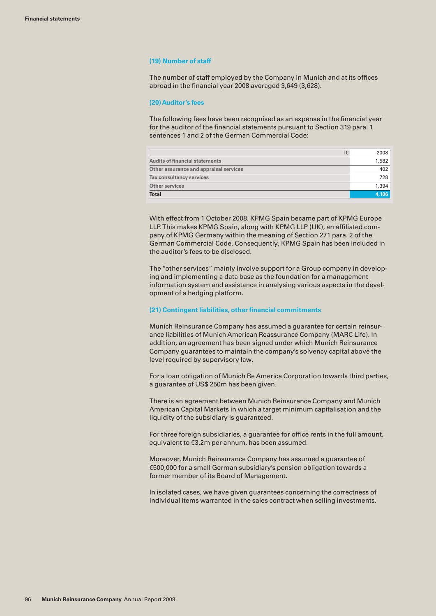#### **(19) Number of staff**

The number of staff employed by the Company in Munich and at its offices abroad in the financial year 2008 averaged 3,649 (3,628).

#### **(20) Auditor's fees**

The following fees have been recognised as an expense in the financial year for the auditor of the financial statements pursuant to Section 319 para. 1 sentences 1 and 2 of the German Commercial Code:

| T€                                     | 2008  |
|----------------------------------------|-------|
| <b>Audits of financial statements</b>  | 1,582 |
| Other assurance and appraisal services | 402   |
| Tax consultancy services               | 728   |
| <b>Other services</b>                  | 1,394 |
| <b>Total</b>                           | 4,106 |

With effect from 1 October 2008, KPMG Spain became part of KPMG Europe LLP. This makes KPMG Spain, along with KPMG LLP (UK), an affiliated company of KPMG Germany within the meaning of Section 271 para. 2 of the German Commercial Code. Consequently, KPMG Spain has been included in the auditor's fees to be disclosed.

The "other services" mainly involve support for a Group company in developing and implementing a data base as the foundation for a management information system and assistance in analysing various aspects in the development of a hedging platform.

#### **(21) Contingent liabilities, other financial commitments**

Munich Reinsurance Company has assumed a guarantee for certain reinsurance liabilities of Munich American Reassurance Company (MARC Life). In addition, an agreement has been signed under which Munich Reinsurance Company guarantees to maintain the company's solvency capital above the level required by supervisory law.

For a loan obligation of Munich Re America Corporation towards third parties, a guarantee of US\$ 250m has been given.

There is an agreement between Munich Reinsurance Company and Munich American Capital Markets in which a target minimum capitalisation and the liquidity of the subsidiary is guaranteed.

For three foreign subsidiaries, a guarantee for office rents in the full amount, equivalent to €3.2m per annum, has been assumed.

Moreover, Munich Reinsurance Company has assumed a guarantee of €500,000 for a small German subsidiary's pension obligation towards a former member of its Board of Management.

In isolated cases, we have given guarantees concerning the correctness of individual items warranted in the sales contract when selling investments.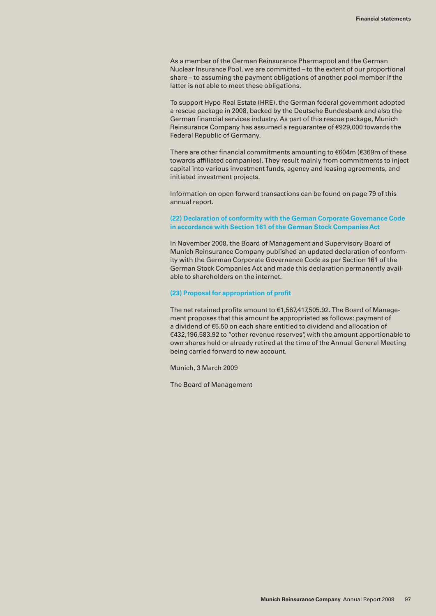As a member of the German Reinsurance Pharmapool and the German Nuclear Insurance Pool, we are committed – to the extent of our proportional share – to assuming the payment obligations of another pool member if the latter is not able to meet these obligations.

To support Hypo Real Estate (HRE), the German federal government adopted a rescue package in 2008, backed by the Deutsche Bundesbank and also the German financial services industry. As part of this rescue package, Munich Reinsurance Company has assumed a reguarantee of €929,000 towards the Federal Republic of Germany.

There are other financial commitments amounting to €604m (€369m of these towards affiliated companies). They result mainly from commitments to inject capital into various investment funds, agency and leasing agreements, and initiated investment projects.

Information on open forward transactions can be found on page 79 of this annual report.

## **(22) Declaration of conformity with the German Corporate Governance Code in accordance with Section 161 of the German Stock Companies Act**

In November 2008, the Board of Management and Supervisory Board of Munich Reinsurance Company published an updated declaration of conformity with the German Corporate Governance Code as per Section 161 of the German Stock Companies Act and made this declaration permanently available to shareholders on the internet.

#### **(23) Proposal for appropriation of profit**

The net retained profits amount to €1,567,417,505.92. The Board of Management proposes that this amount be appropriated as follows: payment of a dividend of €5.50 on each share entitled to dividend and allocation of €432,196,583.92 to "other revenue reserves", with the amount apportionable to own shares held or already retired at the time of the Annual General Meeting being carried forward to new account.

Munich, 3 March 2009

The Board of Management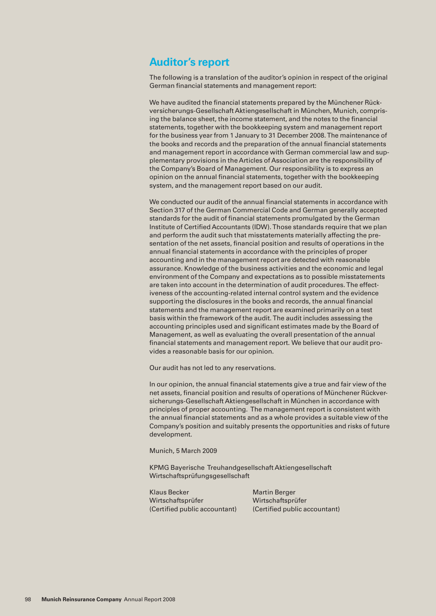## **Auditor's report**

The following is a translation of the auditor's opinion in respect of the original German financial statements and management report:

We have audited the financial statements prepared by the Münchener Rückversicherungs-Gesellschaft Aktiengesellschaft in München, Munich, comprising the balance sheet, the income statement, and the notes to the financial statements, together with the bookkeeping system and management report for the business year from 1 January to 31 December 2008. The maintenance of the books and records and the preparation of the annual financial statements and management report in accordance with German commercial law and supplementary provisions in the Articles of Association are the responsibility of the Company's Board of Management. Our responsibility is to express an opinion on the annual financial statements, together with the bookkeeping system, and the management report based on our audit.

We conducted our audit of the annual financial statements in accordance with Section 317 of the German Commercial Code and German generally accepted standards for the audit of financial statements promulgated by the German Institute of Certified Accountants (IDW). Those standards require that we plan and perform the audit such that misstatements materially affecting the presentation of the net assets, financial position and results of operations in the annual financial statements in accordance with the principles of proper accounting and in the management report are detected with reasonable assurance. Knowledge of the business activities and the economic and legal environment of the Company and expectations as to possible misstatements are taken into account in the determination of audit procedures. The effectiveness of the accounting-related internal control system and the evidence supporting the disclosures in the books and records, the annual financial statements and the management report are examined primarily on a test basis within the framework of the audit. The audit includes assessing the accounting principles used and significant estimates made by the Board of Management, as well as evaluating the overall presentation of the annual financial statements and management report. We believe that our audit provides a reasonable basis for our opinion.

Our audit has not led to any reservations.

In our opinion, the annual financial statements give a true and fair view of the net assets, financial position and results of operations of Münchener Rückversicherungs-Gesellschaft Aktiengesellschaft in München in accordance with principles of proper accounting. The management report is consistent with the annual financial statements and as a whole provides a suitable view of the Company's position and suitably presents the opportunities and risks of future development.

Munich, 5 March 2009

KPMG Bayerische Treuhandgesellschaft Aktiengesellschaft Wirtschaftsprüfungsgesellschaft

Klaus Becker Martin Berger Wirtschaftsprüfer Wirtschaftsprüfer (Certified public accountant) (Certified public accountant)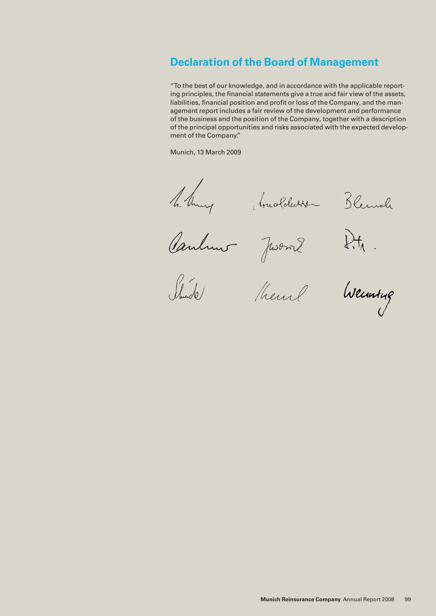# **Declaration of the Board of Management**

"To the best of our knowledge, and in accordance with the applicable reporting principles, the financial statements give a true and fair view of the assets, liabilities, financial position and profit or loss of the Company, and the management report includes a fair review of the development and performance of the business and the position of the Company, together with a description of the principal opportunities and risks associated with the expected development of the Company."

Munich, 13 March 2009

4. Any Anoldesse Blende<br>Canton Jason P.M.<br>Smile Theurl Weiming

Weining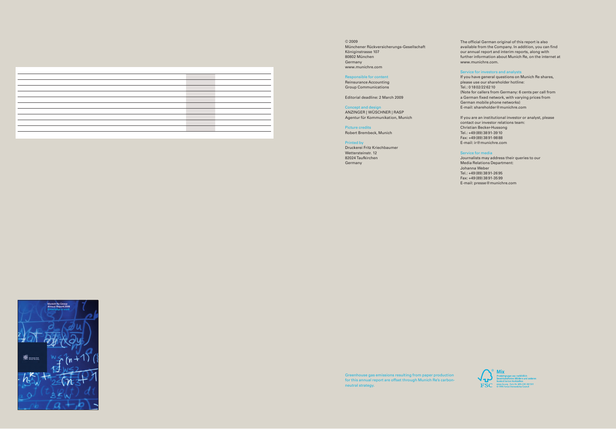© 2009 Münchener Rückversicherungs-Gesellschaft Königinstrasse 107 80802 München Germany www.munichre.com

#### Responsible for content

Reinsurance Accounting Group Communications

Editorial deadline: 2 March 2009

#### Concept and design

ANZINGER | WÜSCHNER | RASP Agentur für Kommunikation, Munich

#### Picture credits Robert Brembeck, Munich

Printed by

Druckerei Fritz Kriechbaumer Wettersteinstr. 12 82024 Taufkirchen Germany

The official German original of this report is also available from the Company. In addition, you can find our annual report and interim reports, along with further information about Munich Re, on the internet at www.munichre.com.

#### Service for investors and analysts

If you have general questions on Munich Re shares, please use our shareholder hotline: Tel.: 0 18 02/22 62 10 (Note for callers from Germany: 6 cents per call from a German fixed network, with varying prices from German mobile phone networks) E-mail: shareholder@munichre.com

If you are an institutional investor or analyst, please contact our investor relations team: Christian Becker-Hussong Tel.: +49 (89) 38 91-39 10 Fax: +49 (89) 38 91-98 88 E-mail: ir@munichre.com

#### Service for media

Journalists may address their queries to our Media Relations Department: Johanna Weber Tel.: +49 (89) 38 91-26 95 Fax: +49 (89) 38 91-35 99 E-mail: presse@munichre.com

Greenhouse gas emissions resulting from paper production for this annual report are offset through Munich Re's carbonneutral strategy.